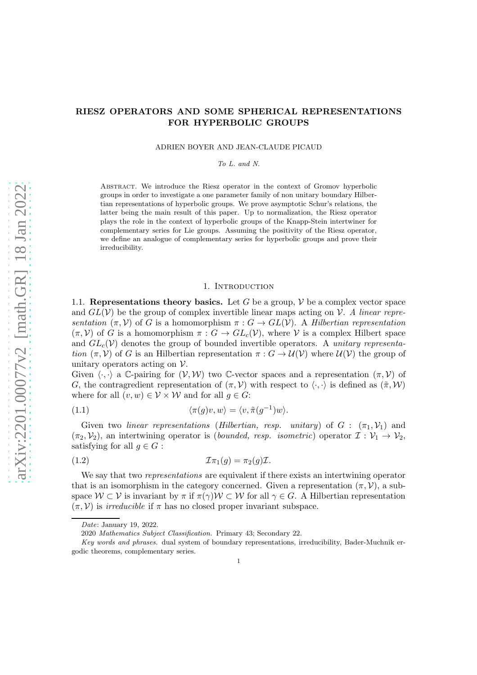ADRIEN BOYER AND JEAN-CLAUDE PICAUD

*To L. and N.*

Abstract. We introduce the Riesz operator in the context of Gromov hyperbolic groups in order to investigate a one parameter family of non unitary boundary Hilbertian representations of hyperbolic groups. We prove asymptotic Schur's relations, the latter being the main result of this paper. Up to normalization, the Riesz operator plays the role in the context of hyperbolic groups of the Knapp-Stein intertwiner for complementary series for Lie groups. Assuming the positivity of the Riesz operator, we define an analogue of complementary series for hyperbolic groups and prove their irreducibility.

### 1. INTRODUCTION

1.1. Representations theory basics. Let G be a group,  $V$  be a complex vector space and  $GL(V)$  be the group of complex invertible linear maps acting on V. A linear representation  $(\pi, \mathcal{V})$  of G is a homomorphism  $\pi : G \to GL(\mathcal{V})$ . A Hilbertian representation  $(\pi, \mathcal{V})$  of G is a homomorphism  $\pi : G \to GL_c(\mathcal{V})$ , where V is a complex Hilbert space and  $GL_c(\mathcal{V})$  denotes the group of bounded invertible operators. A unitary representation  $(\pi, V)$  of G is an Hilbertian representation  $\pi : G \to \mathcal{U}(V)$  where  $\mathcal{U}(V)$  the group of unitary operators acting on  $\mathcal V$ .

Given  $\langle \cdot, \cdot \rangle$  a C-pairing for  $(\mathcal{V}, \mathcal{W})$  two C-vector spaces and a representation  $(\pi, \mathcal{V})$  of G, the contragredient representation of  $(\pi, V)$  with respect to  $\langle \cdot, \cdot \rangle$  is defined as  $(\tilde{\pi}, W)$ where for all  $(v, w) \in V \times W$  and for all  $q \in G$ :

(1.1) 
$$
\langle \pi(g)v, w \rangle = \langle v, \tilde{\pi}(g^{-1})w \rangle.
$$

Given two linear representations (Hilbertian, resp. unitary) of  $G : (\pi_1, \mathcal{V}_1)$  and  $(\pi_2, \mathcal{V}_2)$ , an intertwining operator is (bounded, resp. isometric) operator  $\mathcal{I}: \mathcal{V}_1 \to \mathcal{V}_2$ , satisfying for all  $q \in G$ :

(1.2) Iπ1(g) = π2(g)I.

We say that two *representations* are equivalent if there exists an intertwining operator that is an isomorphism in the category concerned. Given a representation  $(\pi, \mathcal{V})$ , a subspace  $W \subset V$  is invariant by  $\pi$  if  $\pi(\gamma)W \subset W$  for all  $\gamma \in G$ . A Hilbertian representation  $(\pi, V)$  is *irreducible* if  $\pi$  has no closed proper invariant subspace.

*Date*: January 19, 2022.

<sup>2020</sup> *Mathematics Subject Classification.* Primary 43; Secondary 22.

*Key words and phrases.* dual system of boundary representations, irreducibility, Bader-Muchnik ergodic theorems, complementary series.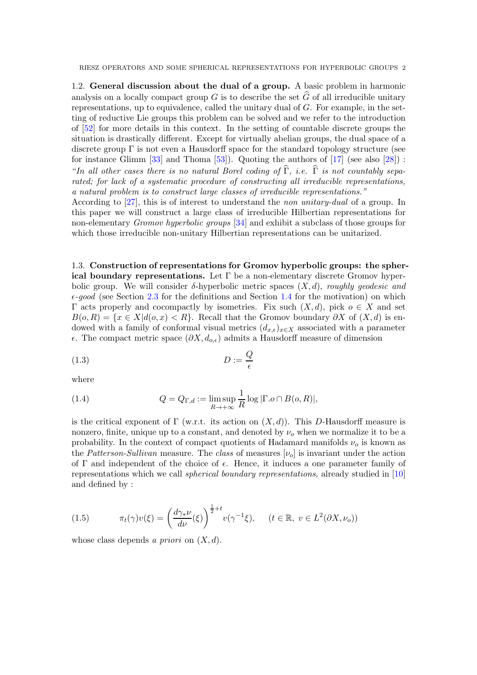1.2. General discussion about the dual of a group. A basic problem in harmonic analysis on a locally compact group G is to describe the set  $\widehat{G}$  of all irreducible unitary representations, up to equivalence, called the unitary dual of  $G$ . For example, in the setting of reductive Lie groups this problem can be solved and we refer to the introduction of [\[52\]](#page-53-0) for more details in this context. In the setting of countable discrete groups the situation is drastically different. Except for virtually abelian groups, the dual space of a discrete group  $\Gamma$  is not even a Hausdorff space for the standard topology structure (see for instance Glimm [\[33\]](#page-53-1) and Thoma [\[53\]](#page-53-2)). Quoting the authors of  $[17]$  (see also [\[28\]](#page-52-1)) : "In all other cases there is no natural Borel coding of  $\hat{\Gamma}$ , i.e.  $\hat{\Gamma}$  is not countably separated; for lack of a systematic procedure of constructing all irreducible representations, a natural problem is to construct large classes of irreducible representations."

According to [\[27\]](#page-52-2), this is of interest to understand the non unitary-dual of a group. In this paper we will construct a large class of irreducible Hilbertian representations for non-elementary Gromov hyperbolic groups [\[34\]](#page-53-3) and exhibit a subclass of those groups for which those irreducible non-unitary Hilbertian representations can be unitarized.

1.3. Construction of representations for Gromov hyperbolic groups: the spherical boundary representations. Let  $\Gamma$  be a non-elementary discrete Gromov hyperbolic group. We will consider  $\delta$ -hyperbolic metric spaces  $(X, d)$ , roughly geodesic and  $\epsilon$ -good (see Section [2.3](#page-8-0) for the definitions and Section [1.4](#page-2-0) for the motivation) on which  $\Gamma$  acts properly and cocompactly by isometries. Fix such  $(X, d)$ , pick  $o \in X$  and set  $B(o, R) = \{x \in X | d(o, x) < R\}.$  Recall that the Gromov boundary  $\partial X$  of  $(X, d)$  is endowed with a family of conformal visual metrics  $(d_{x,\epsilon})_{x\in X}$  associated with a parameter  $\epsilon$ . The compact metric space  $(\partial X, d_{o,\epsilon})$  admits a Hausdorff measure of dimension

<span id="page-1-1"></span>
$$
(1.3) \t\t D := \frac{Q}{\epsilon}
$$

where

(1.4) 
$$
Q = Q_{\Gamma,d} := \limsup_{R \to +\infty} \frac{1}{R} \log |\Gamma.o \cap B(o, R)|,
$$

is the critical exponent of  $\Gamma$  (w.r.t. its action on  $(X, d)$ ). This D-Hausdorff measure is nonzero, finite, unique up to a constant, and denoted by  $\nu<sub>o</sub>$  when we normalize it to be a probability. In the context of compact quotients of Hadamard manifolds  $\nu<sub>o</sub>$  is known as the Patterson-Sullivan measure. The class of measures  $[\nu_o]$  is invariant under the action of  $\Gamma$  and independent of the choice of  $\epsilon$ . Hence, it induces a one parameter family of representations which we call spherical boundary representations, already studied in [\[10\]](#page-52-3) and defined by :

<span id="page-1-0"></span>(1.5) 
$$
\pi_t(\gamma)v(\xi) = \left(\frac{d\gamma_*\nu}{d\nu}(\xi)\right)^{\frac{1}{2}+t}v(\gamma^{-1}\xi), \quad (t \in \mathbb{R}, \ v \in L^2(\partial X, \nu_o))
$$

whose class depends a priori on  $(X, d)$ .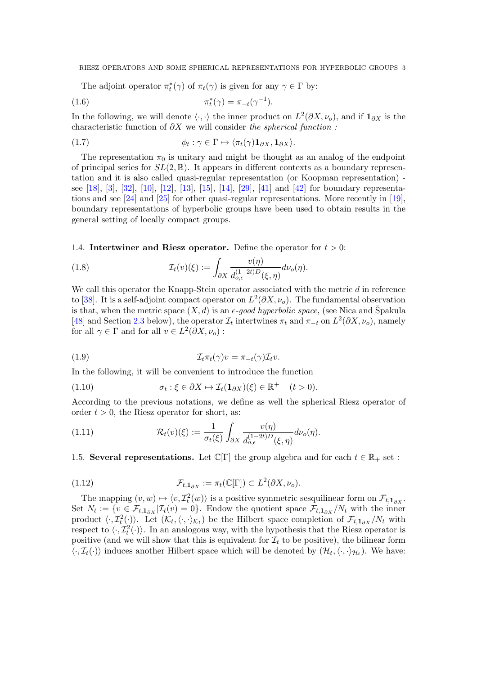The adjoint operator  $\pi_t^*(\gamma)$  of  $\pi_t(\gamma)$  is given for any  $\gamma \in \Gamma$  by:

(1.6) 
$$
\pi_t^*(\gamma) = \pi_{-t}(\gamma^{-1}).
$$

In the following, we will denote  $\langle \cdot, \cdot \rangle$  the inner product on  $L^2(\partial X, \nu_o)$ , and if  $\mathbf{1}_{\partial X}$  is the characteristic function of  $\partial X$  we will consider the spherical function :

(1.7) 
$$
\phi_t : \gamma \in \Gamma \mapsto \langle \pi_t(\gamma) \mathbf{1}_{\partial X}, \mathbf{1}_{\partial X} \rangle.
$$

The representation  $\pi_0$  is unitary and might be thought as an analog of the endpoint of principal series for  $SL(2,\mathbb{R})$ . It appears in different contexts as a boundary representation and it is also called quasi-regular representation (or Koopman representation) see [\[18\]](#page-52-4), [\[3\]](#page-52-5), [\[32\]](#page-53-4), [\[10\]](#page-52-3), [\[12\]](#page-52-6), [\[13\]](#page-52-7), [\[15\]](#page-52-8), [\[14\]](#page-52-9), [\[29\]](#page-53-5), [\[41\]](#page-53-6) and [\[42\]](#page-53-7) for boundary representations and see [\[24\]](#page-52-10) and [\[25\]](#page-52-11) for other quasi-regular representations. More recently in [\[19\]](#page-52-12), boundary representations of hyperbolic groups have been used to obtain results in the general setting of locally compact groups.

<span id="page-2-0"></span>1.4. Intertwiner and Riesz operator. Define the operator for  $t > 0$ :

(1.8) 
$$
\mathcal{I}_t(v)(\xi) := \int_{\partial X} \frac{v(\eta)}{d_{o,\epsilon}^{(1-2t)D}(\xi,\eta)} d\nu_o(\eta).
$$

We call this operator the Knapp-Stein operator associated with the metric  $d$  in reference to [\[38\]](#page-53-8). It is a self-adjoint compact operator on  $L^2(\partial X, \nu_o)$ . The fundamental observation is that, when the metric space  $(X, d)$  is an  $\epsilon$ -good hyperbolic space, (see Nica and Špakula [\[48\]](#page-53-9) and Section [2.3](#page-8-0) below), the operator  $\mathcal{I}_t$  intertwines  $\pi_t$  and  $\pi_{-t}$  on  $L^2(\partial X, \nu_o)$ , namely for all  $\gamma \in \Gamma$  and for all  $v \in L^2(\partial X, \nu_o)$ :

(1.9) 
$$
\mathcal{I}_{t}\pi_t(\gamma)v = \pi_{-t}(\gamma)\mathcal{I}_t v.
$$

In the following, it will be convenient to introduce the function

<span id="page-2-1"></span>(1.10) 
$$
\sigma_t : \xi \in \partial X \mapsto \mathcal{I}_t(\mathbf{1}_{\partial X})(\xi) \in \mathbb{R}^+ \quad (t > 0).
$$

According to the previous notations, we define as well the spherical Riesz operator of order  $t > 0$ , the Riesz operator for short, as:

(1.11) 
$$
\mathcal{R}_t(v)(\xi) := \frac{1}{\sigma_t(\xi)} \int_{\partial X} \frac{v(\eta)}{d_{o,\epsilon}^{(1-2t)D}(\xi, \eta)} d\nu_o(\eta).
$$

1.5. Several representations. Let  $\mathbb{C}[\Gamma]$  the group algebra and for each  $t \in \mathbb{R}_+$  set :

<span id="page-2-2"></span>(1.12) 
$$
\mathcal{F}_{t,1_{\partial X}} := \pi_t(\mathbb{C}[\Gamma]) \subset L^2(\partial X, \nu_o).
$$

The mapping  $(v, w) \mapsto \langle v, \mathcal{I}_t^2(w) \rangle$  is a positive symmetric sesquilinear form on  $\mathcal{F}_{t,1_{\partial X}}$ . Set  $N_t := \{v \in \mathcal{F}_{t,1_{\partial X}} | \mathcal{I}_t(v) = 0\}$ . Endow the quotient space  $\mathcal{F}_{t,1_{\partial X}}/N_t$  with the inner product  $\langle \cdot, \mathcal{I}_t^2(\cdot)\rangle$ . Let  $(\mathcal{K}_t, \langle \cdot, \cdot \rangle_{\mathcal{K}_t})$  be the Hilbert space completion of  $\mathcal{F}_{t,1_{\partial X}}/N_t$  with respect to  $\langle \cdot, \mathcal{I}_t^2(\cdot) \rangle$ . In an analogous way, with the hypothesis that the Riesz operator is positive (and we will show that this is equivalent for  $\mathcal{I}_t$  to be positive), the bilinear form  $\langle \cdot, \mathcal{I}_t(\cdot) \rangle$  induces another Hilbert space which will be denoted by  $(\mathcal{H}_t, \langle \cdot, \cdot \rangle_{\mathcal{H}_t})$ . We have: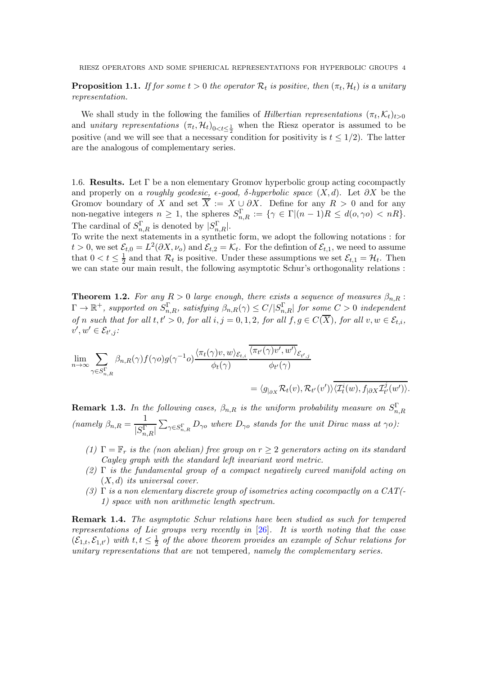<span id="page-3-0"></span>**Proposition 1.1.** If for some  $t > 0$  the operator  $\mathcal{R}_t$  is positive, then  $(\pi_t, \mathcal{H}_t)$  is a unitary representation.

We shall study in the following the families of *Hilbertian representations*  $(\pi_t, \mathcal{K}_t)_{t>0}$ and *unitary representations*  $(\pi_t, \mathcal{H}_t)_{0 \le t \le \frac{1}{2}}$  when the Riesz operator is assumed to be positive (and we will see that a necessary condition for positivity is  $t \leq 1/2$ ). The latter are the analogous of complementary series.

1.6. Results. Let  $\Gamma$  be a non elementary Gromov hyperbolic group acting cocompactly and properly on a roughly geodesic,  $\epsilon$ -good,  $\delta$ -hyperbolic space  $(X, d)$ . Let  $\partial X$  be the Gromov boundary of X and set  $\overline{X} := X \cup \partial X$ . Define for any  $R > 0$  and for any non-negative integers  $n \geq 1$ , the spheres  $S_{n,R}^{\Gamma} := \{ \gamma \in \Gamma | (n-1)R \leq d(o, \gamma o) < nR \}.$ The cardinal of  $S_{n,R}^{\Gamma}$  is denoted by  $|S_{n,R}^{\Gamma}|$ .

To write the next statements in a synthetic form, we adopt the following notations : for  $t > 0$ , we set  $\mathcal{E}_{t,0} = L^2(\partial X, \nu_o)$  and  $\mathcal{E}_{t,2} = \mathcal{K}_t$ . For the defintion of  $\mathcal{E}_{t,1}$ , we need to assume that  $0 < t \leq \frac{1}{2}$  and that  $\mathcal{R}_t$  is positive. Under these assumptions we set  $\mathcal{E}_{t,1} = \mathcal{H}_t$ . Then we can state our main result, the following asymptotic Schur's orthogonality relations :

<span id="page-3-1"></span>**Theorem 1.2.** For any  $R > 0$  large enough, there exists a sequence of measures  $\beta_{n,R}$ :  $\Gamma\to\mathbb{R}^+$ , supported on  $S^{\Gamma}_{n,R}$ , satisfying  $\beta_{n,R}(\gamma)\leq C/|S^{\Gamma}_{n,R}|$  for some  $C>0$  independent of n such that for all  $t, t' > 0$ , for all  $i, j = 0, 1, 2$ , for all  $f, g \in C(\overline{X})$ , for all  $v, w \in \mathcal{E}_{t,i}$ ,  $v', w' \in \mathcal{E}_{t',j}$ :

$$
\lim_{n \to \infty} \sum_{\gamma \in S_{n,R}^{\Gamma}} \beta_{n,R}(\gamma) f(\gamma o) g(\gamma^{-1} o) \frac{\langle \pi_t(\gamma)v, w \rangle_{\mathcal{E}_{t,i}}}{\phi_t(\gamma)} \frac{\overline{\langle \pi_{t'}(\gamma)v', w' \rangle}_{\mathcal{E}_{t',j}}}{\phi_{t'}(\gamma)}
$$
\n
$$
= \langle g_{\vert_{\partial X}} \mathcal{R}_t(v), \mathcal{R}_{t'}(v') \rangle \overline{\langle \mathcal{I}_t^i(w), f_{\vert \partial X} \mathcal{I}_{t'}^{j}(w') \rangle}.
$$

**Remark 1.3.** In the following cases,  $\beta_{n,R}$  is the uniform probability measure on  $S^{\Gamma}_{n,R}$ (namely  $\beta_{n,R} = \frac{1}{|C|}$  $|S_{n,R}^{\Gamma}|$  $\sum_{\gamma \in S_{n,R}^{\Gamma}} D_{\gamma o}$  where  $D_{\gamma o}$  stands for the unit Dirac mass at  $\gamma o$ ):

- (1)  $\Gamma = \mathbb{F}_r$  is the (non abelian) free group on  $r \geq 2$  generators acting on its standard Cayley graph with the standard left invariant word metric.
- (2)  $\Gamma$  is the fundamental group of a compact negatively curved manifold acting on  $(X, d)$  its universal cover.
- (3)  $\Gamma$  is a non elementary discrete group of isometries acting cocompactly on a CAT(-1) space with non arithmetic length spectrum.

**Remark 1.4.** The asymptotic Schur relations have been studied as such for tempered representations of Lie groups very recently in [\[26\]](#page-52-13). It is worth noting that the case  $(\mathcal{E}_{1,t}, \mathcal{E}_{1,t'})$  with  $t, t \leq \frac{1}{2}$  $\frac{1}{2}$  of the above theorem provides an example of Schur relations for unitary representations that are not tempered, namely the complementary series.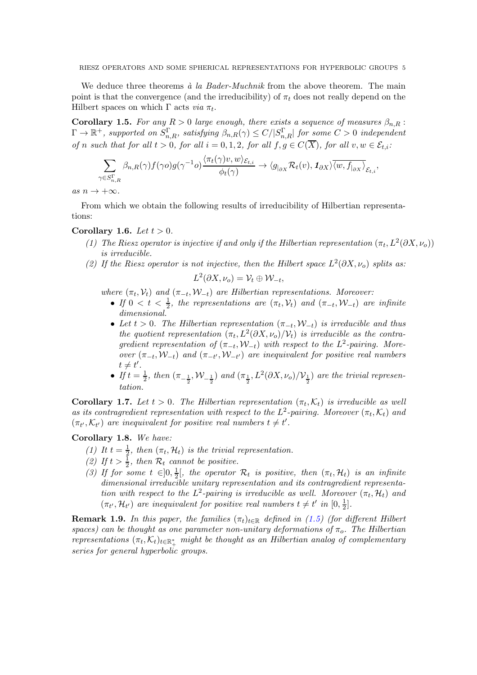We deduce three theorems  $\dot{a}$  la Bader-Muchnik from the above theorem. The main point is that the convergence (and the irreducibility) of  $\pi_t$  does not really depend on the Hilbert spaces on which  $\Gamma$  acts *via*  $\pi_t$ .

<span id="page-4-0"></span>**Corollary 1.5.** For any  $R > 0$  large enough, there exists a sequence of measures  $\beta_{n,R}$ :  $\Gamma\to\mathbb{R}^+$ , supported on  $S^{\Gamma}_{n,R}$ , satisfying  $\beta_{n,R}(\gamma)\leq C/|S^{\Gamma}_{n,R}|$  for some  $C>0$  independent of n such that for all  $t > 0$ , for all  $i = 0, 1, 2$ , for all  $f, g \in C(\overline{X})$ , for all  $v, w \in \mathcal{E}_{t,i}$ :

$$
\sum_{\gamma \in S_{n,R}^{\Gamma}} \beta_{n,R}(\gamma) f(\gamma o) g(\gamma^{-1} o) \frac{\langle \pi_t(\gamma)v, w \rangle_{\mathcal{E}_{t,i}}}{\phi_t(\gamma)} \to \langle g_{|_{\partial X}} \mathcal{R}_t(v), \mathbf{1}_{\partial X} \rangle \overline{\langle w, f_{|_{\partial X}} \rangle}_{\mathcal{E}_{t,i}},
$$

as  $n \to +\infty$ .

From which we obtain the following results of irreducibility of Hilbertian representations:

### <span id="page-4-1"></span>Corollary 1.6. Let  $t > 0$ .

- (1) The Riesz operator is injective if and only if the Hilbertian representation  $(\pi_t, L^2(\partial X, \nu_o))$ is irreducible.
- (2) If the Riesz operator is not injective, then the Hilbert space  $L^2(\partial X, \nu_o)$  splits as:

$$
L^2(\partial X,\nu_o)=\mathcal{V}_t\oplus \mathcal{W}_{-t},
$$

where  $(\pi_t, \mathcal{V}_t)$  and  $(\pi_{-t}, \mathcal{W}_{-t})$  are Hilbertian representations. Moreover:

- If  $0 < t < \frac{1}{2}$ , the representations are  $(\pi_t, \mathcal{V}_t)$  and  $(\pi_{-t}, \mathcal{W}_{-t})$  are infinite dimensional.
- Let  $t > 0$ . The Hilbertian representation  $(\pi_{-t}, W_{-t})$  is irreducible and thus the quotient representation  $(\pi_t, L^2(\partial X, \nu_o)/\mathcal{V}_t)$  is irreducible as the contragredient representation of  $(\pi_{-t}, W_{-t})$  with respect to the L<sup>2</sup>-pairing. Moreover  $(\pi_{-t}, W_{-t})$  and  $(\pi_{-t'}, W_{-t'})$  are inequivalent for positive real numbers  $t \neq t'.$
- If  $t=\frac{1}{2}$  $\frac{1}{2}$ , then  $(\pi_{-\frac{1}{2}}, \mathcal{W}_{-\frac{1}{2}})$  and  $(\pi_{\frac{1}{2}}, L^2(\partial X, \nu_o)/\mathcal{V}_{\frac{1}{2}})$  are the trivial representation.

<span id="page-4-2"></span>**Corollary 1.7.** Let  $t > 0$ . The Hilbertian representation  $(\pi_t, \mathcal{K}_t)$  is irreducible as well as its contragredient representation with respect to the  $L^2$ -pairing. Moreover  $(\pi_t, \mathcal{K}_t)$  and  $(\pi_{t'}, \mathcal{K}_{t'})$  are inequivalent for positive real numbers  $t \neq t'$ .

# <span id="page-4-3"></span>Corollary 1.8. We have:

- (1) It  $t = \frac{1}{2}$  $\frac{1}{2}$ , then  $(\pi_t, \mathcal{H}_t)$  is the trivial representation.
- <span id="page-4-4"></span>(2) If  $t > \frac{1}{2}$ , then  $\mathcal{R}_t$  cannot be positive.
- (3) If for some  $t \in ]0, \frac{1}{2}$  $\frac{1}{2}$ , the operator  $\mathcal{R}_t$  is positive, then  $(\pi_t, \mathcal{H}_t)$  is an infinite dimensional irreducible unitary representation and its contragredient representation with respect to the  $L^2$ -pairing is irreducible as well. Moreover  $(\pi_t, \mathcal{H}_t)$  and  $(\pi_{t'}, \mathcal{H}_{t'})$  are inequivalent for positive real numbers  $t \neq t'$  in  $[0, \frac{1}{2}]$  $\frac{1}{2}$ .

**Remark 1.9.** In this paper, the families  $(\pi_t)_{t \in \mathbb{R}}$  defined in [\(1.5\)](#page-1-0) (for different Hilbert spaces) can be thought as one parameter non-unitary deformations of  $\pi_o$ . The Hilbertian representations  $(\pi_t, \mathcal{K}_t)_{t \in \mathbb{R}_+^*}$  might be thought as an Hilbertian analog of complementary series for general hyperbolic groups.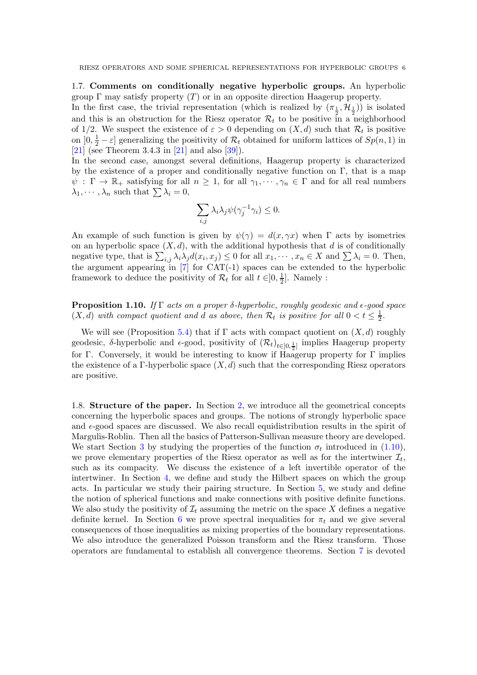1.7. Comments on conditionally negative hyperbolic groups. An hyperbolic group  $\Gamma$  may satisfy property  $(T)$  or in an opposite direction Haagerup property.

In the first case, the trivial representation (which is realized by  $(\pi_{\frac{1}{2}}, \mathcal{H}_{\frac{1}{2}})$ ) is isolated and this is an obstruction for the Riesz operator  $\mathcal{R}_t$  to be positive in a neighborhood of 1/2. We suspect the existence of  $\varepsilon > 0$  depending on  $(X, d)$  such that  $\mathcal{R}_t$  is positive on  $]0, \frac{1}{2} - \varepsilon]$  generalizing the positivity of  $\mathcal{R}_t$  obtained for uniform lattices of  $Sp(n, 1)$  in [\[21\]](#page-52-14) (see Theorem 3.4.3 in [\[21\]](#page-52-14) and also [\[39\]](#page-53-10)).

In the second case, amongst several definitions, Haagerup property is characterized by the existence of a proper and conditionally negative function on  $\Gamma$ , that is a map  $\psi : \Gamma \to \mathbb{R}_+$  satisfying for all  $n \geq 1$ , for all  $\gamma_1, \dots, \gamma_n \in \Gamma$  and for all real numbers  $\lambda_1, \cdots, \lambda_n$  such that  $\sum \lambda_i = 0$ ,

$$
\sum_{i,j}\lambda_i\lambda_j\psi(\gamma_j^{-1}\gamma_i)\leq 0.
$$

An example of such function is given by  $\psi(\gamma) = d(x, \gamma x)$  when  $\Gamma$  acts by isometries on an hyperbolic space  $(X, d)$ , with the additional hypothesis that d is of conditionally negative type, that is  $\sum_{i,j} \lambda_i \lambda_j d(x_i, x_j) \leq 0$  for all  $x_1, \dots, x_n \in X$  and  $\sum \lambda_i = 0$ . Then, the argument appearing in  $[7]$  for CAT(-1) spaces can be extended to the hyperbolic framework to deduce the positivity of  $\mathcal{R}_t$  for all  $t \in ]0, \frac{1}{2}$  $\frac{1}{2}$ . Namely :

<span id="page-5-0"></span>**Proposition 1.10.** If Γ acts on a proper δ-hyperbolic, roughly geodesic and  $\epsilon$ -good space  $(X, d)$  with compact quotient and d as above, then  $\mathcal{R}_t$  is positive for all  $0 < t \leq \frac{1}{2}$  $\frac{1}{2}$ .

We will see (Proposition [5.4\)](#page-34-0) that if  $\Gamma$  acts with compact quotient on  $(X, d)$  roughly geodesic,  $\delta$ -hyperbolic and  $\epsilon$ -good, positivity of  $(\mathcal{R}_t)_{t\in ]0,\frac{1}{2}]}$  implies Haagerup property 2 for Γ. Conversely, it would be interesting to know if Haagerup property for Γ implies the existence of a Γ-hyperbolic space  $(X, d)$  such that the corresponding Riesz operators are positive.

1.8. Structure of the paper. In Section [2,](#page-6-0) we introduce all the geometrical concepts concerning the hyperbolic spaces and groups. The notions of strongly hyperbolic space and  $\epsilon$ -good spaces are discussed. We also recall equidistribution results in the spirit of Margulis-Roblin. Then all the basics of Patterson-Sullivan measure theory are developed. We start Section [3](#page-12-0) by studying the properties of the function  $\sigma_t$  introduced in [\(1.10\)](#page-2-1), we prove elementary properties of the Riesz operator as well as for the intertwiner  $\mathcal{I}_t$ , such as its compacity. We discuss the existence of a left invertible operator of the intertwiner. In Section [4,](#page-26-0) we define and study the Hilbert spaces on which the group acts. In particular we study their pairing structure. In Section [5,](#page-32-0) we study and define the notion of spherical functions and make connections with positive definite functions. We also study the positivity of  $\mathcal{I}_t$  assuming the metric on the space X defines a negative definite kernel. In Section [6](#page-37-0) we prove spectral inequalities for  $\pi_t$  and we give several consequences of those inequalities as mixing properties of the boundary representations. We also introduce the generalized Poisson transform and the Riesz transform. Those operators are fundamental to establish all convergence theorems. Section [7](#page-45-0) is devoted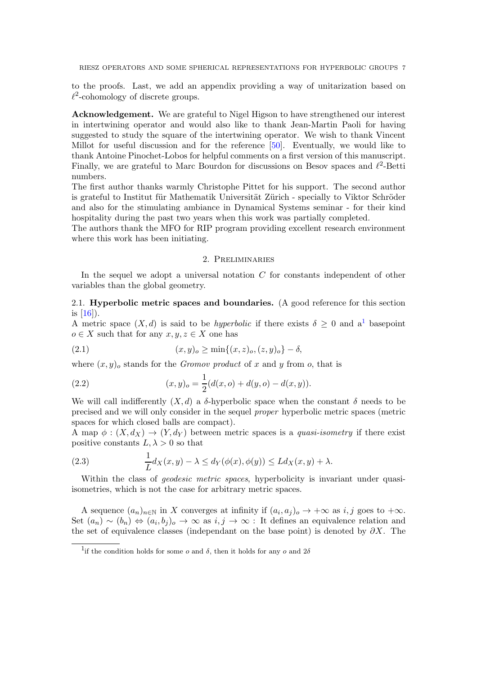to the proofs. Last, we add an appendix providing a way of unitarization based on  $\ell^2$ -cohomology of discrete groups.

Acknowledgement. We are grateful to Nigel Higson to have strengthened our interest in intertwining operator and would also like to thank Jean-Martin Paoli for having suggested to study the square of the intertwining operator. We wish to thank Vincent Millot for useful discussion and for the reference [\[50\]](#page-53-11). Eventually, we would like to thank Antoine Pinochet-Lobos for helpful comments on a first version of this manuscript. Finally, we are grateful to Marc Bourdon for discussions on Besov spaces and  $\ell^2$ -Betti numbers.

The first author thanks warmly Christophe Pittet for his support. The second author is grateful to Institut für Mathematik Universität Zürich - specially to Viktor Schröder and also for the stimulating ambiance in Dynamical Systems seminar - for their kind hospitality during the past two years when this work was partially completed.

<span id="page-6-0"></span>The authors thank the MFO for RIP program providing excellent research environment where this work has been initiating.

# 2. Preliminaries

In the sequel we adopt a universal notation  $C$  for constants independent of other variables than the global geometry.

# 2.1. Hyperbolic metric spaces and boundaries. (A good reference for this section is [\[16\]](#page-52-16)).

A metric space  $(X, d)$  is said to be *hyperbolic* if there exists  $\delta \geq 0$  and a<sup>[1](#page-6-1)</sup> basepoint  $o \in X$  such that for any  $x, y, z \in X$  one has

(2.1) 
$$
(x,y)_o \ge \min\{(x,z)_o,(z,y)_o\} - \delta,
$$

where  $(x, y)$ <sub>o</sub> stands for the *Gromov product* of x and y from o, that is

(2.2) 
$$
(x,y)_o = \frac{1}{2}(d(x,o) + d(y,o) - d(x,y)).
$$

We will call indifferently  $(X, d)$  a  $\delta$ -hyperbolic space when the constant  $\delta$  needs to be precised and we will only consider in the sequel proper hyperbolic metric spaces (metric spaces for which closed balls are compact).

A map  $\phi: (X, d_X) \to (Y, d_Y)$  between metric spaces is a *quasi-isometry* if there exist positive constants  $L, \lambda > 0$  so that

(2.3) 
$$
\frac{1}{L}d_X(x,y) - \lambda \le d_Y(\phi(x), \phi(y)) \le Ld_X(x,y) + \lambda.
$$

Within the class of *geodesic metric spaces*, hyperbolicity is invariant under quasiisometries, which is not the case for arbitrary metric spaces.

A sequence  $(a_n)_{n\in\mathbb{N}}$  in X converges at infinity if  $(a_i, a_j)_o \to +\infty$  as  $i, j$  goes to  $+\infty$ . Set  $(a_n) \sim (b_n) \Leftrightarrow (a_i, b_j)_o \to \infty$  as  $i, j \to \infty$ : It defines an equivalence relation and the set of equivalence classes (independant on the base point) is denoted by  $\partial X$ . The

<span id="page-6-1"></span><sup>&</sup>lt;sup>1</sup>if the condition holds for some *o* and  $\delta$ , then it holds for any *o* and  $2\delta$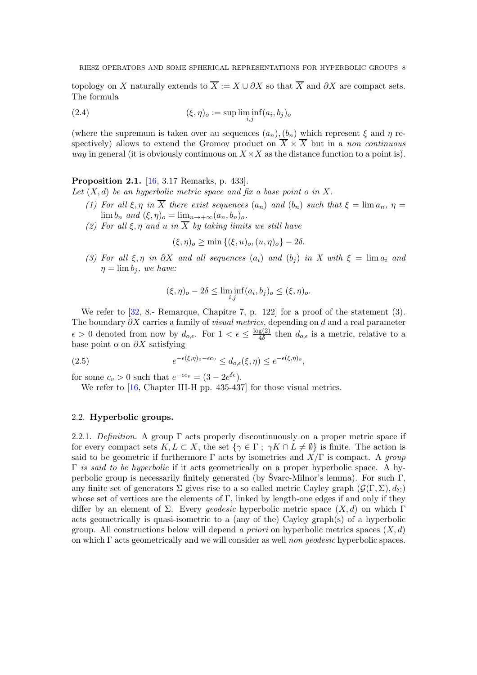topology on X naturally extends to  $\overline{X} := X \cup \partial X$  so that  $\overline{X}$  and  $\partial X$  are compact sets. The formula

(2.4) 
$$
(\xi, \eta)_o := \sup \liminf_{i,j} (a_i, b_j)_o
$$

(where the supremum is taken over au sequences  $(a_n)$ ,  $(b_n)$  which represent  $\xi$  and  $\eta$  respectively) allows to extend the Gromov product on  $\overline{X} \times \overline{X}$  but in a non continuous *way* in general (it is obviously continuous on  $X \times X$  as the distance function to a point is).

<span id="page-7-0"></span>Proposition 2.1. [\[16,](#page-52-16) 3.17 Remarks, p. 433]. Let  $(X, d)$  be an hyperbolic metric space and fix a base point o in X.

- (1) For all  $\xi, \eta$  in  $\overline{X}$  there exist sequences  $(a_n)$  and  $(b_n)$  such that  $\xi = \lim a_n$ ,  $\eta =$  $\lim b_n$  and  $(\xi, \eta)_o = \lim_{n \to +\infty} (a_n, b_n)_o$ .
- (2) For all  $\xi, \eta$  and u in  $\overline{X}$  by taking limits we still have

 $(\xi, \eta)_o \ge \min \{ (\xi, u)_o, (u, \eta)_o \} - 2\delta.$ 

(3) For all  $\xi, \eta$  in  $\partial X$  and all sequences  $(a_i)$  and  $(b_j)$  in X with  $\xi = \lim a_i$  and  $\eta = \lim b_i$ , we have:

$$
(\xi, \eta)_o - 2\delta \le \liminf_{i,j} (a_i, b_j)_o \le (\xi, \eta)_o.
$$

We refer to [\[32,](#page-53-4) 8.- Remarque, Chapitre 7, p. 122] for a proof of the statement (3). The boundary  $\partial X$  carries a family of *visual metrics*, depending on d and a real parameter  $\epsilon > 0$  denoted from now by  $d_{o,\epsilon}$ . For  $1 < \epsilon \leq \frac{\log(2)}{4\delta}$  $\frac{g(2)}{4\delta}$  then  $d_{o,\epsilon}$  is a metric, relative to a base point o on  $\partial X$  satisfying

(2.5) 
$$
e^{-\epsilon(\xi,\eta)_o-\epsilon c_v} \leq d_{o,\epsilon}(\xi,\eta) \leq e^{-\epsilon(\xi,\eta)_o},
$$

for some  $c_v > 0$  such that  $e^{-\epsilon c_v} = (3 - 2e^{\delta \epsilon}).$ 

We refer to [\[16,](#page-52-16) Chapter III-H pp. 435-437] for those visual metrics.

# 2.2. Hyperbolic groups.

2.2.1. Definition. A group  $\Gamma$  acts properly discontinuously on a proper metric space if for every compact sets  $K, L \subset X$ , the set  $\{\gamma \in \Gamma : \gamma K \cap L \neq \emptyset\}$  is finite. The action is said to be geometric if furthermore  $\Gamma$  acts by isometries and  $X/\Gamma$  is compact. A group  $\Gamma$  is said to be hyperbolic if it acts geometrically on a proper hyperbolic space. A hyperbolic group is necessarily finitely generated (by Svarc-Milnor's lemma). For such  $\Gamma$ , any finite set of generators  $\Sigma$  gives rise to a so called metric Cayley graph  $(\mathcal{G}(\Gamma, \Sigma), d_{\Sigma})$ whose set of vertices are the elements of  $\Gamma$ , linked by length-one edges if and only if they differ by an element of Σ. Every *geodesic* hyperbolic metric space  $(X, d)$  on which Γ acts geometrically is quasi-isometric to a (any of the) Cayley graph(s) of a hyperbolic group. All constructions below will depend a priori on hyperbolic metrics spaces  $(X, d)$ on which  $\Gamma$  acts geometrically and we will consider as well non geodesic hyperbolic spaces.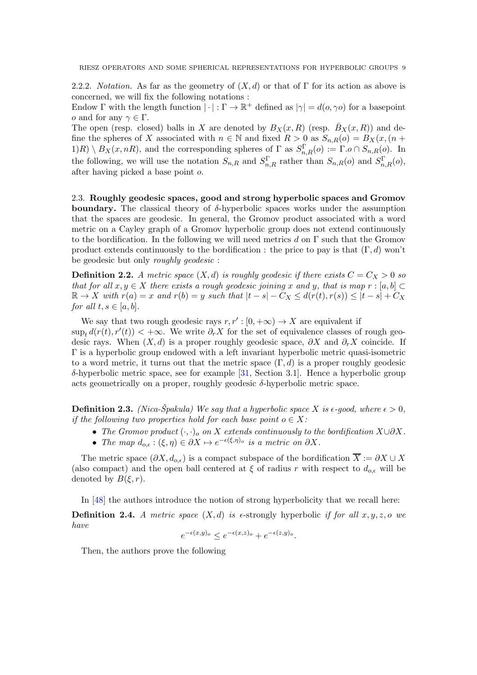2.2.2. *Notation.* As far as the geometry of  $(X, d)$  or that of Γ for its action as above is concerned, we will fix the following notations :

Endow  $\Gamma$  with the length function  $|\cdot|:\Gamma \to \mathbb{R}^+$  defined as  $|\gamma|=d(o,\gamma o)$  for a basepoint *o* and for any  $\gamma \in \Gamma$ .

The open (resp. closed) balls in X are denoted by  $B_X(x, R)$  (resp.  $\bar{B}_X(x, R)$ ) and define the spheres of X associated with  $n \in \mathbb{N}$  and fixed  $R > 0$  as  $S_{n,R}(o) = B_X(x,(n +$  $1(R) \setminus B_X(x, nR)$ , and the corresponding spheres of  $\Gamma$  as  $S_{n,R}^{\Gamma}(o) := \Gamma.o \cap S_{n,R}(o)$ . In the following, we will use the notation  $S_{n,R}$  and  $S_{n,R}^{\Gamma}$  rather than  $S_{n,R}(o)$  and  $S_{n,R}^{\Gamma}(o)$ , after having picked a base point o.

<span id="page-8-0"></span>2.3. Roughly geodesic spaces, good and strong hyperbolic spaces and Gromov boundary. The classical theory of  $\delta$ -hyperbolic spaces works under the assumption that the spaces are geodesic. In general, the Gromov product associated with a word metric on a Cayley graph of a Gromov hyperbolic group does not extend continuously to the bordification. In the following we will need metrics d on  $\Gamma$  such that the Gromov product extends continuously to the bordification : the price to pay is that  $(\Gamma, d)$  won't be geodesic but only roughly geodesic :

**Definition 2.2.** A metric space  $(X, d)$  is roughly geodesic if there exists  $C = C_X > 0$  so that for all  $x, y \in X$  there exists a rough geodesic joining x and y, that is map  $r : [a, b] \subset Y$  $\mathbb{R} \to X$  with  $r(a) = x$  and  $r(b) = y$  such that  $|t - s| - C_X \leq d(r(t), r(s)) \leq |t - s| + C_X$ for all  $t, s \in [a, b]$ .

We say that two rough geodesic rays  $r, r': [0, +\infty) \to X$  are equivalent if  $\sup_t d(r(t), r'(t)) < +\infty$ . We write  $\partial_r X$  for the set of equivalence classes of rough geodesic rays. When  $(X, d)$  is a proper roughly geodesic space,  $\partial X$  and  $\partial_r X$  coincide. If Γ is a hyperbolic group endowed with a left invariant hyperbolic metric quasi-isometric to a word metric, it turns out that the metric space  $(\Gamma, d)$  is a proper roughly geodesic δ-hyperbolic metric space, see for example [\[31,](#page-53-12) Section 3.1]. Hence a hyperbolic group acts geometrically on a proper, roughly geodesic  $\delta$ -hyperbolic metric space.

**Definition 2.3.** (Nica-Špakula) We say that a hyperbolic space X is  $\epsilon$ -good, where  $\epsilon > 0$ . if the following two properties hold for each base point  $o \in X$ :

- The Gromov product  $(\cdot, \cdot)_o$  on X extends continuously to the bordification  $X\cup\partial X$ .
- The map  $d_{o,\epsilon}: (\xi, \eta) \in \partial X \mapsto e^{-\epsilon(\xi, \eta)_{o}}$  is a metric on  $\partial X$ .

The metric space  $(\partial X, d_{o,\epsilon})$  is a compact subspace of the bordification  $\overline{X} := \partial X \cup X$ (also compact) and the open ball centered at  $\xi$  of radius r with respect to  $d_{o,\epsilon}$  will be denoted by  $B(\xi, r)$ .

In [\[48\]](#page-53-9) the authors introduce the notion of strong hyperbolicity that we recall here:

**Definition 2.4.** A metric space  $(X,d)$  is  $\epsilon$ -strongly hyperbolic if for all  $x, y, z, o$  we have

$$
e^{-\epsilon(x,y)_o} \le e^{-\epsilon(x,z)_o} + e^{-\epsilon(z,y)_o}.
$$

Then, the authors prove the following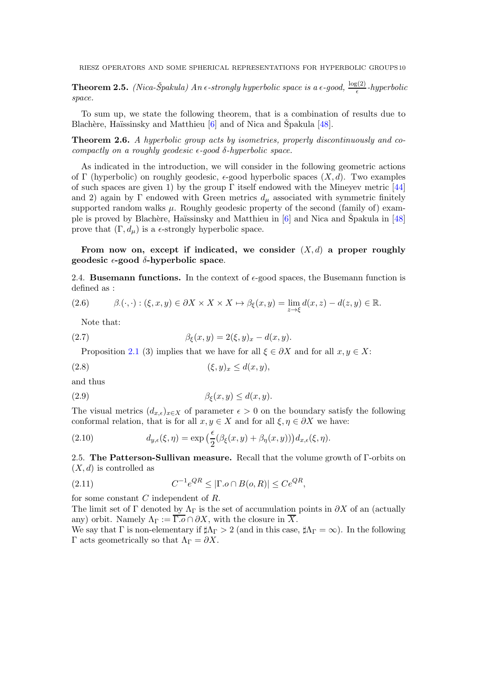**Theorem 2.5.** (Nica-Špakula) An  $\epsilon$ -strongly hyperbolic space is a  $\epsilon$ -good,  $\frac{\log(2)}{\epsilon}$ -hyperbolic space.

To sum up, we state the following theorem, that is a combination of results due to Blachère, Haïssinsky and Matthieu  $[6]$  and of Nica and Spakula  $[48]$  $[48]$ .

Theorem 2.6. A hyperbolic group acts by isometries, properly discontinuously and cocompactly on a roughly geodesic  $\epsilon$ -good  $\delta$ -hyperbolic space.

As indicated in the introduction, we will consider in the following geometric actions of Γ (hyperbolic) on roughly geodesic,  $\epsilon$ -good hyperbolic spaces  $(X, d)$ . Two examples of such spaces are given 1) by the group  $\Gamma$  itself endowed with the Mineyev metric [\[44\]](#page-53-13) and 2) again by Γ endowed with Green metrics  $d_{\mu}$  associated with symmetric finitely supported random walks  $\mu$ . Roughly geodesic property of the second (family of) example is proved by Blachère, Haïssinsky and Matthieu in  $[6]$  and Nica and Spakula in  $[48]$  $[48]$ prove that  $(\Gamma, d_{\mu})$  is a  $\epsilon$ -strongly hyperbolic space.

# From now on, except if indicated, we consider  $(X, d)$  a proper roughly geodesic  $\epsilon$ -good  $\delta$ -hyperbolic space.

2.4. **Busemann functions.** In the context of  $\epsilon$ -good spaces, the Busemann function is defined as :

$$
(2.6) \qquad \beta.(\cdot,\cdot):(\xi,x,y)\in\partial X\times X\times X\mapsto\beta_{\xi}(x,y)=\lim_{z\to\xi}d(x,z)-d(z,y)\in\mathbb{R}.
$$

Note that:

(2.7) 
$$
\beta_{\xi}(x,y) = 2(\xi,y)_x - d(x,y).
$$

Proposition [2.1](#page-7-0) (3) implies that we have for all  $\xi \in \partial X$  and for all  $x, y \in X$ :

$$
(2.8) \qquad (\xi, y)_x \le d(x, y),
$$

and thus

$$
\beta_{\xi}(x, y) \le d(x, y).
$$

The visual metrics  $(d_{x,\epsilon})_{x\in X}$  of parameter  $\epsilon > 0$  on the boundary satisfy the following conformal relation, that is for all  $x, y \in X$  and for all  $\xi, \eta \in \partial X$  we have:

<span id="page-9-0"></span>(2.10) 
$$
d_{y,\epsilon}(\xi,\eta) = \exp\left(\frac{\epsilon}{2}(\beta_{\xi}(x,y) + \beta_{\eta}(x,y))\right) d_{x,\epsilon}(\xi,\eta).
$$

2.5. The Patterson-Sullivan measure. Recall that the volume growth of Γ-orbits on  $(X, d)$  is controlled as

$$
(2.11) \tC^{-1}e^{QR} \le |\Gamma.o \cap B(o, R)| \le Ce^{QR},
$$

for some constant C independent of R.

The limit set of Γ denoted by  $\Lambda_{\Gamma}$  is the set of accumulation points in  $\partial X$  of an (actually any) orbit. Namely  $\Lambda_{\Gamma} := \overline{\Gamma \cdot o} \cap \partial X$ , with the closure in  $\overline{X}$ .

We say that  $\Gamma$  is non-elementary if  $\sharp \Lambda_{\Gamma} > 2$  (and in this case,  $\sharp \Lambda_{\Gamma} = \infty$ ). In the following Γ acts geometrically so that  $Λ<sub>Γ</sub> = ∂X$ .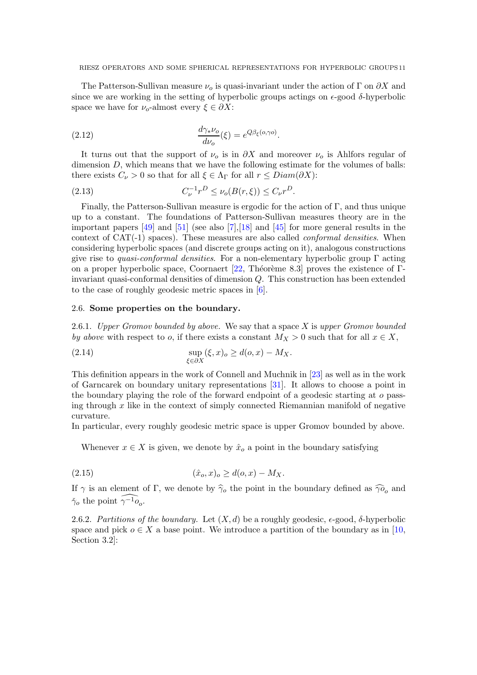The Patterson-Sullivan measure  $\nu_{o}$  is quasi-invariant under the action of Γ on  $\partial X$  and since we are working in the setting of hyperbolic groups actings on  $\epsilon$ -good  $\delta$ -hyperbolic space we have for  $\nu_o$ -almost every  $\xi \in \partial X$ :

(2.12) 
$$
\frac{d\gamma_* \nu_o}{d\nu_o}(\xi) = e^{Q\beta_{\xi}(o,\gamma o)}.
$$

It turns out that the support of  $\nu_0$  is in  $\partial X$  and moreover  $\nu_0$  is Ahlfors regular of dimension  $D$ , which means that we have the following estimate for the volumes of balls: there exists  $C_{\nu} > 0$  so that for all  $\xi \in \Lambda_{\Gamma}$  for all  $r \leq Diam(\partial X)$ :

(2.13) 
$$
C_{\nu}^{-1}r^{D} \leq \nu_{o}(B(r,\xi)) \leq C_{\nu}r^{D}.
$$

Finally, the Patterson-Sullivan measure is ergodic for the action of  $\Gamma$ , and thus unique up to a constant. The foundations of Patterson-Sullivan measures theory are in the important papers [\[49\]](#page-53-14) and [\[51\]](#page-53-15) (see also [\[7\]](#page-52-15),[\[18\]](#page-52-4) and [\[45\]](#page-53-16) for more general results in the context of  $CAT(-1)$  spaces). These measures are also called *conformal densities*. When considering hyperbolic spaces (and discrete groups acting on it), analogous constructions give rise to *quasi-conformal densities*. For a non-elementary hyperbolic group  $\Gamma$  acting on a proper hyperbolic space, Coornaert  $[22,$  Théorème 8.3] proves the existence of Γinvariant quasi-conformal densities of dimension Q. This construction has been extended to the case of roughly geodesic metric spaces in [\[6\]](#page-52-17).

### 2.6. Some properties on the boundary.

2.6.1. Upper Gromov bounded by above. We say that a space  $X$  is upper Gromov bounded by above with respect to o, if there exists a constant  $M_X > 0$  such that for all  $x \in X$ ,

(2.14) 
$$
\sup_{\xi \in \partial X} (\xi, x)_o \geq d(o, x) - M_X.
$$

This definition appears in the work of Connell and Muchnik in [\[23\]](#page-52-19) as well as in the work of Garncarek on boundary unitary representations [\[31\]](#page-53-12). It allows to choose a point in the boundary playing the role of the forward endpoint of a geodesic starting at o passing through  $x$  like in the context of simply connected Riemannian manifold of negative curvature.

In particular, every roughly geodesic metric space is upper Gromov bounded by above.

<span id="page-10-0"></span>Whenever  $x \in X$  is given, we denote by  $\hat{x}_o$  a point in the boundary satisfying

(2.15) 
$$
(\hat{x}_o, x)_o \geq d(o, x) - M_X.
$$

If  $\gamma$  is an element of Γ, we denote by  $\hat{\gamma}_o$  the point in the boundary defined as  $\hat{\gamma}$ <sub>0</sub> and  $\check{\gamma}_o$  the point  $\widehat{\gamma^{-1}o_o}$ .

2.6.2. Partitions of the boundary. Let  $(X, d)$  be a roughly geodesic,  $\epsilon$ -good,  $\delta$ -hyperbolic space and pick  $o \in X$  a base point. We introduce a partition of the boundary as in [\[10,](#page-52-3) Section 3.2]: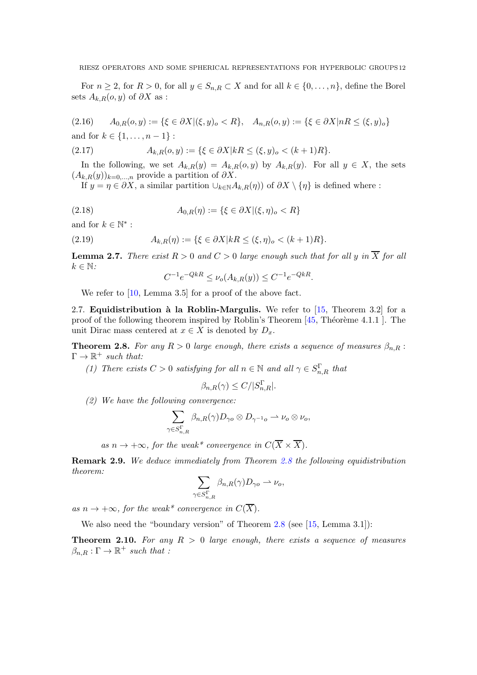For  $n \geq 2$ , for  $R > 0$ , for all  $y \in S_{n,R} \subset X$  and for all  $k \in \{0, \ldots, n\}$ , define the Borel sets  $A_{k,R}(o, y)$  of  $\partial X$  as :

$$
(2.16) \qquad A_{0,R}(o,y) := \{ \xi \in \partial X | (\xi, y)_o < R \}, \quad A_{n,R}(o,y) := \{ \xi \in \partial X | nR \le (\xi, y)_o \}
$$

and for  $k \in \{1, ..., n-1\}$ :

(2.17) 
$$
A_{k,R}(o,y) := \{ \xi \in \partial X | kR \le (\xi, y)_o < (k+1)R \}.
$$

In the following, we set  $A_{k,R}(y) = A_{k,R}(o, y)$  by  $A_{k,R}(y)$ . For all  $y \in X$ , the sets  $(A_{k,R}(y))_{k=0,\ldots,n}$  provide a partition of  $\partial X$ .

If  $y = \eta \in \partial X$ , a similar partition  $\cup_{k \in \mathbb{N}} A_{k,R}(\eta)$  of  $\partial X \setminus \{\eta\}$  is defined where :

(2.18) 
$$
A_{0,R}(\eta) := \{ \xi \in \partial X | (\xi, \eta)_o < R \}
$$

and for  $k \in \mathbb{N}^*$ :

(2.19) 
$$
A_{k,R}(\eta) := \{ \xi \in \partial X | kR \le (\xi, \eta)_o < (k+1)R \}.
$$

<span id="page-11-1"></span>**Lemma 2.7.** There exist  $R > 0$  and  $C > 0$  large enough such that for all y in  $\overline{X}$  for all  $k \in \mathbb{N}$ :

$$
C^{-1}e^{-QkR} \le \nu_o(A_{k,R}(y)) \le C^{-1}e^{-QkR}.
$$

We refer to [\[10,](#page-52-3) Lemma 3.5] for a proof of the above fact.

2.7. **Equidistribution à la Roblin-Margulis.** We refer to  $[15,$  Theorem 3.2 for a proof of the following theorem inspired by Roblin's Theorem  $[45,$  Théorème  $4.1.1$  ]. The unit Dirac mass centered at  $x \in X$  is denoted by  $D_x$ .

<span id="page-11-0"></span>**Theorem 2.8.** For any  $R > 0$  large enough, there exists a sequence of measures  $\beta_{n,R}$ :  $\Gamma \to \mathbb{R}^+$  such that:

(1) There exists  $C > 0$  satisfying for all  $n \in \mathbb{N}$  and all  $\gamma \in S_{n,R}^{\Gamma}$  that

$$
\beta_{n,R}(\gamma) \le C/|S_{n,R}^{\Gamma}|.
$$

(2) We have the following convergence:

$$
\sum_{\gamma \in S^{\Gamma}_{n,R}} \beta_{n,R}(\gamma) D_{\gamma o} \otimes D_{\gamma^{-1} o} \rightharpoonup \nu_o \otimes \nu_o,
$$

as  $n \to +\infty$ , for the weak\* convergence in  $C(\overline{X} \times \overline{X})$ .

<span id="page-11-2"></span>Remark 2.9. We deduce immediately from Theorem [2.8](#page-11-0) the following equidistribution theorem:

$$
\sum_{\gamma \in S^{\Gamma}_{n,R}} \beta_{n,R}(\gamma) D_{\gamma o} \rightharpoonup \nu_o,
$$

as  $n \to +\infty$ , for the weak\* convergence in  $C(\overline{X})$ .

We also need the "boundary version" of Theorem [2.8](#page-11-0) (see [\[15,](#page-52-8) Lemma 3.1]):

<span id="page-11-3"></span>**Theorem 2.10.** For any  $R > 0$  large enough, there exists a sequence of measures  $\beta_{n,R} : \Gamma \to \mathbb{R}^+$  such that :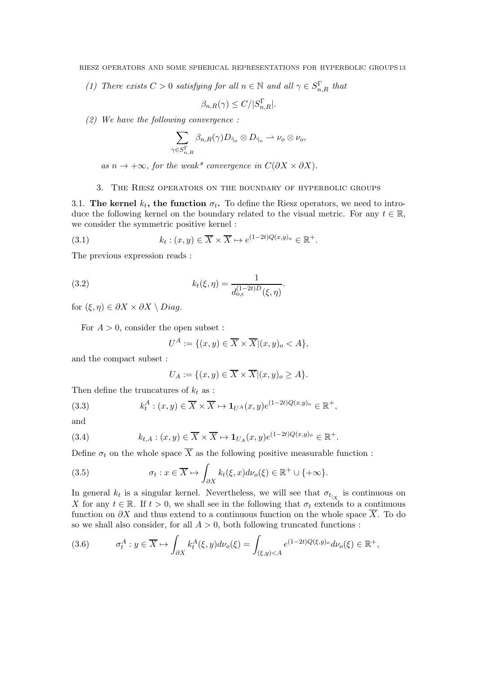(1) There exists  $C > 0$  satisfying for all  $n \in \mathbb{N}$  and all  $\gamma \in S_{n,R}^{\Gamma}$  that

$$
\beta_{n,R}(\gamma) \le C/|S_{n,R}^{\Gamma}|.
$$

(2) We have the following convergence :

$$
\sum_{\gamma \in S^{\Gamma}_{n,R}} \beta_{n,R}(\gamma) D_{\hat{\gamma}_o} \otimes D_{\check{\gamma}_o} \rightharpoonup \nu_o \otimes \nu_o,
$$

as  $n \to +\infty$ , for the weak\* convergence in  $C(\partial X \times \partial X)$ .

# <span id="page-12-0"></span>3. The Riesz operators on the boundary of hyperbolic groups

3.1. The kernel  $k_t$ , the function  $\sigma_t$ . To define the Riesz operators, we need to introduce the following kernel on the boundary related to the visual metric. For any  $t \in \mathbb{R}$ , we consider the symmetric positive kernel :

(3.1) 
$$
k_t: (x, y) \in \overline{X} \times \overline{X} \mapsto e^{(1-2t)Q(x, y)_o} \in \mathbb{R}^+.
$$

The previous expression reads :

(3.2) 
$$
k_t(\xi, \eta) = \frac{1}{d_{o,\epsilon}^{(1-2t)D}(\xi, \eta)}.
$$

for  $(\xi, \eta) \in \partial X \times \partial X \setminus Diag$ .

For  $A > 0$ , consider the open subset :

$$
U^A := \{ (x, y) \in \overline{X} \times \overline{X} | (x, y)_o < A \},\
$$

and the compact subset :

$$
U_A := \{(x, y) \in \overline{X} \times \overline{X} | (x, y)_o \ge A\}.
$$

Then define the truncatures of  $k_t$  as :

(3.3) 
$$
k_t^A: (x, y) \in \overline{X} \times \overline{X} \mapsto \mathbf{1}_{U^A}(x, y)e^{(1-2t)Q(x, y)_o} \in \mathbb{R}^+,
$$

and

(3.4) 
$$
k_{t,A}: (x,y) \in \overline{X} \times \overline{X} \mapsto \mathbf{1}_{U_A}(x,y)e^{(1-2t)Q(x,y)_o} \in \mathbb{R}^+.
$$

Define  $\sigma_t$  on the whole space  $\overline{X}$  as the following positive measurable function :

(3.5) 
$$
\sigma_t: x \in \overline{X} \mapsto \int_{\partial X} k_t(\xi, x) d\nu_o(\xi) \in \mathbb{R}^+ \cup \{+\infty\}.
$$

In general  $k_t$  is a singular kernel. Nevertheless, we will see that  $\sigma_{t_{X}}$  is continuous on X for any  $t \in \mathbb{R}$ . If  $t > 0$ , we shall see in the following that  $\sigma_t$  extends to a continuous function on  $\partial X$  and thus extend to a continuous function on the whole space  $\overline{X}$ . To do so we shall also consider, for all  $A > 0$ , both following truncated functions :

(3.6) 
$$
\sigma_t^A: y \in \overline{X} \mapsto \int_{\partial X} k_t^A(\xi, y) d\nu_o(\xi) = \int_{(\xi, y) < A} e^{(1-2t)Q(\xi, y)_o} d\nu_o(\xi) \in \mathbb{R}^+,
$$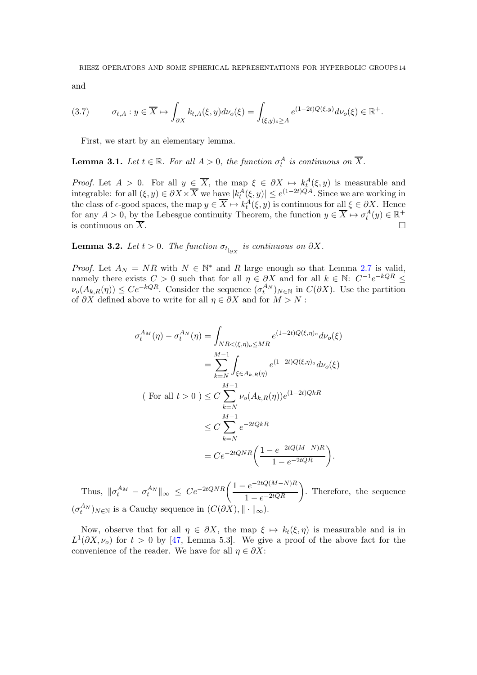and

$$
(3.7) \qquad \sigma_{t,A}: y \in \overline{X} \mapsto \int_{\partial X} k_{t,A}(\xi, y) d\nu_o(\xi) = \int_{(\xi, y)_o \ge A} e^{(1-2t)Q(\xi, y)} d\nu_o(\xi) \in \mathbb{R}^+.
$$

First, we start by an elementary lemma.

<span id="page-13-1"></span>**Lemma 3.1.** Let  $t \in \mathbb{R}$ . For all  $A > 0$ , the function  $\sigma_t^A$  is continuous on  $\overline{X}$ .

*Proof.* Let  $A > 0$ . For all  $y \in \overline{X}$ , the map  $\xi \in \partial X \mapsto k_t^A(\xi, y)$  is measurable and integrable: for all  $(\xi, y) \in \partial X \times \overline{X}$  we have  $|k_t^A(\xi, y)| \le e^{(1-2t)QA}$ . Since we are working in the class of  $\epsilon$ -good spaces, the map  $y \in \overline{X} \mapsto k_t^A(\xi, y)$  is continuous for all  $\xi \in \partial X$ . Hence for any  $A > 0$ , by the Lebesgue continuity Theorem, the function  $y \in \overline{X} \mapsto \sigma_t^A(y) \in \mathbb{R}^+$ is continuous on  $\overline{X}$ .

<span id="page-13-0"></span>**Lemma 3.2.** Let  $t > 0$ . The function  $\sigma_{t|_{\partial X}}$  is continuous on  $\partial X$ .

*Proof.* Let  $A_N = NR$  with  $N \in \mathbb{N}^*$  and R large enough so that Lemma [2.7](#page-11-1) is valid, namely there exists  $C > 0$  such that for all  $\eta \in \partial X$  and for all  $k \in \mathbb{N}$ :  $C^{-1}e^{-kQR} \leq$  $\nu_o(A_{k,R}(\eta)) \leq Ce^{-kQR}$ . Consider the sequence  $(\sigma_t^{A_N})_{N \in \mathbb{N}}$  in  $C(\partial X)$ . Use the partition of  $\partial X$  defined above to write for all  $\eta \in \partial X$  and for  $M > N$ :

$$
\sigma_t^{A_M}(\eta) - \sigma_t^{A_N}(\eta) = \int_{NR < (\xi, \eta)_o \le MR} e^{(1-2t)Q(\xi, \eta)_o} d\nu_o(\xi)
$$
  

$$
= \sum_{k=N}^{M-1} \int_{\xi \in A_{k,R}(\eta)} e^{(1-2t)Q(\xi, \eta)_o} d\nu_o(\xi)
$$
  
(For all  $t > 0$ )  $\le C \sum_{k=N}^{M-1} \nu_o(A_{k,R}(\eta)) e^{(1-2t)QkR}$   

$$
\le C \sum_{k=N}^{M-1} e^{-2tQkR}
$$
  

$$
= Ce^{-2tQNR} \left( \frac{1 - e^{-2tQ(M-N)R}}{1 - e^{-2tQR}} \right).
$$

Thus,  $\|\sigma_t^{A_M} - \sigma_t^{A_N}\|_{\infty} \leq Ce^{-2tQNR}\left(\frac{1 - e^{-2tQ(M-N)R}}{1 - e^{-2tQR}}\right)$ . Therefore, the sequence  $(\sigma_t^{A_N})_{N \in \mathbb{N}}$  is a Cauchy sequence in  $(C(\partial X), \|\cdot\|_{\infty})$ .

Now, observe that for all  $\eta \in \partial X$ , the map  $\xi \mapsto k_t(\xi, \eta)$  is measurable and is in  $L^1(\partial X, \nu_o)$  for  $t > 0$  by [\[47,](#page-53-17) Lemma 5.3]. We give a proof of the above fact for the convenience of the reader. We have for all  $\eta \in \partial X$ :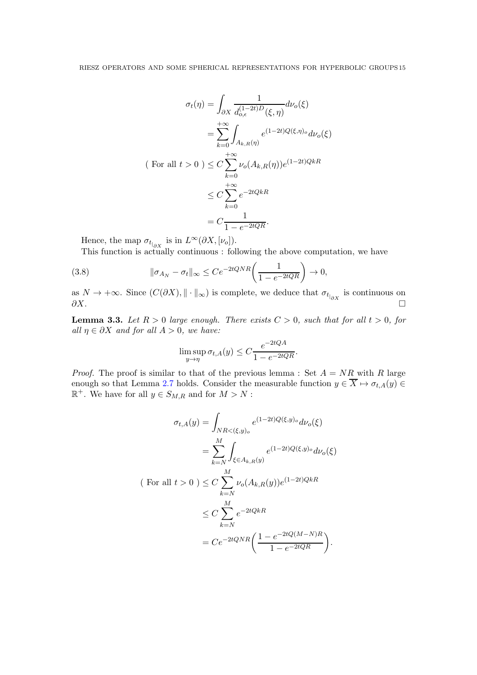$$
\sigma_t(\eta) = \int_{\partial X} \frac{1}{d_{o,\epsilon}^{(1-2t)D}(\xi, \eta)} d\nu_o(\xi)
$$

$$
= \sum_{k=0}^{+\infty} \int_{A_{k,R}(\eta)} e^{(1-2t)Q(\xi, \eta)_o} d\nu_o(\xi)
$$
  
(For all  $t > 0$ )  $\leq C \sum_{k=0}^{+\infty} \nu_o(A_{k,R}(\eta)) e^{(1-2t)QkR}$ 
$$
\leq C \sum_{k=0}^{+\infty} e^{-2tQkR}
$$

$$
= C \frac{1}{1 - e^{-2tQR}}.
$$

Hence, the map  $\sigma_{t|_{\partial X}}$  is in  $L^{\infty}(\partial X, [\nu_o]).$ 

This function is actually continuous : following the above computation, we have

<span id="page-14-1"></span>(3.8) 
$$
\|\sigma_{A_N} - \sigma_t\|_{\infty} \le Ce^{-2tQNR}\left(\frac{1}{1 - e^{-2tQR}}\right) \to 0,
$$

as  $N \to +\infty$ . Since  $(C(\partial X), \|\cdot\|_{\infty})$  is complete, we deduce that  $\sigma_{t|_{\partial X}}$  is continuous on  $\partial X.$ 

<span id="page-14-0"></span>**Lemma 3.3.** Let  $R > 0$  large enough. There exists  $C > 0$ , such that for all  $t > 0$ , for all  $\eta \in \partial X$  and for all  $A > 0$ , we have:

$$
\limsup_{y \to \eta} \sigma_{t,A}(y) \le C \frac{e^{-2tQA}}{1 - e^{-2tQR}}.
$$

*Proof.* The proof is similar to that of the previous lemma : Set  $A = NR$  with R large enough so that Lemma [2.7](#page-11-1) holds. Consider the measurable function  $y \in \overline{X} \mapsto \sigma_{t,A}(y) \in$  $\mathbb{R}^+$ . We have for all  $y \in S_{M,R}$  and for  $M > N$ :

$$
\sigma_{t,A}(y) = \int_{NR < (\xi,y)_o} e^{(1-2t)Q(\xi,y)_o} d\nu_o(\xi)
$$

$$
= \sum_{k=N}^{M} \int_{\xi \in A_{k,R}(y)} e^{(1-2t)Q(\xi,y)_o} d\nu_o(\xi)
$$
  
(For all  $t > 0$ )  $\leq C \sum_{k=N}^{M} \nu_o(A_{k,R}(y)) e^{(1-2t)QkR}$ 
$$
\leq C \sum_{k=N}^{M} e^{-2tQkR}
$$

$$
= Ce^{-2tQNR} \left( \frac{1 - e^{-2tQ(M-N)R}}{1 - e^{-2tQR}} \right).
$$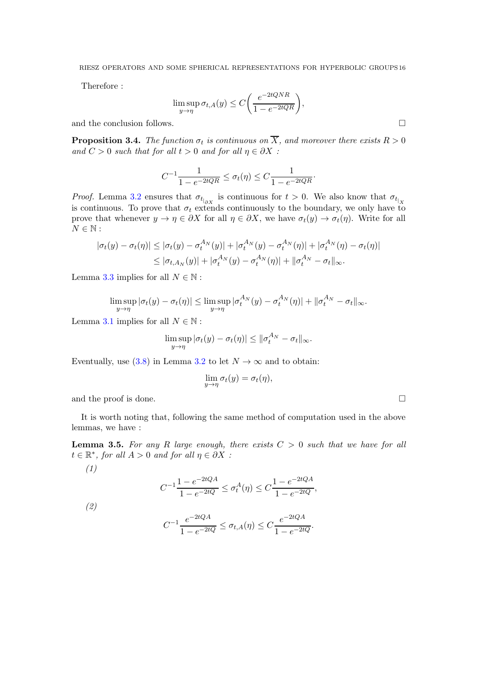Therefore :

$$
\limsup_{y \to \eta} \sigma_{t,A}(y) \le C\bigg(\frac{e^{-2tQNR}}{1 - e^{-2tQR}}\bigg),\,
$$

and the conclusion follows.

<span id="page-15-0"></span>**Proposition 3.4.** The function  $\sigma_t$  is continuous on X, and moreover there exists  $R > 0$ and  $C > 0$  such that for all  $t > 0$  and for all  $\eta \in \partial X$ :

$$
C^{-1} \frac{1}{1 - e^{-2tQR}} \le \sigma_t(\eta) \le C \frac{1}{1 - e^{-2tQR}}.
$$

*Proof.* Lemma [3.2](#page-13-0) ensures that  $\sigma_{t|_{\partial X}}$  is continuous for  $t > 0$ . We also know that  $\sigma_{t|_X}$ is continuous. To prove that  $\sigma_t$  extends continuously to the boundary, we only have to prove that whenever  $y \to \eta \in \partial X$  for all  $\eta \in \partial X$ , we have  $\sigma_t(y) \to \sigma_t(\eta)$ . Write for all  $N \in \mathbb{N}$ :

$$
|\sigma_t(y) - \sigma_t(\eta)| \leq |\sigma_t(y) - \sigma_t^{A_N}(y)| + |\sigma_t^{A_N}(y) - \sigma_t^{A_N}(\eta)| + |\sigma_t^{A_N}(\eta) - \sigma_t(\eta)|
$$
  

$$
\leq |\sigma_{t, A_N}(y)| + |\sigma_t^{A_N}(y) - \sigma_t^{A_N}(\eta)| + ||\sigma_t^{A_N} - \sigma_t||_{\infty}.
$$

Lemma [3.3](#page-14-0) implies for all  $N \in \mathbb{N}$ :

$$
\limsup_{y \to \eta} |\sigma_t(y) - \sigma_t(\eta)| \le \limsup_{y \to \eta} |\sigma_t^{A_N}(y) - \sigma_t^{A_N}(\eta)| + ||\sigma_t^{A_N} - \sigma_t||_{\infty}.
$$

Lemma [3.1](#page-13-1) implies for all  $N \in \mathbb{N}$ :

$$
\limsup_{y \to \eta} |\sigma_t(y) - \sigma_t(\eta)| \le ||\sigma_t^{A_N} - \sigma_t||_{\infty}.
$$

Eventually, use [\(3.8\)](#page-14-1) in Lemma [3.2](#page-13-0) to let  $N \to \infty$  and to obtain:

$$
\lim_{y \to \eta} \sigma_t(y) = \sigma_t(\eta),
$$

and the proof is done.  $\Box$ 

(1)

(2)

It is worth noting that, following the same method of computation used in the above lemmas, we have :

<span id="page-15-1"></span>**Lemma 3.5.** For any R large enough, there exists  $C > 0$  such that we have for all  $t \in \mathbb{R}^*$ , for all  $A > 0$  and for all  $\eta \in \partial X$ :

$$
C^{-1} \frac{1 - e^{-2tQA}}{1 - e^{-2tQ}} \le \sigma_t^A(\eta) \le C \frac{1 - e^{-2tQA}}{1 - e^{-2tQ}},
$$

$$
C^{-1} \frac{e^{-2tQA}}{1 - e^{-2tQ}} \le \sigma_{t,A}(\eta) \le C \frac{e^{-2tQA}}{1 - e^{-2tQ}}.
$$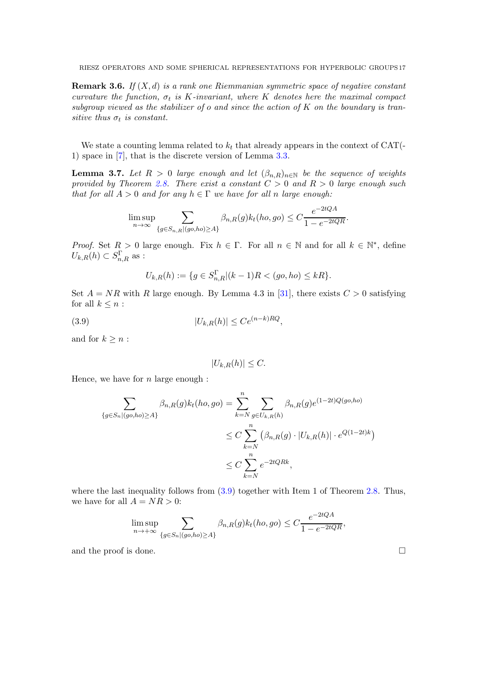**Remark 3.6.** If  $(X, d)$  is a rank one Riemmanian symmetric space of negative constant curvature the function,  $\sigma_t$  is K-invariant, where K denotes here the maximal compact subgroup viewed as the stabilizer of  $o$  and since the action of  $K$  on the boundary is transitive thus  $\sigma_t$  is constant.

We state a counting lemma related to  $k_t$  that already appears in the context of CAT(-1) space in [\[7\]](#page-52-15), that is the discrete version of Lemma [3.3.](#page-14-0)

<span id="page-16-1"></span>**Lemma 3.7.** Let  $R > 0$  large enough and let  $(\beta_{n,R})_{n \in \mathbb{N}}$  be the sequence of weights provided by Theorem [2.8.](#page-11-0) There exist a constant  $C > 0$  and  $R > 0$  large enough such that for all  $A > 0$  and for any  $h \in \Gamma$  we have for all n large enough:

$$
\limsup_{n \to \infty} \sum_{\{g \in S_{n,R} | (go, ho) \ge A\}} \beta_{n,R}(g) k_t(ho, go) \le C \frac{e^{-2tQA}}{1 - e^{-2tQR}}.
$$

*Proof.* Set  $R > 0$  large enough. Fix  $h \in \Gamma$ . For all  $n \in \mathbb{N}$  and for all  $k \in \mathbb{N}^*$ , define  $U_{k,R}(h) \subset S_{n,R}^{\Gamma}$  as :

$$
U_{k,R}(h) := \{ g \in S_{n,R}^{\Gamma} | (k-1)R < (go, ho) \leq kR \}.
$$

Set  $A = NR$  with R large enough. By Lemma 4.3 in [\[31\]](#page-53-12), there exists  $C > 0$  satisfying for all  $k \leq n$ :

$$
(3.9) \t\t\t |U_{k,R}(h)| \le Ce^{(n-k)RQ},
$$

and for  $k \geq n$ :

<span id="page-16-0"></span>
$$
|U_{k,R}(h)| \leq C.
$$

Hence, we have for  $n$  large enough :

$$
\sum_{\{g \in S_n | (go, ho) \ge A\}} \beta_{n,R}(g) k_t(ho, go) = \sum_{k=N}^n \sum_{g \in U_{k,R}(h)} \beta_{n,R}(g) e^{(1-2t)Q(go, ho)}
$$
  

$$
\le C \sum_{k=N}^n (\beta_{n,R}(g) \cdot |U_{k,R}(h)| \cdot e^{Q(1-2t)k})
$$
  

$$
\le C \sum_{k=N}^n e^{-2tQRk},
$$

where the last inequality follows from  $(3.9)$  together with Item 1 of Theorem [2.8.](#page-11-0) Thus, we have for all  $A = NR > 0$ :

$$
\limsup_{n \to +\infty} \sum_{\{g \in S_n | (go, ho) \ge A\}} \beta_{n,R}(g) k_t(ho, go) \le C \frac{e^{-2tQA}}{1 - e^{-2tQR}},
$$

and the proof is done.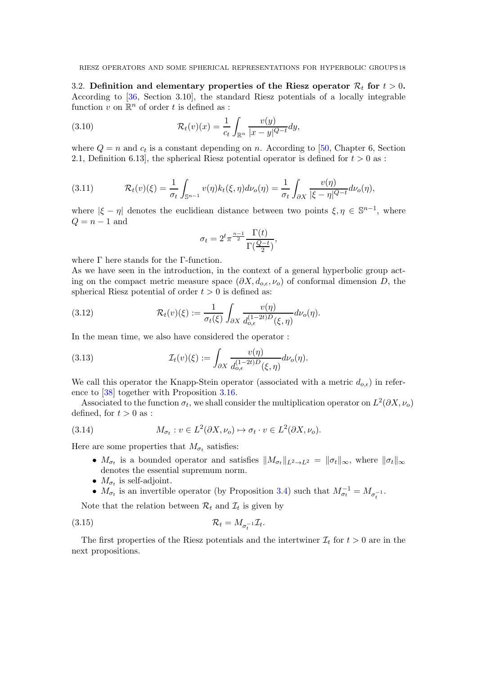3.2. Definition and elementary properties of the Riesz operator  $\mathcal{R}_t$  for  $t > 0$ . According to [\[36,](#page-53-18) Section 3.10], the standard Riesz potentials of a locally integrable function  $v$  on  $\mathbb{R}^n$  of order  $t$  is defined as :

(3.10) 
$$
\mathcal{R}_t(v)(x) = \frac{1}{c_t} \int_{\mathbb{R}^n} \frac{v(y)}{|x - y|^{Q - t}} dy,
$$

where  $Q = n$  and  $c_t$  is a constant depending on n. According to [\[50,](#page-53-11) Chapter 6, Section 2.1, Definition 6.13, the spherical Riesz potential operator is defined for  $t > 0$  as:

(3.11) 
$$
\mathcal{R}_t(v)(\xi) = \frac{1}{\sigma_t} \int_{\mathbb{S}^{n-1}} v(\eta) k_t(\xi, \eta) d\nu_o(\eta) = \frac{1}{\sigma_t} \int_{\partial X} \frac{v(\eta)}{|\xi - \eta|^{Q-t}} d\nu_o(\eta),
$$

where  $|\xi - \eta|$  denotes the euclidiean distance between two points  $\xi, \eta \in \mathbb{S}^{n-1}$ , where  $Q = n - 1$  and

$$
\sigma_t = 2^t \pi^{\frac{n-1}{2}} \frac{\Gamma(t)}{\Gamma(\frac{Q-t}{2})},
$$

where  $\Gamma$  here stands for the  $\Gamma$ -function.

As we have seen in the introduction, in the context of a general hyperbolic group acting on the compact metric measure space  $(\partial X, d_{o,\epsilon}, \nu_o)$  of conformal dimension D, the spherical Riesz potential of order  $t > 0$  is defined as:

(3.12) 
$$
\mathcal{R}_t(v)(\xi) := \frac{1}{\sigma_t(\xi)} \int_{\partial X} \frac{v(\eta)}{d_{o,\epsilon}^{(1-2t)D}(\xi, \eta)} d\nu_o(\eta).
$$

In the mean time, we also have considered the operator :

(3.13) 
$$
\mathcal{I}_t(v)(\xi) := \int_{\partial X} \frac{v(\eta)}{d_{o,\epsilon}^{(1-2t)D}(\xi,\eta)} d\nu_o(\eta).
$$

We call this operator the Knapp-Stein operator (associated with a metric  $d_{\alpha,\epsilon}$ ) in reference to [\[38\]](#page-53-8) together with Proposition [3.16.](#page-25-0)

Associated to the function  $\sigma_t$ , we shall consider the multiplication operator on  $L^2(\partial X, \nu_o)$ defined, for  $t > 0$  as :

(3.14) 
$$
M_{\sigma_t} : v \in L^2(\partial X, \nu_o) \mapsto \sigma_t \cdot v \in L^2(\partial X, \nu_o).
$$

Here are some properties that  $M_{\sigma_t}$  satisfies:

- $M_{\sigma_t}$  is a bounded operator and satisfies  $||M_{\sigma_t}||_{L^2 \to L^2} = ||\sigma_t||_{\infty}$ , where  $||\sigma_t||_{\infty}$ denotes the essential supremum norm.
- <span id="page-17-0"></span>•  $M_{\sigma_t}$  is self-adjoint.
- $M_{\sigma_t}$  is an invertible operator (by Proposition [3.4\)](#page-15-0) such that  $M_{\sigma_t}^{-1} = M_{\sigma_t^{-1}}$ .

Note that the relation between  $\mathcal{R}_t$  and  $\mathcal{I}_t$  is given by

$$
(3.15) \t\t \mathcal{R}_t = M_{\sigma_t^{-1}} \mathcal{I}_t.
$$

The first properties of the Riesz potentials and the intertwiner  $\mathcal{I}_t$  for  $t > 0$  are in the next propositions.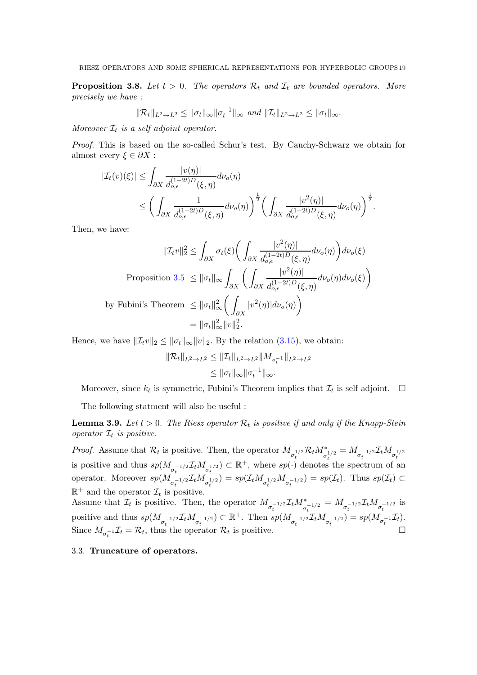<span id="page-18-0"></span>**Proposition 3.8.** Let  $t > 0$ . The operators  $\mathcal{R}_t$  and  $\mathcal{I}_t$  are bounded operators. More precisely we have :

$$
\|\mathcal{R}_t\|_{L^2\to L^2}\leq \|\sigma_t\|_{\infty}\|\sigma_t^{-1}\|_{\infty}\,\,and\,\,\|\mathcal{I}_t\|_{L^2\to L^2}\leq \|\sigma_t\|_{\infty}.
$$

Moreover  $\mathcal{I}_t$  is a self adjoint operator.

Proof. This is based on the so-called Schur's test. By Cauchy-Schwarz we obtain for almost every  $\xi \in \partial X$ :

$$
|\mathcal{I}_t(v)(\xi)| \leq \int_{\partial X} \frac{|v(\eta)|}{d_{o,\epsilon}^{(1-2t)D}(\xi,\eta)} d\nu_o(\eta)
$$
  

$$
\leq \left(\int_{\partial X} \frac{1}{d_{o,\epsilon}^{(1-2t)D}(\xi,\eta)} d\nu_o(\eta)\right)^{\frac{1}{2}} \left(\int_{\partial X} \frac{|v^2(\eta)|}{d_{o,\epsilon}^{(1-2t)D}(\xi,\eta)} d\nu_o(\eta)\right)^{\frac{1}{2}}.
$$

Then, we have:

$$
\|\mathcal{I}_{t}v\|_{2}^{2} \leq \int_{\partial X} \sigma_{t}(\xi) \bigg(\int_{\partial X} \frac{|v^{2}(\eta)|}{d_{o,\epsilon}^{(1-2t)D}(\xi,\eta)} d\nu_{o}(\eta)\bigg) d\nu_{o}(\xi)
$$
  
Proposition 3.5 
$$
\leq \|\sigma_{t}\|_{\infty} \int_{\partial X} \bigg(\int_{\partial X} \frac{|v^{2}(\eta)|}{d_{o,\epsilon}^{(1-2t)D}(\xi,\eta)} d\nu_{o}(\eta) d\nu_{o}(\xi)\bigg)
$$
by Fubini's Theorem 
$$
\leq \|\sigma_{t}\|_{\infty}^{2} \bigg(\int_{\partial X} |v^{2}(\eta)| d\nu_{o}(\eta)\bigg)
$$

$$
= \|\sigma_{t}\|_{\infty}^{2} \|v\|_{2}^{2}.
$$

Hence, we have  $\|\mathcal{I}_t v\|_2 \le \|\sigma_t\|_{\infty} \|v\|_2$ . By the relation [\(3.15\)](#page-17-0), we obtain:

$$
\|\mathcal{R}_t\|_{L^2 \to L^2} \le \|\mathcal{I}_t\|_{L^2 \to L^2} \|M_{\sigma_t^{-1}}\|_{L^2 \to L^2}
$$
  

$$
\le \|\sigma_t\|_{\infty} \|\sigma_t^{-1}\|_{\infty}.
$$

Moreover, since  $k_t$  is symmetric, Fubini's Theorem implies that  $\mathcal{I}_t$  is self adjoint.  $\Box$ 

The following statment will also be useful :

<span id="page-18-1"></span>**Lemma 3.9.** Let  $t > 0$ . The Riesz operator  $\mathcal{R}_t$  is positive if and only if the Knapp-Stein operator  $\mathcal{I}_t$  is positive.

*Proof.* Assume that  $\mathcal{R}_t$  is positive. Then, the operator  $M_{\sigma_t^{1/2}} \mathcal{R}_t M_{\sigma_t^{1/2}}^* = M_{\sigma_t^{-1/2}} \mathcal{I}_t M_{\sigma_t^{1/2}}$ is positive and thus  $sp(M_{\sigma_t^{-1/2}}\mathcal{I}_tM_{\sigma_t^{1/2}}) \subset \mathbb{R}^+$ , where  $sp(\cdot)$  denotes the spectrum of an operator. Moreover  $sp(M_{\sigma_t^{-1/2}}\mathcal{I}_tM_{\sigma_t^{1/2}})=sp(\mathcal{I}_tM_{\sigma_t^{-1/2}}M_{\sigma_t^{-1/2}})=sp(\mathcal{I}_t)$ . Thus  $sp(\mathcal{I}_t)\subset$  $\mathbb{R}^+$  and the operator  $\mathcal{I}_t$  is positive.

Assume that  $\mathcal{I}_t$  is positive. Then, the operator  $M_{\sigma_t^{-1/2}} \mathcal{I}_t M_{\sigma_t^{-1/2}}^* = M_{\sigma_t^{-1/2}} \mathcal{I}_t M_{\sigma_t^{-1/2}}$  is positive and thus  $sp(M_{\sigma_t^{-1/2}}\mathcal{I}_tM_{\sigma_t^{-1/2}})\subset \mathbb{R}^+$ . Then  $sp(M_{\sigma_t^{-1/2}}\mathcal{I}_tM_{\sigma_t^{-1/2}})=sp(M_{\sigma_t^{-1}}\mathcal{I}_t)$ . Since  $M_{\sigma_t^{-1}} \mathcal{I}_t = \mathcal{R}_t$ , thus the operator  $\mathcal{R}_t$ is positive.  $\Box$ 

# 3.3. Truncature of operators.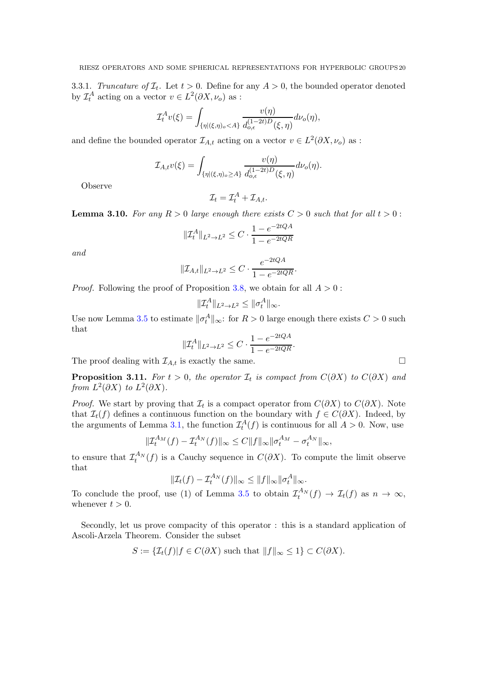3.3.1. Truncature of  $\mathcal{I}_t$ . Let  $t > 0$ . Define for any  $A > 0$ , the bounded operator denoted by  $\mathcal{I}_t^A$  acting on a vector  $v \in L^2(\partial X, \nu_o)$  as :

$$
\mathcal{I}_t^A v(\xi) = \int_{\{\eta | (\xi,\eta)_o < A\}} \frac{v(\eta)}{d_{o,\epsilon}^{(1-2t)D}(\xi,\eta)} d\nu_o(\eta),
$$

and define the bounded operator  $\mathcal{I}_{A,t}$  acting on a vector  $v \in L^2(\partial X, \nu_o)$  as :

$$
\mathcal{I}_{A,t}v(\xi) = \int_{\{\eta | (\xi,\eta)_{o} \ge A\}} \frac{v(\eta)}{d_{o,\epsilon}^{(1-2t)D}(\xi,\eta)} d\nu_{o}(\eta).
$$

Observe

$$
\mathcal{I}_t = \mathcal{I}_t^A + \mathcal{I}_{A,t}.
$$

<span id="page-19-0"></span>**Lemma 3.10.** For any  $R > 0$  large enough there exists  $C > 0$  such that for all  $t > 0$ :

$$
\|\mathcal{I}_t^A\|_{L^2\to L^2}\leq C\cdot\frac{1-e^{-2tQA}}{1-e^{-2tQR}}
$$

and

$$
||\mathcal{I}_{A,t}||_{L^2 \to L^2} \leq C \cdot \frac{e^{-2tQA}}{1 - e^{-2tQR}}.
$$

*Proof.* Following the proof of Proposition [3.8,](#page-18-0) we obtain for all  $A > 0$ :

$$
\|\mathcal{I}_t^A\|_{L^2 \to L^2} \le \|\sigma_t^A\|_{\infty}.
$$

Use now Lemma [3.5](#page-15-1) to estimate  $\|\sigma_t^A\|_{\infty}$ : for  $R > 0$  large enough there exists  $C > 0$  such that

$$
\|\mathcal{I}_t^A\|_{L^2 \to L^2} \le C \cdot \frac{1 - e^{-2tQA}}{1 - e^{-2tQR}}.
$$

The proof dealing with  $\mathcal{I}_{A,t}$  is exactly the same.

<span id="page-19-1"></span>**Proposition 3.11.** For  $t > 0$ , the operator  $\mathcal{I}_t$  is compact from  $C(\partial X)$  to  $C(\partial X)$  and from  $L^2(\partial X)$  to  $L^2(\partial X)$ .

*Proof.* We start by proving that  $\mathcal{I}_t$  is a compact operator from  $C(\partial X)$  to  $C(\partial X)$ . Note that  $\mathcal{I}_t(f)$  defines a continuous function on the boundary with  $f \in C(\partial X)$ . Indeed, by the arguments of Lemma [3.1,](#page-13-1) the function  $\mathcal{I}_t^A(f)$  is continuous for all  $A > 0$ . Now, use

$$
\|\mathcal{I}_t^{A_M}(f) - \mathcal{I}_t^{A_N}(f)\|_{\infty} \le C \|f\|_{\infty} \|\sigma_t^{A_M} - \sigma_t^{A_N}\|_{\infty},
$$

to ensure that  $\mathcal{I}_t^{A_N}(f)$  is a Cauchy sequence in  $C(\partial X)$ . To compute the limit observe that

$$
\|\mathcal{I}_t(f) - \mathcal{I}_t^{A_N}(f)\|_{\infty} \le \|f\|_{\infty} \|\sigma_t^A\|_{\infty}.
$$

To conclude the proof, use (1) of Lemma [3.5](#page-15-1) to obtain  $\mathcal{I}_t^{A_N}(f) \to \mathcal{I}_t(f)$  as  $n \to \infty$ , whenever  $t > 0$ .

Secondly, let us prove compacity of this operator : this is a standard application of Ascoli-Arzela Theorem. Consider the subset

$$
S := \{ \mathcal{I}_t(f) | f \in C(\partial X) \text{ such that } ||f||_{\infty} \le 1 \} \subset C(\partial X).
$$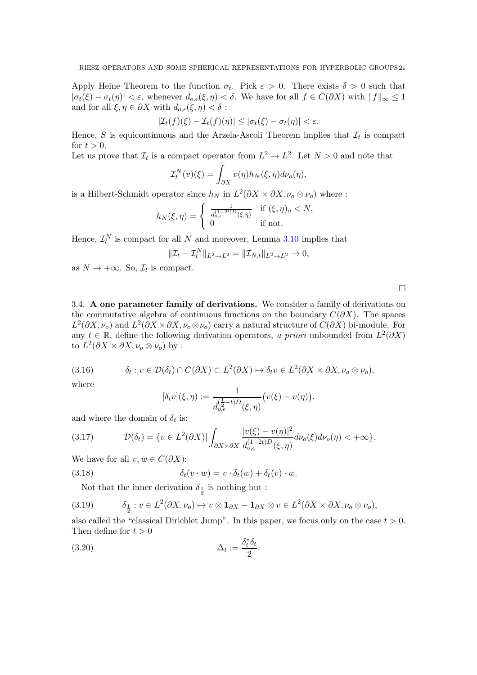Apply Heine Theorem to the function  $\sigma_t$ . Pick  $\varepsilon > 0$ . There exists  $\delta > 0$  such that  $|\sigma_t(\xi) - \sigma_t(\eta)| < \varepsilon$ , whenever  $d_{o,\varepsilon}(\xi,\eta) < \delta$ . We have for all  $f \in C(\partial X)$  with  $||f||_{\infty} \leq 1$ and for all  $\xi, \eta \in \partial X$  with  $d_{o,\epsilon}(\xi, \eta) < \delta$ :

$$
|\mathcal{I}_t(f)(\xi)-\mathcal{I}_t(f)(\eta)|\leq |\sigma_t(\xi)-\sigma_t(\eta)|<\varepsilon.
$$

Hence, S is equicontinuous and the Arzela-Ascoli Theorem implies that  $\mathcal{I}_t$  is compact for  $t > 0$ .

Let us prove that  $\mathcal{I}_t$  is a compact operator from  $L^2 \to L^2$ . Let  $N > 0$  and note that

$$
\mathcal{I}_t^N(v)(\xi) = \int_{\partial X} v(\eta) h_N(\xi, \eta) d\nu_o(\eta),
$$

is a Hilbert-Schmidt operator since  $h_N$  in  $L^2(\partial X \times \partial X, \nu_o \otimes \nu_o)$  where :

$$
h_N(\xi,\eta) = \begin{cases} \frac{1}{d_{o,\epsilon}^{(1-2t)D}(\xi,\eta)} & \text{if } (\xi,\eta)_o < N, \\ 0 & \text{if not.} \end{cases}
$$

Hence,  $\mathcal{I}_t^N$  is compact for all N and moreover, Lemma [3.10](#page-19-0) implies that

$$
\|\mathcal{I}_t - \mathcal{I}_t^N\|_{L^2 \to L^2} = \|\mathcal{I}_{N,t}\|_{L^2 \to L^2} \to 0,
$$

as  $N \to +\infty$ . So,  $\mathcal{I}_t$  is compact.

 $\Box$ 

3.4. A one parameter family of derivations. We consider a family of derivations on the commutative algebra of continuous functions on the boundary  $C(\partial X)$ . The spaces  $L^2(\partial X,\nu_o)$  and  $L^2(\partial X \times \partial X,\nu_o \otimes \nu_o)$  carry a natural structure of  $C(\partial X)$  bi-module. For any  $t \in \mathbb{R}$ , define the following derivation operators, a priori unbounded from  $L^2(\partial X)$ to  $L^2(\partial X \times \partial X, \nu_o \otimes \nu_o)$  by :

$$
(3.16) \t\t \delta_t : v \in \mathcal{D}(\delta_t) \cap C(\partial X) \subset L^2(\partial X) \mapsto \delta_t v \in L^2(\partial X \times \partial X, \nu_o \otimes \nu_o),
$$

where

$$
[\delta_t v](\xi, \eta) := \frac{1}{d_{o,\epsilon}^{(\frac{1}{2}-t)D}(\xi, \eta)} \big( v(\xi) - v(\eta) \big).
$$

and where the domain of  $\delta_t$  is:

(3.17) 
$$
\mathcal{D}(\delta_t) = \{v \in L^2(\partial X) | \int_{\partial X \times \partial X} \frac{|v(\xi) - v(\eta)|^2}{d_{o,\epsilon}^{(1-2t)D}(\xi, \eta)} d\nu_o(\xi) d\nu_o(\eta) < +\infty\}.
$$

We have for all  $v, w \in C(\partial X)$ :

(3.18) 
$$
\delta_t(v \cdot w) = v \cdot \delta_t(w) + \delta_t(v) \cdot w.
$$

Not that the inner derivation  $\delta_{\frac{1}{2}}$  is nothing but :

(3.19) 
$$
\delta_{\frac{1}{2}} : v \in L^{2}(\partial X, \nu_{o}) \mapsto v \otimes \mathbf{1}_{\partial X} - \mathbf{1}_{\partial X} \otimes v \in L^{2}(\partial X \times \partial X, \nu_{o} \otimes \nu_{o}),
$$

also called the "classical Dirichlet Jump". In this paper, we focus only on the case  $t > 0$ . Then define for  $t > 0$ 

$$
\Delta_t := \frac{\delta_t^* \delta_t}{2}.
$$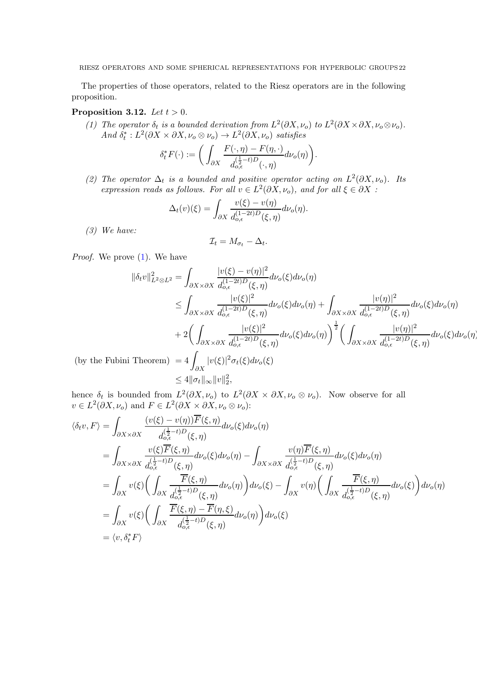The properties of those operators, related to the Riesz operators are in the following proposition.

### <span id="page-21-3"></span><span id="page-21-0"></span>Proposition 3.12. Let  $t > 0$ .

(1) The operator  $\delta_t$  is a bounded derivation from  $L^2(\partial X, \nu_o)$  to  $L^2(\partial X \times \partial X, \nu_o \otimes \nu_o)$ . And  $\delta_t^*: L^2(\partial X \times \partial X, \nu_o \otimes \nu_o) \to L^2(\partial X, \nu_o)$  satisfies

$$
\delta_t^* F(\cdot) := \bigg( \int_{\partial X} \frac{F(\cdot, \eta) - F(\eta, \cdot)}{d_{o,\epsilon}^{(\frac{1}{2} - t)D}(\cdot, \eta)} d\nu_o(\eta) \bigg).
$$

<span id="page-21-1"></span>(2) The operator  $\Delta_t$  is a bounded and positive operator acting on  $L^2(\partial X, \nu_o)$ . Its expression reads as follows. For all  $v \in L^2(\partial X, \nu_o)$ , and for all  $\xi \in \partial X$ :

$$
\Delta_t(v)(\xi) = \int_{\partial X} \frac{v(\xi) - v(\eta)}{d_{o,\epsilon}^{(1-2t)D}(\xi, \eta)} d\nu_o(\eta).
$$

<span id="page-21-2"></span>(3) We have:

$$
\mathcal{I}_t = M_{\sigma_t} - \Delta_t
$$

.

Proof. We prove [\(1\)](#page-21-0). We have

$$
\|\delta_t v\|_{L^2 \otimes L^2}^2 = \int_{\partial X \times \partial X} \frac{|v(\xi) - v(\eta)|^2}{d_{o,\epsilon}^{(1-2t)D}(\xi, \eta)} d\nu_o(\xi) d\nu_o(\eta)
$$
  
\n
$$
\leq \int_{\partial X \times \partial X} \frac{|v(\xi)|^2}{d_{o,\epsilon}^{(1-2t)D}(\xi, \eta)} d\nu_o(\xi) d\nu_o(\eta) + \int_{\partial X \times \partial X} \frac{|v(\eta)|^2}{d_{o,\epsilon}^{(1-2t)D}(\xi, \eta)} d\nu_o(\xi) d\nu_o(\eta)
$$
  
\n
$$
+ 2 \bigg( \int_{\partial X \times \partial X} \frac{|v(\xi)|^2}{d_{o,\epsilon}^{(1-2t)D}(\xi, \eta)} d\nu_o(\xi) d\nu_o(\eta) \bigg)^{\frac{1}{2}} \bigg( \int_{\partial X \times \partial X} \frac{|v(\eta)|^2}{d_{o,\epsilon}^{(1-2t)D}(\xi, \eta)} d\nu_o(\xi) d\nu_o(\eta)
$$
  
\nFubini Theorem) 
$$
= 4 \int_{\partial X} |v(\xi)|^2 \sigma_t(\xi) d\nu_o(\xi)
$$

 $(by the$  $\leq 4 \|\sigma_t\|_{\infty} \|v\|_2^2,$ 

hence  $\delta_t$  is bounded from  $L^2(\partial X, \nu_o)$  to  $L^2(\partial X \times \partial X, \nu_o \otimes \nu_o)$ . Now observe for all  $v \in L^2(\partial X, \nu_o)$  and  $F \in L^2(\partial X \times \partial X, \nu_o \otimes \nu_o)$ :

$$
\langle \delta_t v, F \rangle = \int_{\partial X \times \partial X} \frac{(v(\xi) - v(\eta)) \overline{F}(\xi, \eta)}{d_{o,\epsilon}^{(\frac{1}{2} - t)D}(\xi, \eta)} d\nu_o(\xi) d\nu_o(\eta)
$$
  
\n
$$
= \int_{\partial X \times \partial X} \frac{v(\xi) \overline{F}(\xi, \eta)}{d_{o,\epsilon}^{(\frac{1}{2} - t)D}(\xi, \eta)} d\nu_o(\xi) d\nu_o(\eta) - \int_{\partial X \times \partial X} \frac{v(\eta) \overline{F}(\xi, \eta)}{d_{o,\epsilon}^{(\frac{1}{2} - t)D}(\xi, \eta)} d\nu_o(\xi) d\nu_o(\eta)
$$
  
\n
$$
= \int_{\partial X} v(\xi) \left( \int_{\partial X} \frac{\overline{F}(\xi, \eta)}{d_{o,\epsilon}^{(\frac{1}{2} - t)D}(\xi, \eta)} d\nu_o(\eta) \right) d\nu_o(\xi) - \int_{\partial X} v(\eta) \left( \int_{\partial X} \frac{\overline{F}(\xi, \eta)}{d_{o,\epsilon}^{(\frac{1}{2} - t)D}(\xi, \eta)} d\nu_o(\xi) \right) d\nu_o(\eta)
$$
  
\n
$$
= \int_{\partial X} v(\xi) \left( \int_{\partial X} \frac{\overline{F}(\xi, \eta) - \overline{F}(\eta, \xi)}{d_{o,\epsilon}^{(\frac{1}{2} - t)D}(\xi, \eta)} d\nu_o(\eta) \right) d\nu_o(\xi)
$$
  
\n
$$
= \langle v, \delta_t^* F \rangle
$$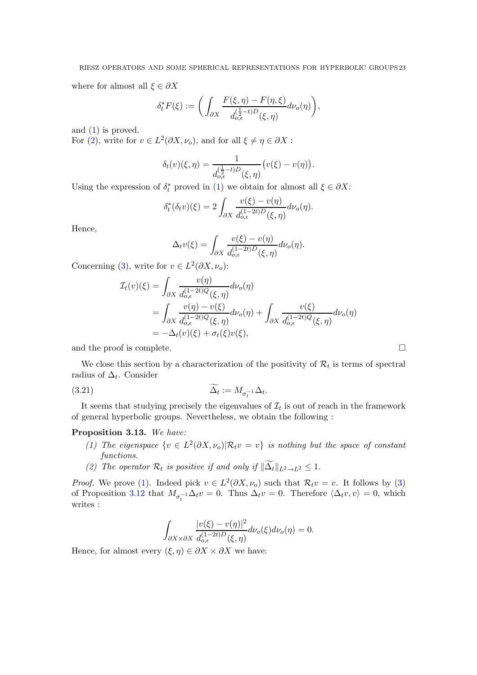where for almost all  $\xi \in \partial X$ 

$$
\delta_t^* F(\xi) := \bigg( \int_{\partial X} \frac{F(\xi, \eta) - F(\eta, \xi)}{d_{o,\epsilon}^{(\frac{1}{2} - t)D}(\xi, \eta)} d\nu_o(\eta) \bigg),
$$

and [\(1\)](#page-21-0) is proved.

For [\(2\)](#page-21-1), write for  $v \in L^2(\partial X, \nu_o)$ , and for all  $\xi \neq \eta \in \partial X$ :

$$
\delta_t(v)(\xi, \eta) = \frac{1}{d_{o,\epsilon}^{(\frac{1}{2}-t)D}(\xi, \eta)}(v(\xi) - v(\eta)).
$$

Using the expression of  $\delta_t^*$  proved in [\(1\)](#page-21-0) we obtain for almost all  $\xi \in \partial X$ :

$$
\delta_t^*(\delta_t v)(\xi) = 2 \int_{\partial X} \frac{v(\xi) - v(\eta)}{d_{o,\epsilon}^{(1-2t)D}(\xi, \eta)} d\nu_o(\eta).
$$

Hence,

$$
\Delta_t v(\xi) = \int_{\partial X} \frac{v(\xi) - v(\eta)}{d_{o,\epsilon}^{(1-2t)D}(\xi, \eta)} d\nu_o(\eta).
$$

Concerning [\(3\)](#page-21-2), write for  $v \in L^2(\partial X, \nu_o)$ :

$$
\mathcal{I}_t(v)(\xi) = \int_{\partial X} \frac{v(\eta)}{d_{o,\epsilon}^{(1-2t)Q}(\xi, \eta)} d\nu_o(\eta)
$$
  
= 
$$
\int_{\partial X} \frac{v(\eta) - v(\xi)}{d_{o,\epsilon}^{(1-2t)Q}(\xi, \eta)} d\nu_o(\eta) + \int_{\partial X} \frac{v(\xi)}{d_{o,\epsilon}^{(1-2t)Q}(\xi, \eta)} d\nu_o(\eta)
$$
  
= 
$$
-\Delta_t(v)(\xi) + \sigma_t(\xi)v(\xi),
$$

and the proof is complete.  $\Box$ 

We close this section by a characterization of the positivity of  $\mathcal{R}_t$  is terms of spectral radius of  $\Delta_t$ . Consider

$$
\widetilde{\Delta_t} := M_{\sigma_t^{-1}} \Delta_t.
$$

It seems that studying precisely the eigenvalues of  $\mathcal{I}_t$  is out of reach in the framework of general hyperbolic groups. Nevertheless, we obtain the following :

### <span id="page-22-0"></span>Proposition 3.13. We have:

- (1) The eigenspace  $\{v \in L^2(\partial X, \nu_o) | \mathcal{R}_t v = v\}$  is nothing but the space of constant functions.
- <span id="page-22-1"></span>(2) The operator  $\mathcal{R}_t$  is positive if and only if  $\|\Delta_t\|_{L^2 \to L^2} \leq 1$ .

*Proof.* We prove [\(1\)](#page-22-0). Indeed pick  $v \in L^2(\partial X, \nu_o)$  such that  $\mathcal{R}_t v = v$ . It follows by [\(3\)](#page-21-2) of Proposition [3.12](#page-21-3) that  $M_{\sigma_t^{-1}} \Delta_t v = 0$ . Thus  $\Delta_t v = 0$ . Therefore  $\langle \Delta_t v, v \rangle = 0$ , which writes :

$$
\int_{\partial X \times \partial X} \frac{|v(\xi) - v(\eta)|^2}{d_{o,\epsilon}^{(1-2t)D}(\xi, \eta)} d\nu_o(\xi) d\nu_o(\eta) = 0.
$$

Hence, for almost every  $(\xi, \eta) \in \partial X \times \partial X$  we have: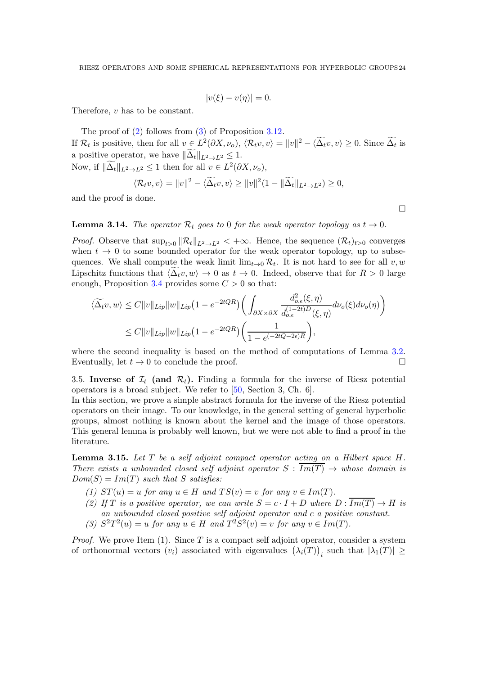$$
|v(\xi) - v(\eta)| = 0.
$$

Therefore, v has to be constant.

The proof of [\(2\)](#page-22-1) follows from [\(3\)](#page-21-2) of Proposition [3.12.](#page-21-3) If  $\mathcal{R}_t$  is positive, then for all  $v \in L^2(\partial X, \nu_o)$ ,  $\langle \mathcal{R}_t v, v \rangle = ||v||^2 - \langle \widetilde{\Delta_t} v, v \rangle \ge 0$ . Since  $\widetilde{\Delta_t}$  is a positive operator, we have  $\|\Delta_t\|_{L^2\to L^2} \leq 1$ . Now, if  $\|\tilde{\Delta}_t\|_{L^2 \to L^2} \le 1$  then for all  $v \in L^2(\partial X, \nu_o)$ ,

$$
\langle \mathcal{R}_t v, v \rangle = ||v||^2 - \langle \widetilde{\Delta}_t v, v \rangle \ge ||v||^2 (1 - ||\widetilde{\Delta}_t||_{L^2 \to L^2}) \ge 0,
$$

and the proof is done.

### **Lemma 3.14.** The operator  $\mathcal{R}_t$  goes to 0 for the weak operator topology as  $t \to 0$ .

*Proof.* Observe that  $\sup_{t>0} ||R_t||_{L^2 \to L^2} < +\infty$ . Hence, the sequence  $(R_t)_{t>0}$  converges when  $t \to 0$  to some bounded operator for the weak operator topology, up to subsequences. We shall compute the weak limit  $\lim_{t\to 0} \mathcal{R}_t$ . It is not hard to see for all  $v, w$ Lipschitz functions that  $\langle \Delta_t v, w \rangle \to 0$  as  $t \to 0$ . Indeed, observe that for  $R > 0$  large enough, Proposition [3.4](#page-15-0) provides some  $C > 0$  so that:

$$
\langle \widetilde{\Delta_t} v, w \rangle \le C \|v\|_{Lip} \|w\|_{Lip} \left(1 - e^{-2tQR} \right) \left( \int_{\partial X \times \partial X} \frac{d_{o,\epsilon}^2(\xi, \eta)}{d_{o,\epsilon}^{(1-2t)D}(\xi, \eta)} d\nu_o(\xi) d\nu_o(\eta) \right)
$$
  

$$
\le C \|v\|_{Lip} \|w\|_{Lip} \left(1 - e^{-2tQR} \right) \left( \frac{1}{1 - e^{(-2tQ - 2\epsilon)R}} \right),
$$

where the second inequality is based on the method of computations of Lemma [3.2.](#page-13-0) Eventually, let  $t \to 0$  to conclude the proof.

3.5. Inverse of  $\mathcal{I}_t$  (and  $\mathcal{R}_t$ ). Finding a formula for the inverse of Riesz potential operators is a broad subject. We refer to [\[50,](#page-53-11) Section 3, Ch. 6].

In this section, we prove a simple abstract formula for the inverse of the Riesz potential operators on their image. To our knowledge, in the general setting of general hyperbolic groups, almost nothing is known about the kernel and the image of those operators. This general lemma is probably well known, but we were not able to find a proof in the literature.

<span id="page-23-0"></span>**Lemma 3.15.** Let  $T$  be a self adjoint compact operator acting on a Hilbert space  $H$ . There exists a unbounded closed self adjoint operator  $S : \overline{Im(T)} \rightarrow$  whose domain is  $Dom(S) = Im(T)$  such that S satisfies:

- (1)  $ST(u) = u$  for any  $u \in H$  and  $TS(v) = v$  for any  $v \in Im(T)$ .
- (2) If T is a positive operator, we can write  $S = c \cdot I + D$  where  $D : \overline{Im(T)} \to H$  is an unbounded closed positive self adjoint operator and c a positive constant.
- (3)  $S^2T^2(u) = u$  for any  $u \in H$  and  $T^2S^2(v) = v$  for any  $v \in Im(T)$ .

*Proof.* We prove Item  $(1)$ . Since T is a compact self adjoint operator, consider a system of orthonormal vectors  $(v_i)$  associated with eigenvalues  $(\lambda_i(T))$ <sub>i</sub> such that  $|\lambda_1(T)| \ge$ 

 $\Box$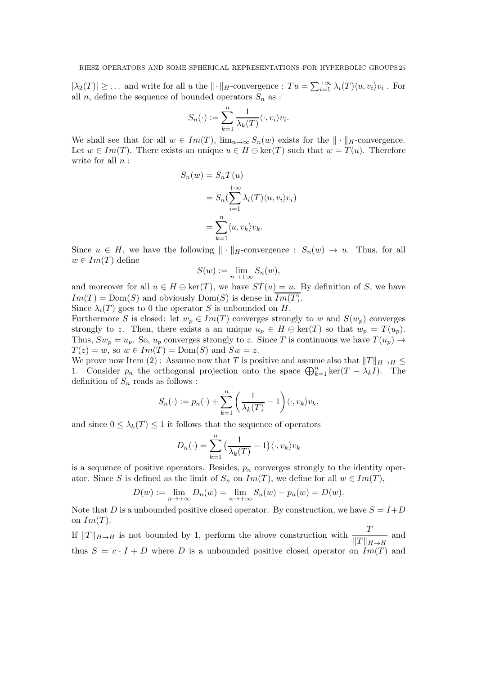$|\lambda_2(T)| \geq \ldots$  and write for all u the  $\|\cdot\|_H$ -convergence :  $Tu = \sum_{i=1}^{+\infty} \lambda_i(T) \langle u, v_i \rangle v_i$ . For all  $n$ , define the sequence of bounded operators  $S_n$  as :

$$
S_n(\cdot) := \sum_{k=1}^n \frac{1}{\lambda_k(T)} \langle \cdot, v_i \rangle v_i.
$$

We shall see that for all  $w \in Im(T)$ ,  $\lim_{n\to\infty} S_n(w)$  exists for the  $\|\cdot\|_H$ -convergence. Let  $w \in Im(T)$ . There exists an unique  $u \in H \ominus \text{ker}(T)$  such that  $w = T(u)$ . Therefore write for all  $n$ :

$$
S_n(w) = S_n T(u)
$$
  
=  $S_n(\sum_{i=1}^{+\infty} \lambda_i(T) \langle u, v_i \rangle v_i)$   
=  $\sum_{k=1}^{n} \langle u, v_k \rangle v_k$ .

Since  $u \in H$ , we have the following  $\|\cdot\|_H$ -convergence :  $S_n(w) \to u$ . Thus, for all  $w \in Im(T)$  define

$$
S(w) := \lim_{n \to +\infty} S_n(w),
$$

and moreover for all  $u \in H \ominus \text{ker}(T)$ , we have  $ST(u) = u$ . By definition of S, we have  $Im(T) = Dom(S)$  and obviously  $Dom(S)$  is dense in  $Im(T)$ .

Since  $\lambda_i(T)$  goes to 0 the operator S is unbounded on H.

Furthermore S is closed: let  $w_p \in Im(T)$  converges strongly to w and  $S(w_p)$  converges strongly to z. Then, there exists a an unique  $u_p \in H \ominus \text{ker}(T)$  so that  $w_p = T(u_p)$ . Thus,  $Sw_p = u_p$ . So,  $u_p$  converges strongly to z. Since T is continuous we have  $T(u_p) \rightarrow$  $T(z) = w$ , so  $w \in Im(T) = Dom(S)$  and  $Sw = z$ .

We prove now Item (2) : Assume now that T is positive and assume also that  $||T||_{H\to H} \le$ 1. Consider  $p_n$  the orthogonal projection onto the space  $\bigoplus_{k=1}^n \ker(T - \lambda_k I)$ . The definition of  $S_n$  reads as follows :

$$
S_n(\cdot) := p_n(\cdot) + \sum_{k=1}^n \left(\frac{1}{\lambda_k(T)} - 1\right) \langle \cdot, v_k \rangle v_k,
$$

and since  $0 \leq \lambda_k(T) \leq 1$  it follows that the sequence of operators

$$
D_n(\cdot) = \sum_{k=1}^n \left(\frac{1}{\lambda_k(T)} - 1\right) \langle \cdot, v_k \rangle v_k
$$

is a sequence of positive operators. Besides,  $p_n$  converges strongly to the identity operator. Since S is defined as the limit of  $S_n$  on  $Im(T)$ , we define for all  $w \in Im(T)$ ,

$$
D(w) := \lim_{n \to +\infty} D_n(w) = \lim_{n \to +\infty} S_n(w) - p_n(w) = D(w).
$$

Note that D is a unbounded positive closed operator. By construction, we have  $S = I+D$ on  $Im(T)$ .

If  $||T||_{H\to H}$  is not bounded by 1, perform the above construction with  $\frac{T}{||T||_{H\to H}}$  and thus  $S = c \cdot I + D$  where D is a unbounded positive closed operator on  $Im(T)$  and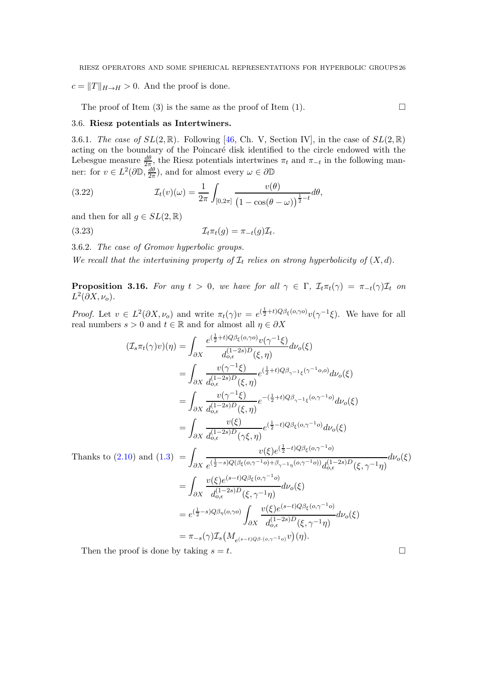$c = ||T||_{H\to H} > 0$ . And the proof is done.

The proof of Item (3) is the same as the proof of Item (1).  $\Box$ 

### 3.6. Riesz potentials as Intertwiners.

3.6.1. The case of  $SL(2,\mathbb{R})$ . Following [\[46,](#page-53-19) Ch. V, Section IV], in the case of  $SL(2,\mathbb{R})$ acting on the boundary of the Poincaré disk identified to the circle endowed with the Lebesgue measure  $\frac{d\theta}{2\pi}$ , the Riesz potentials intertwines  $\pi_t$  and  $\pi_{-t}$  in the following manner: for  $v \in L^2(\partial \mathbb{D}, \frac{d\theta}{2\pi})$  $\frac{d\theta}{2\pi}$ ), and for almost every  $\omega \in \partial \mathbb{D}$ 

(3.22) 
$$
\mathcal{I}_t(v)(\omega) = \frac{1}{2\pi} \int_{[0,2\pi]} \frac{v(\theta)}{\left(1 - \cos(\theta - \omega)\right)^{\frac{1}{2} - t}} d\theta,
$$

and then for all  $g \in SL(2,\mathbb{R})$ 

(3.23) Itπt(g) = π−t(g)I<sup>t</sup> .

3.6.2. The case of Gromov hyperbolic groups.

We recall that the intertwining property of  $\mathcal{I}_t$  relies on strong hyperbolicity of  $(X, d)$ .

<span id="page-25-0"></span>**Proposition 3.16.** For any  $t > 0$ , we have for all  $\gamma \in \Gamma$ ,  $\mathcal{I}_t \pi_t(\gamma) = \pi_{-t}(\gamma) \mathcal{I}_t$  on  $L^2(\partial X, \nu_o).$ 

*Proof.* Let  $v \in L^2(\partial X, \nu_o)$  and write  $\pi_t(\gamma)v = e^{(\frac{1}{2}+t)Q\beta_{\xi}(o,\gamma o)}v(\gamma^{-1}\xi)$ . We have for all real numbers  $s > 0$  and  $t \in \mathbb{R}$  and for almost all  $\eta \in \partial X$ 

$$
(\mathcal{I}_{s}\pi_{t}(\gamma)v)(\eta) = \int_{\partial X} \frac{e^{(\frac{1}{2}+t)Q\beta_{\xi}(o,\gamma o)}v(\gamma^{-1}\xi)}{d_{o,\epsilon}^{(1-2s)D}(\xi,\eta)}d\nu_{o}(\xi)
$$
  
\n
$$
= \int_{\partial X} \frac{v(\gamma^{-1}\xi)}{d_{o,\epsilon}^{(1-2s)D}(\xi,\eta)}e^{(\frac{1}{2}+t)Q\beta_{\gamma^{-1}\xi}(\gamma^{-1}o,o)}d\nu_{o}(\xi)
$$
  
\n
$$
= \int_{\partial X} \frac{v(\gamma^{-1}\xi)}{d_{o,\epsilon}^{(1-2s)D}(\xi,\eta)}e^{-(\frac{1}{2}+t)Q\beta_{\gamma^{-1}\xi}(o,\gamma^{-1}o)}d\nu_{o}(\xi)
$$
  
\n
$$
= \int_{\partial X} \frac{v(\xi)}{d_{o,\epsilon}^{(1-2s)D}(\gamma\xi,\eta)}e^{(\frac{1}{2}-t)Q\beta_{\xi}(o,\gamma^{-1}o)}d\nu_{o}(\xi)
$$
  
\n2.10) and (1.3) = 
$$
\int_{\partial Y} \frac{v(\xi)e^{(\frac{1}{2}-t)Q\beta_{\xi}(o,\gamma^{-1}o)}}{(\frac{1}{2}-s)Q(\beta_{\xi}(o,\gamma^{-1}o)+\beta_{s-1}(\beta_{s})Q(s_{s-1}^{-1}o))}d\nu_{o}(\xi)
$$

Thanks to (2.10) and (1.3) = 
$$
\int_{\partial X} \frac{v(\xi)e^{(\frac{1}{2}-t)Q\beta_{\xi}(o,\gamma^{-1}o)}}{e^{(\frac{1}{2}-s)Q(\beta_{\xi}(o,\gamma^{-1}o)+\beta_{\gamma^{-1}\eta}(o,\gamma^{-1}o))}d_{o,\epsilon}^{(1-2s)D}(\xi,\gamma^{-1}\eta)} d\nu_o(\xi)
$$

$$
= \int_{\partial X} \frac{v(\xi)e^{(s-t)Q\beta_{\xi}(o,\gamma^{-1}o)}}{d_{o,\epsilon}^{(1-2s)D}(\xi,\gamma^{-1}\eta)} d\nu_o(\xi)
$$

$$
= e^{(\frac{1}{2}-s)Q\beta_{\eta}(o,\gamma o)} \int_{\partial X} \frac{v(\xi)e^{(s-t)Q\beta_{\xi}(o,\gamma^{-1}o)}}{d_{o,\epsilon}^{(1-2s)D}(\xi,\gamma^{-1}\eta)} d\nu_o(\xi)
$$

$$
= \pi_{-s}(\gamma) \mathcal{I}_s(M_{e^{(s-t)Q\beta_{\cdot}(o,\gamma^{-1}o})}v)(\eta).
$$

Then the proof is done by taking  $s = t$ .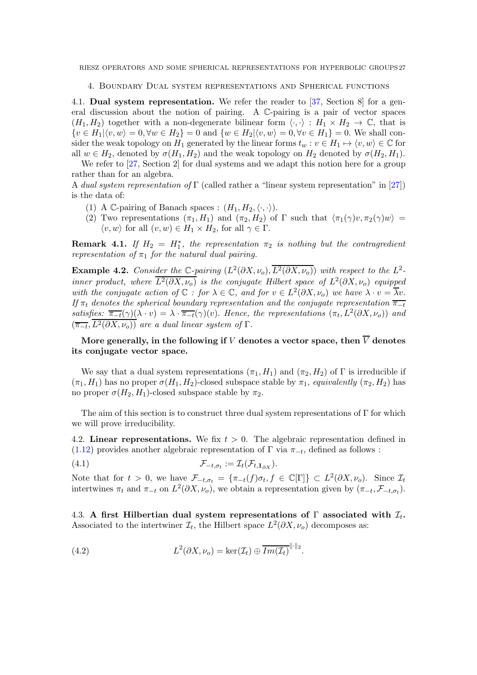<span id="page-26-0"></span>4. Boundary Dual system representations and Spherical functions

4.1. Dual system representation. We refer the reader to [\[37,](#page-53-20) Section 8] for a general discussion about the notion of pairing. A C-pairing is a pair of vector spaces  $(H_1, H_2)$  together with a non-degenerate bilinear form  $\langle \cdot, \cdot \rangle : H_1 \times H_2 \to \mathbb{C}$ , that is  $\{v \in H_1|\langle v, w \rangle = 0, \forall w \in H_2\} = 0$  and  $\{w \in H_2|\langle v, w \rangle = 0, \forall v \in H_1\} = 0$ . We shall consider the weak topology on  $H_1$  generated by the linear forms  $t_w : v \in H_1 \mapsto \langle v, w \rangle \in \mathbb{C}$  for all  $w \in H_2$ , denoted by  $\sigma(H_1, H_2)$  and the weak topology on  $H_2$  denoted by  $\sigma(H_2, H_1)$ .

We refer to [\[27,](#page-52-2) Section 2] for dual systems and we adapt this notion here for a group rather than for an algebra.

A dual system representation of Γ (called rather a "linear system representation" in [\[27\]](#page-52-2)) is the data of:

- (1) A C-pairing of Banach spaces :  $(H_1, H_2, \langle \cdot, \cdot \rangle)$ .
- (2) Two representations  $(\pi_1, H_1)$  and  $(\pi_2, H_2)$  of  $\Gamma$  such that  $\langle \pi_1(\gamma)v, \pi_2(\gamma)w \rangle =$  $\langle v, w \rangle$  for all  $(v, w) \in H_1 \times H_2$ , for all  $\gamma \in \Gamma$ .

**Remark 4.1.** If  $H_2 = H_1^*$ , the representation  $\pi_2$  is nothing but the contragredient representation of  $\pi_1$  for the natural dual pairing.

<span id="page-26-1"></span>**Example 4.2.** Consider the  $\mathbb{C}$ -pairing  $(L^2(\partial X, \nu_o), \overline{L^2(\partial X, \nu_o)})$  with respect to the  $L^2$ inner product, where  $\overline{L^2(\partial X,\nu_o)}$  is the conjugate Hilbert space of  $L^2(\partial X,\nu_o)$  equipped with the conjugate action of  $\mathbb C$ : for  $\lambda \in \mathbb C$ , and for  $v \in L^2(\partial X, \nu_o)$  we have  $\lambda \cdot v = \overline{\lambda}v$ . If  $\pi_t$  denotes the spherical boundary representation and the conjugate representation  $\overline{\pi_{-t}}$ satisfies:  $\overline{\pi_{-t}}(\gamma)(\lambda \cdot v) = \lambda \cdot \overline{\pi_{-t}}(\gamma)(v)$ . Hence, the representations  $(\pi_t, L^2(\partial X, \nu_o))$  and  $(\overline{\pi_{-t}}, L^2(\partial X, \nu_o))$  are a dual linear system of  $\Gamma$ .

More generally, in the following if V denotes a vector space, then  $\overline{V}$  denotes its conjugate vector space.

We say that a dual system representations  $(\pi_1, H_1)$  and  $(\pi_2, H_2)$  of  $\Gamma$  is irreducible if  $(\pi_1, H_1)$  has no proper  $\sigma(H_1, H_2)$ -closed subspace stable by  $\pi_1$ , equivalently  $(\pi_2, H_2)$  has no proper  $\sigma(H_2, H_1)$ -closed subspace stable by  $\pi_2$ .

The aim of this section is to construct three dual system representations of  $\Gamma$  for which we will prove irreducibility.

4.2. Linear representations. We fix  $t > 0$ . The algebraic representation defined in [\(1.12\)](#page-2-2) provides another algebraic representation of  $\Gamma$  via  $\pi_{-t}$ , defined as follows :

$$
(\mathbf{4.1}) \qquad \qquad \mathcal{F}_{-t,\sigma_t} := \mathcal{I}_t(\mathcal{F}_{t,\mathbf{1}_{\partial X}}).
$$

Note that for  $t > 0$ , we have  $\mathcal{F}_{-t,\sigma_t} = {\lbrace \pi_{-t}(f) \sigma_t, f \in \mathbb{C}[\Gamma] \rbrace} \subset L^2(\partial X, \nu_o)$ . Since  $\mathcal{I}_t$ intertwines  $\pi_t$  and  $\pi_{-t}$  on  $L^2(\partial X, \nu_o)$ , we obtain a representation given by  $(\pi_{-t}, \mathcal{F}_{-t, \sigma_t})$ .

4.3. A first Hilbertian dual system representations of  $\Gamma$  associated with  $\mathcal{I}_t$ . Associated to the intertwiner  $\mathcal{I}_t$ , the Hilbert space  $L^2(\partial X, \nu_o)$  decomposes as:

(4.2) 
$$
L^2(\partial X, \nu_o) = \ker(\mathcal{I}_t) \oplus \overline{Im(\mathcal{I}_t)}^{\|\cdot\|_2}.
$$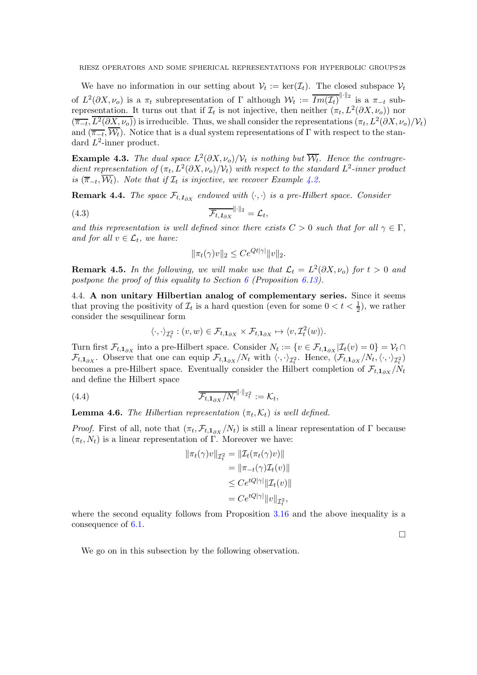We have no information in our setting about  $V_t := \ker(\mathcal{I}_t)$ . The closed subspace  $V_t$ of  $L^2(\partial X, \nu_o)$  is a  $\pi_t$  subrepresentation of  $\Gamma$  although  $\mathcal{W}_t := \overline{Im(\mathcal{I}_t)}^{\|\cdot\|_2}$  is a  $\pi_{-t}$  subrepresentation. It turns out that if  $\mathcal{I}_t$  is not injective, then neither  $(\pi_t, L^2(\partial X, \nu_o))$  nor  $(\overline{\pi_{-t}}, \overline{L^2(\partial X, \nu_o)})$  is irreducible. Thus, we shall consider the representations  $(\pi_t, L^2(\partial X, \nu_o)/\mathcal{V}_t)$ and  $(\overline{\pi_{-t}}, W_t)$ . Notice that is a dual system representations of Γ with respect to the standard  $L^2$ -inner product.

**Example 4.3.** The dual space  $L^2(\partial X, \nu_o)/\mathcal{V}_t$  is nothing but  $\overline{\mathcal{W}_t}$ . Hence the contragredient representation of  $(\pi_t, L^2(\partial X, \nu_o)/\mathcal{V}_t)$  with respect to the standard  $L^2$ -inner product is  $(\overline{\pi}_{-t}, \mathcal{W}_t)$ . Note that if  $\mathcal{I}_t$  is injective, we recover Example [4.2.](#page-26-1)

**Remark 4.4.** The space  $\mathcal{F}_{t,1_{\partial X}}$  endowed with  $\langle \cdot, \cdot \rangle$  is a pre-Hilbert space. Consider

$$
\overline{\mathcal{F}_{t,1_{\partial X}}}^{\|\cdot\|_2} = \mathcal{L}_t,
$$

and this representation is well defined since there exists  $C > 0$  such that for all  $\gamma \in \Gamma$ , and for all  $v \in \mathcal{L}_t$ , we have:

$$
\|\pi_t(\gamma)v\|_2 \le Ce^{Qt|\gamma|} \|v\|_2.
$$

**Remark 4.5.** In the following, we will make use that  $\mathcal{L}_t = L^2(\partial X, \nu_o)$  for  $t > 0$  and postpone the proof of this equality to Section [6](#page-37-0) (Proposition [6.13\)](#page-44-0).

4.4. A non unitary Hilbertian analog of complementary series. Since it seems that proving the positivity of  $\mathcal{I}_t$  is a hard question (even for some  $0 < t < \frac{1}{2}$ ), we rather consider the sesquilinear form

$$
\langle \cdot, \cdot \rangle_{\mathcal{I}^2_t} : (v, w) \in \mathcal{F}_{t, 1_{\partial X}} \times \mathcal{F}_{t, 1_{\partial X}} \mapsto \langle v, \mathcal{I}^2_t(w) \rangle.
$$

Turn first  $\mathcal{F}_{t,1_{\partial X}}$  into a pre-Hilbert space. Consider  $N_t := \{v \in \mathcal{F}_{t,1_{\partial X}} | \mathcal{I}_t(v) = 0\} = \mathcal{V}_t \cap$  $\mathcal{F}_{t,1_{\partial X}}$ . Observe that one can equip  $\mathcal{F}_{t,1_{\partial X}}/N_t$  with  $\langle \cdot, \cdot \rangle_{\mathcal{I}_{t}^2}$ . Hence,  $(\mathcal{F}_{t,1_{\partial X}}/N_t, \langle \cdot, \cdot \rangle_{\mathcal{I}_{t}^2})$ becomes a pre-Hilbert space. Eventually consider the Hilbert completion of  $\mathcal{F}_{t,1_{\partial X}}/N_t$ and define the Hilbert space

(4.4) 
$$
\overline{\mathcal{F}_{t,1_{\partial X}}/N_t}^{\|\cdot\|_{\mathcal{I}_t^2}} := \mathcal{K}_t,
$$

**Lemma 4.6.** The Hilbertian representation  $(\pi_t, \mathcal{K}_t)$  is well defined.

*Proof.* First of all, note that  $(\pi_t, \mathcal{F}_{t,1_{\partial X}}/N_t)$  is still a linear representation of  $\Gamma$  because  $(\pi_t, N_t)$  is a linear representation of Γ. Moreover we have:

$$
\|\pi_t(\gamma)v\|_{\mathcal{I}_t^2} = \|\mathcal{I}_t(\pi_t(\gamma)v)\|
$$
  
\n
$$
= \|\pi_{-t}(\gamma)\mathcal{I}_t(v)\|
$$
  
\n
$$
\leq C e^{tQ|\gamma|} \|\mathcal{I}_t(v)\|
$$
  
\n
$$
= C e^{tQ|\gamma|} \|v\|_{\mathcal{I}_t^2},
$$

where the second equality follows from Proposition [3.16](#page-25-0) and the above inequality is a consequence of [6.1.](#page-37-1)

 $\Box$ 

We go on in this subsection by the following observation.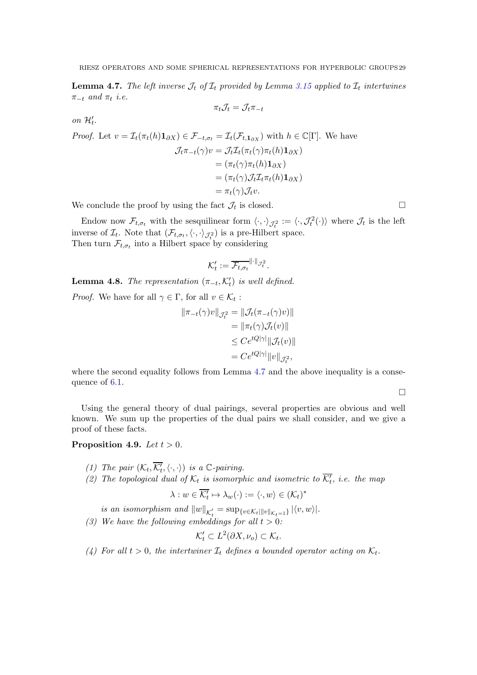<span id="page-28-0"></span>**Lemma 4.7.** The left inverse  $\mathcal{J}_t$  of  $\mathcal{I}_t$  provided by Lemma [3.15](#page-23-0) applied to  $\mathcal{I}_t$  intertwines  $\pi_{-t}$  and  $\pi_t$  i.e.

$$
\pi_t \mathcal{J}_t = \mathcal{J}_t \pi_{-t}
$$

on  $\mathcal{H}'_t$ .

Proof. Let 
$$
v = \mathcal{I}_t(\pi_t(h)\mathbf{1}_{\partial X}) \in \mathcal{F}_{-t,\sigma_t} = \mathcal{I}_t(\mathcal{F}_{t,\mathbf{1}_{\partial X}})
$$
 with  $h \in \mathbb{C}[\Gamma]$ . We have  
\n
$$
\mathcal{J}_t \pi_{-t}(\gamma) v = \mathcal{J}_t \mathcal{I}_t(\pi_t(\gamma) \pi_t(h) \mathbf{1}_{\partial X})
$$
\n
$$
= (\pi_t(\gamma) \pi_t(h) \mathbf{1}_{\partial X})
$$
\n
$$
= (\pi_t(\gamma) \mathcal{J}_t \mathcal{I}_t \pi_t(h) \mathbf{1}_{\partial X})
$$
\n
$$
= \pi_t(\gamma) \mathcal{J}_t v.
$$

We conclude the proof by using the fact  $\mathcal{J}_t$  is closed.

Endow now  $\mathcal{F}_{t,\sigma_t}$  with the sesquilinear form  $\langle \cdot, \cdot \rangle_{\mathcal{J}_t^2} := \langle \cdot, \mathcal{J}_t^2(\cdot) \rangle$  where  $\mathcal{J}_t$  is the left inverse of  $\mathcal{I}_t$ . Note that  $(\mathcal{F}_{t,\sigma_t}, \langle \cdot, \cdot \rangle_{\mathcal{J}^2_t})$  is a pre-Hilbert space. Then turn  $\mathcal{F}_{t,\sigma_t}$  into a Hilbert space by considering

$$
\mathcal{K}'_t := \overline{\mathcal{F}_{t,\sigma_t}}^{\|\cdot\|_{\mathcal{J}_t^2}}.
$$

**Lemma 4.8.** The representation  $(\pi_{-t}, \mathcal{K}'_t)$  is well defined.

*Proof.* We have for all  $\gamma \in \Gamma$ , for all  $v \in \mathcal{K}_t$ :

$$
\|\pi_{-t}(\gamma)v\|_{\mathcal{J}_t^2} = \|\mathcal{J}_t(\pi_{-t}(\gamma)v)\|
$$
  
\n
$$
= \|\pi_t(\gamma)\mathcal{J}_t(v)\|
$$
  
\n
$$
\leq C e^{tQ|\gamma|} \|\mathcal{J}_t(v)\|
$$
  
\n
$$
= C e^{tQ|\gamma|} \|v\|_{\mathcal{J}_t^2},
$$

where the second equality follows from Lemma [4.7](#page-28-0) and the above inequality is a conse-quence of [6.1.](#page-37-1)

 $\Box$ 

Using the general theory of dual pairings, several properties are obvious and well known. We sum up the properties of the dual pairs we shall consider, and we give a proof of these facts.

<span id="page-28-1"></span>Proposition 4.9. Let  $t > 0$ .

- <span id="page-28-2"></span>(1) The pair  $(\mathcal{K}_t, \overline{\mathcal{K}'_t}, \langle \cdot, \cdot \rangle)$  is a  $\mathbb{C}\text{-pairing}$ .
- (2) The topological dual of  $\mathcal{K}_t$  is isomorphic and isometric to  $\overline{\mathcal{K}'_t}$ , i.e. the map

$$
\lambda : w \in \overline{\mathcal{K}'_t} \mapsto \lambda_w(\cdot) := \langle \cdot, w \rangle \in (\mathcal{K}_t)^*
$$

is an isomorphism and  $||w||_{\mathcal{K}'_t} = \sup_{\{v \in \mathcal{K}_t | ||v||_{\mathcal{K}_t=1}\}} |\langle v, w \rangle|.$ 

<span id="page-28-3"></span>(3) We have the following embeddings for all  $t > 0$ :

$$
\mathcal{K}'_t \subset L^2(\partial X, \nu_o) \subset \mathcal{K}_t.
$$

<span id="page-28-4"></span>(4) For all  $t > 0$ , the intertwiner  $\mathcal{I}_t$  defines a bounded operator acting on  $\mathcal{K}_t$ .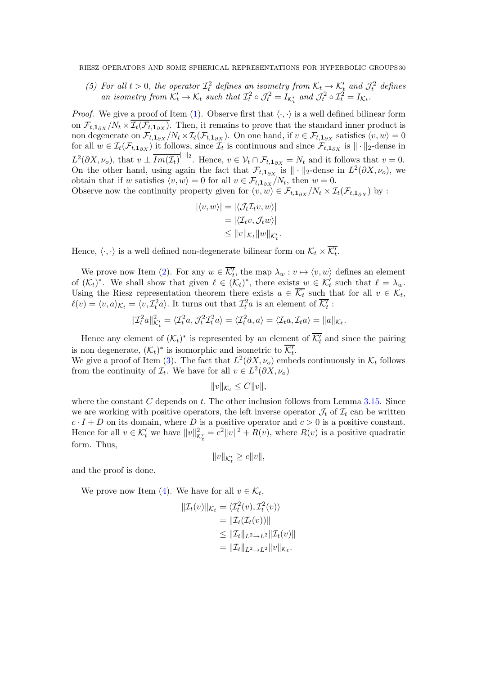<span id="page-29-0"></span>(5) For all  $t > 0$ , the operator  $\mathcal{I}_t^2$  defines an isometry from  $\mathcal{K}_t \to \mathcal{K}'_t$  and  $\mathcal{J}_t^2$  defines an isometry from  $\mathcal{K}'_t \to \mathcal{K}_t$  such that  $\mathcal{I}_t^2 \circ \mathcal{J}_t^2 = I_{\mathcal{K}'_t}$  and  $\mathcal{J}_t^2 \circ \mathcal{I}_t^2 = I_{\mathcal{K}_t}$ .

*Proof.* We give a proof of Item [\(1\)](#page-28-1). Observe first that  $\langle \cdot, \cdot \rangle$  is a well defined bilinear form on  $\mathcal{F}_{t,1_{\partial X}}/N_t \times \mathcal{I}_t(\mathcal{F}_{t,1_{\partial X}})$ . Then, it remains to prove that the standard inner product is non degenerate on  $\mathcal{F}_{t,1_{\partial X}}/N_t \times \mathcal{I}_t(\mathcal{F}_{t,1_{\partial X}})$ . On one hand, if  $v \in \mathcal{F}_{t,1_{\partial X}}$  satisfies  $\langle v, w \rangle = 0$ for all  $w \in \mathcal{I}_t(\mathcal{F}_{t,1_{\partial X}})$  it follows, since  $\mathcal{I}_t$  is continuous and since  $\mathcal{F}_{t,1_{\partial X}}$  is  $\|\cdot\|_2$ -dense in  $L^2(\partial X, \nu_o)$ , that  $v \perp \overline{Im(\mathcal{I}_t)}^{\|\cdot\|_2}$ . Hence,  $v \in \mathcal{V}_t \cap \mathcal{F}_{t,1_{\partial X}} = N_t$  and it follows that  $v = 0$ . On the other hand, using again the fact that  $\mathcal{F}_{t,1_{\partial X}}$  is  $\|\cdot\|_2$ -dense in  $L^2(\partial X,\nu_o)$ , we obtain that if w satisfies  $\langle v, w \rangle = 0$  for all  $v \in \mathcal{F}_{t, 1_{\partial X}}/N_t$ , then  $w = 0$ . Observe now the continuity property given for  $(v, w) \in \mathcal{F}_{t, 1_{\partial X}}/N_t \times \mathcal{I}_t(\mathcal{F}_{t, 1_{\partial X}})$  by :

$$
|\langle v, w \rangle| = |\langle \mathcal{J}_t \mathcal{I}_t v, w \rangle|
$$
  
=  $|\langle \mathcal{I}_t v, \mathcal{J}_t w \rangle|$   
 $\leq ||v||_{\mathcal{K}_t} ||w||_{\mathcal{K}_t'}.$ 

Hence,  $\langle \cdot, \cdot \rangle$  is a well defined non-degenerate bilinear form on  $\mathcal{K}_t \times \overline{\mathcal{K}'_t}$ .

We prove now Item [\(2\)](#page-28-2). For any  $w \in \overline{\mathcal{K}'_t}$ , the map  $\lambda_w : v \mapsto \langle v, w \rangle$  defines an element of  $(\mathcal{K}_t)^*$ . We shall show that given  $\ell \in (\mathcal{K}_t)^*$ , there exists  $w \in \mathcal{K}'_t$  such that  $\ell = \lambda_w$ . Using the Riesz representation theorem there exists  $a \in \mathcal{K}_t$  such that for all  $v \in \mathcal{K}_t$ ,  $\ell(v) = \langle v, a \rangle_{\mathcal{K}_t} = \langle v, \mathcal{I}_t^2 a \rangle$ . It turns out that  $\mathcal{I}_t^2 a$  is an element of  $\overline{\mathcal{K}_t'}$ :

$$
\|\mathcal{I}_t^2 a\|_{\mathcal{K}_t'}^2 = \langle \mathcal{I}_t^2 a, \mathcal{J}_t^2 \mathcal{I}_t^2 a \rangle = \langle \mathcal{I}_t^2 a, a \rangle = \langle \mathcal{I}_t a, \mathcal{I}_t a \rangle = \|a\|_{\mathcal{K}_t}.
$$

Hence any element of  $(\mathcal{K}_t)^*$  is represented by an element of  $\overline{\mathcal{K}'_t}$  and since the pairing is non degenerate,  $(\mathcal{K}_t)^*$  is isomorphic and isometric to  $\overline{\mathcal{K}'_t}$ .

We give a proof of Item [\(3\)](#page-28-3). The fact that  $L^2(\partial X, \nu_o)$  embeds continuously in  $\mathcal{K}_t$  follows from the continuity of  $\mathcal{I}_t$ . We have for all  $v \in L^2(\partial X, \nu_o)$ 

$$
||v||_{\mathcal{K}_t} \leq C||v||,
$$

where the constant  $C$  depends on  $t$ . The other inclusion follows from Lemma [3.15.](#page-23-0) Since we are working with positive operators, the left inverse operator  $\mathcal{J}_t$  of  $\mathcal{I}_t$  can be written  $c \cdot I + D$  on its domain, where D is a positive operator and  $c > 0$  is a positive constant. Hence for all  $v \in \mathcal{K}'_t$  we have  $||v||^2_{\mathcal{K}'_t} = c^2 ||v||^2 + R(v)$ , where  $R(v)$  is a positive quadratic form. Thus,

 $||v||_{\mathcal{K}'_t} \geq c||v||,$ 

and the proof is done.

We prove now Item [\(4\)](#page-28-4). We have for all  $v \in \mathcal{K}_t$ ,

$$
\|\mathcal{I}_t(v)\|_{\mathcal{K}_t} = \langle \mathcal{I}_t^2(v), \mathcal{I}_t^2(v) \rangle
$$
  
\n
$$
= \|\mathcal{I}_t(\mathcal{I}_t(v))\|
$$
  
\n
$$
\leq \|\mathcal{I}_t\|_{L^2 \to L^2} \|\mathcal{I}_t(v)\|
$$
  
\n
$$
= \|\mathcal{I}_t\|_{L^2 \to L^2} \|v\|_{\mathcal{K}_t}.
$$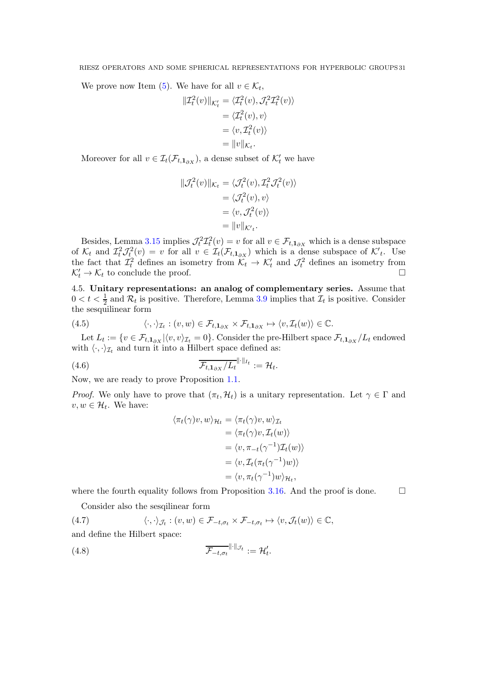We prove now Item [\(5\)](#page-29-0). We have for all  $v \in \mathcal{K}_t$ ,

$$
\begin{aligned} ||\mathcal{I}_t^2(v)||_{\mathcal{K}_t'} &= \langle \mathcal{I}_t^2(v), \mathcal{J}_t^2 \mathcal{I}_t^2(v) \rangle \\ &= \langle \mathcal{I}_t^2(v), v \rangle \\ &= \langle v, \mathcal{I}_t^2(v) \rangle \\ &= ||v||_{\mathcal{K}_t}. \end{aligned}
$$

Moreover for all  $v \in \mathcal{I}_t(\mathcal{F}_{t,1_{\partial X}})$ , a dense subset of  $\mathcal{K}'_t$  we have

$$
\begin{aligned} \|\mathcal{J}_t^2(v)\|_{\mathcal{K}_t} &= \langle \mathcal{J}_t^2(v), \mathcal{I}_t^2 \mathcal{J}_t^2(v) \rangle \\ &= \langle \mathcal{J}_t^2(v), v \rangle \\ &= \langle v, \mathcal{J}_t^2(v) \rangle \\ &= \|v\|_{\mathcal{K}_t}. \end{aligned}
$$

Besides, Lemma [3.15](#page-23-0) implies  $\mathcal{J}_t^2 \mathcal{I}_t^2(v) = v$  for all  $v \in \mathcal{F}_{t,1_{\partial X}}$  which is a dense subspace of  $\mathcal{K}_t$  and  $\mathcal{I}_t^2 \mathcal{J}_t^2(v) = v$  for all  $v \in \mathcal{I}_t(\mathcal{F}_{t,1_{\partial X}})$  which is a dense subspace of  $\mathcal{K}'_t$ . Use the fact that  $\mathcal{I}_t^2$  defines an isometry from  $\mathcal{K}_t \to \mathcal{K}'_t$  and  $\mathcal{J}_t^2$  defines an isometry from  $\mathcal{K}'_t \to \mathcal{K}_t$  to conclude the proof.  $t' \to \mathcal{K}_t$  to conclude the proof.

4.5. Unitary representations: an analog of complementary series. Assume that  $0 < t < \frac{1}{2}$  and  $\mathcal{R}_t$  is positive. Therefore, Lemma [3.9](#page-18-1) implies that  $\mathcal{I}_t$  is positive. Consider the sesquilinear form

(4.5) 
$$
\langle \cdot, \cdot \rangle_{\mathcal{I}_t} : (v, w) \in \mathcal{F}_{t, \mathbf{1}_{\partial X}} \times \mathcal{F}_{t, \mathbf{1}_{\partial X}} \mapsto \langle v, \mathcal{I}_t(w) \rangle \in \mathbb{C}.
$$

Let  $L_t := \{v \in \mathcal{F}_{t,1_{\partial X}} | \langle v,v \rangle_{\mathcal{I}_t} = 0\}$ . Consider the pre-Hilbert space  $\mathcal{F}_{t,1_{\partial X}}/L_t$  endowed with  $\langle \cdot, \cdot \rangle_{\mathcal{I}_t}$  and turn it into a Hilbert space defined as:

$$
\overline{\mathcal{F}_{t,1_{\partial X}}/L_t}\| \cdot \|_{I_t} := \mathcal{H}_t.
$$

Now, we are ready to prove Proposition [1.1.](#page-3-0)

*Proof.* We only have to prove that  $(\pi_t, \mathcal{H}_t)$  is a unitary representation. Let  $\gamma \in \Gamma$  and  $v, w \in \mathcal{H}_t$ . We have:

$$
\langle \pi_t(\gamma)v, w \rangle_{\mathcal{H}_t} = \langle \pi_t(\gamma)v, w \rangle_{\mathcal{I}_t}
$$
  
\n
$$
= \langle \pi_t(\gamma)v, \mathcal{I}_t(w) \rangle
$$
  
\n
$$
= \langle v, \pi_{-t}(\gamma^{-1})\mathcal{I}_t(w) \rangle
$$
  
\n
$$
= \langle v, \mathcal{I}_t(\pi_t(\gamma^{-1})w) \rangle
$$
  
\n
$$
= \langle v, \pi_t(\gamma^{-1})w \rangle_{\mathcal{H}_t},
$$

where the fourth equality follows from Proposition [3.16.](#page-25-0) And the proof is done.  $\Box$ 

Consider also the sesqilinear form

(4.7) 
$$
\langle \cdot, \cdot \rangle_{\mathcal{J}_t} : (v, w) \in \mathcal{F}_{-t, \sigma_t} \times \mathcal{F}_{-t, \sigma_t} \mapsto \langle v, \mathcal{J}_t(w) \rangle \in \mathbb{C},
$$

and define the Hilbert space:

$$
\overline{\mathcal{F}_{-t,\sigma_t}}^{\|\cdot\|_{\mathcal{J}_t}} := \mathcal{H}'_t.
$$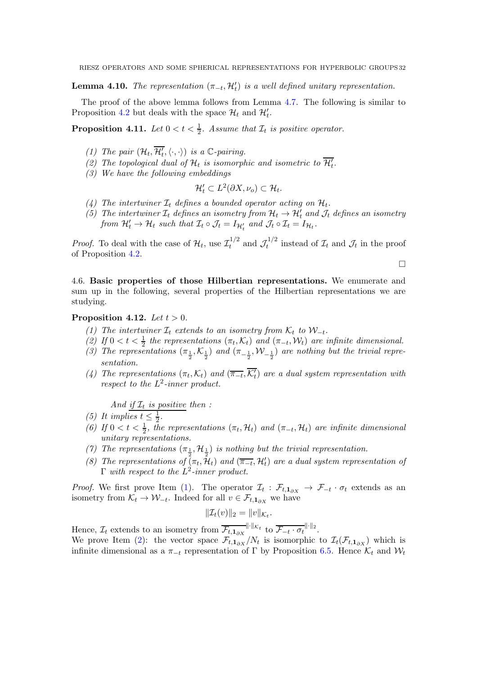**Lemma 4.10.** The representation  $(\pi_{-t}, \mathcal{H}'_t)$  is a well defined unitary representation.

The proof of the above lemma follows from Lemma [4.7.](#page-28-0) The following is similar to Proposition [4.2](#page-26-1) but deals with the space  $\mathcal{H}_t$  and  $\mathcal{H}'_t$ .

<span id="page-31-8"></span>**Proposition 4.11.** Let  $0 < t < \frac{1}{2}$ . Assume that  $\mathcal{I}_t$  is positive operator.

- (1) The pair  $(\mathcal{H}_t, \overline{\mathcal{H}'_t}, \langle \cdot, \cdot \rangle)$  is a  $\mathbb{C}\text{-pairing}$ .
- (2) The topological dual of  $\mathcal{H}_t$  is isomorphic and isometric to  $\overline{\mathcal{H}_t}$ .
- (3) We have the following embeddings

$$
\mathcal{H}'_t \subset L^2(\partial X, \nu_o) \subset \mathcal{H}_t.
$$

- (4) The intertwiner  $\mathcal{I}_t$  defines a bounded operator acting on  $\mathcal{H}_t$ .
- (5) The intertwiner  $\mathcal{I}_t$  defines an isometry from  $\mathcal{H}_t \to \mathcal{H}'_t$  and  $\mathcal{J}_t$  defines an isometry from  $\mathcal{H}'_t \to \mathcal{H}_t$  such that  $\mathcal{I}_t \circ \mathcal{J}_t = I_{\mathcal{H}'_t}$  and  $\mathcal{J}_t \circ \mathcal{I}_t = I_{\mathcal{H}_t}$ .

*Proof.* To deal with the case of  $\mathcal{H}_t$ , use  $\mathcal{I}_t^{1/2}$  $t_t^{1/2}$  and  $\mathcal{J}_t^{1/2}$  $\mathcal{I}_t^{1/2}$  instead of  $\mathcal{I}_t$  and  $\mathcal{J}_t$  in the proof of Proposition [4.2.](#page-26-1)

 $\Box$ 

4.6. Basic properties of those Hilbertian representations. We enumerate and sum up in the following, several properties of the Hilbertian representations we are studying.

### <span id="page-31-1"></span><span id="page-31-0"></span>Proposition 4.12. Let  $t > 0$ .

- (1) The intertwiner  $\mathcal{I}_t$  extends to an isometry from  $\mathcal{K}_t$  to  $\mathcal{W}_{-t}$ .
- <span id="page-31-2"></span>(2) If  $0 < t < \frac{1}{2}$  the representations  $(\pi_t, \mathcal{K}_t)$  and  $(\pi_{-t}, \mathcal{W}_t)$  are infinite dimensional.
- <span id="page-31-3"></span>(3) The representations  $(\pi_{\frac{1}{2}}, \mathcal{K}_{\frac{1}{2}})$  and  $(\pi_{-\frac{1}{2}}, \mathcal{W}_{-\frac{1}{2}})$  are nothing but the trivial representation.
- (4) The representations  $(\pi_t, \mathcal{K}_t)$  and  $(\overline{\pi_{-t}}, \overline{\mathcal{K}'_t})$  are a dual system representation with respect to the  $L^2$ -inner product.

And if  $\mathcal{I}_t$  is positive then :

- <span id="page-31-5"></span><span id="page-31-4"></span>(5) It implies  $t \leq \frac{1}{2}$  $\frac{1}{2}$ .
- (6) If  $0 < t < \frac{1}{2}$ , the representations  $(\pi_t, \mathcal{H}_t)$  and  $(\pi_{-t}, \mathcal{H}_t)$  are infinite dimensional unitary representations.
- <span id="page-31-7"></span><span id="page-31-6"></span>(7) The representations  $(\pi_{\frac{1}{2}}, \mathcal{H}_{\frac{1}{2}})$  is nothing but the trivial representation.
- (8) The representations of  $(\pi_t, \tilde{\mathcal{H}}_t)$  and  $(\overline{\pi_{-t}}, \mathcal{H}'_t)$  are a dual system representation of  $\Gamma$  with respect to the  $L^2$ -inner product.

*Proof.* We first prove Item [\(1\)](#page-31-0). The operator  $\mathcal{I}_t : \mathcal{F}_{t,1_{\partial X}} \to \mathcal{F}_{-t} \cdot \sigma_t$  extends as an isometry from  $\mathcal{K}_t \to \mathcal{W}_{-t}$ . Indeed for all  $v \in \mathcal{F}_{t,1_{\partial X}}$  we have

$$
\|\mathcal{I}_t(v)\|_2 = \|v\|_{\mathcal{K}_t}.
$$

Hence,  $\mathcal{I}_t$  extends to an isometry from  $\overline{\mathcal{F}_{t,1_{\partial X}}}^{\|\cdot\|_{\mathcal{K}_t}}$  to  $\overline{\mathcal{F}_{-t} \cdot \sigma_t}^{\|\cdot\|_2}$ .

We prove Item [\(2\)](#page-31-1): the vector space  $\mathcal{F}_{t,1_{\partial X}}/N_t$  is isomorphic to  $\mathcal{I}_t(\mathcal{F}_{t,1_{\partial X}})$  which is infinite dimensional as a  $\pi_{-t}$  representation of Γ by Proposition [6.5.](#page-40-0) Hence  $\mathcal{K}_t$  and  $\mathcal{W}_t$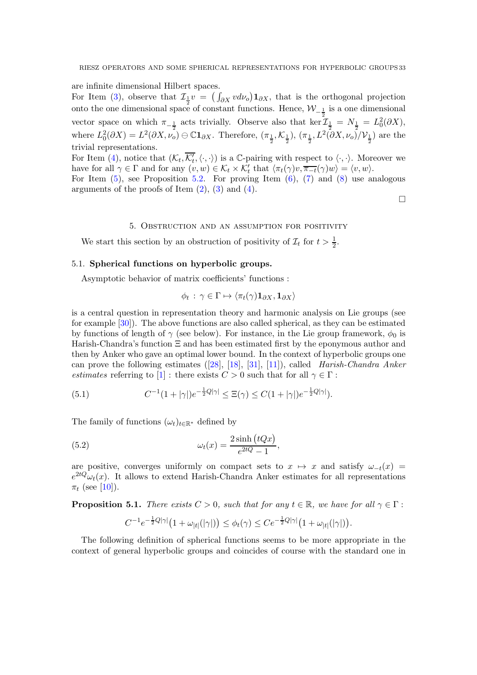are infinite dimensional Hilbert spaces.

For Item [\(3\)](#page-31-2), observe that  $\mathcal{I}_{\frac{1}{2}}v = (\int_{\partial X} v d\nu_o) \mathbf{1}_{\partial X}$ , that is the orthogonal projection onto the one dimensional space of constant functions. Hence,  $W_{-\frac{1}{2}}$  is a one dimensional vector space on which  $\pi_{-\frac{1}{2}}$  acts trivially. Observe also that ker  $\mathcal{I}_{\frac{1}{2}} = N_{\frac{1}{2}} = L_0^2(\partial X)$ , where  $L_0^2(\partial X) = L^2(\partial X, \nu_o) \oplus \mathbb{C}1_{\partial X}$ . Therefore,  $(\pi_{\frac{1}{2}}, \mathcal{K}_{\frac{1}{2}})$ ,  $(\pi_{\frac{1}{2}}, L^2(\partial X, \nu_o)/\mathcal{V}_{\frac{1}{2}})$  are the trivial representations.

For Item [\(4\)](#page-31-3), notice that  $(\mathcal{K}_t, \overline{\mathcal{K}'_t}, \langle \cdot, \cdot \rangle)$  is a C-pairing with respect to  $\langle \cdot, \cdot \rangle$ . Moreover we have for all  $\gamma \in \Gamma$  and for any  $(v, w) \in \mathcal{K}_t \times \mathcal{K}'_t$  that  $\langle \pi_t(\gamma)v, \overline{\pi_{-t}}(\gamma)w \rangle = \langle v, w \rangle$ .

For Item  $(5)$ , see Proposition [5.2.](#page-33-0) For proving Item  $(6)$ ,  $(7)$  and  $(8)$  use analogous arguments of the proofs of Item  $(2)$ ,  $(3)$  and  $(4)$ .

 $\Box$ 

#### 5. Obstruction and an assumption for positivity

<span id="page-32-0"></span>We start this section by an obstruction of positivity of  $\mathcal{I}_t$  for  $t > \frac{1}{2}$ .

### 5.1. Spherical functions on hyperbolic groups.

Asymptotic behavior of matrix coefficients' functions :

$$
\phi_t : \gamma \in \Gamma \mapsto \langle \pi_t(\gamma) \mathbf{1}_{\partial X}, \mathbf{1}_{\partial X} \rangle
$$

is a central question in representation theory and harmonic analysis on Lie groups (see for example [\[30\]](#page-53-21)). The above functions are also called spherical, as they can be estimated by functions of length of  $\gamma$  (see below). For instance, in the Lie group framework,  $\phi_0$  is Harish-Chandra's function Ξ and has been estimated first by the eponymous author and then by Anker who gave an optimal lower bound. In the context of hyperbolic groups one canprove the following estimates  $([28], [18], [31], [11])$  $([28], [18], [31], [11])$  $([28], [18], [31], [11])$  $([28], [18], [31], [11])$  $([28], [18], [31], [11])$  $([28], [18], [31], [11])$  $([28], [18], [31], [11])$  $([28], [18], [31], [11])$  $([28], [18], [31], [11])$ , called *Harish-Chandra Anker* estimates referring to  $[1]$ : there exists  $C > 0$  such that for all  $\gamma \in \Gamma$ :

<span id="page-32-3"></span>(5.1) 
$$
C^{-1}(1+|\gamma|)e^{-\frac{1}{2}Q|\gamma|} \leq \Xi(\gamma) \leq C(1+|\gamma|)e^{-\frac{1}{2}Q|\gamma|}.
$$

The family of functions  $(\omega_t)_{t \in \mathbb{R}^*}$  defined by

(5.2) 
$$
\omega_t(x) = \frac{2\sinh(tQx)}{e^{2tQ} - 1},
$$

are positive, converges uniformly on compact sets to  $x \mapsto x$  and satisfy  $\omega_{-t}(x) =$  $e^{2tQ}\omega_t(x)$ . It allows to extend Harish-Chandra Anker estimates for all representations  $\pi_t$  (see [\[10\]](#page-52-3)).

<span id="page-32-1"></span>**Proposition 5.1.** There exists  $C > 0$ , such that for any  $t \in \mathbb{R}$ , we have for all  $\gamma \in \Gamma$ :

<span id="page-32-2"></span>
$$
C^{-1}e^{-\frac{1}{2}Q|\gamma|}\big(1+\omega_{|t|}(|\gamma|)\big)\leq\phi_t(\gamma)\leq Ce^{-\frac{1}{2}Q|\gamma|}\big(1+\omega_{|t|}(|\gamma|)\big).
$$

The following definition of spherical functions seems to be more appropriate in the context of general hyperbolic groups and coincides of course with the standard one in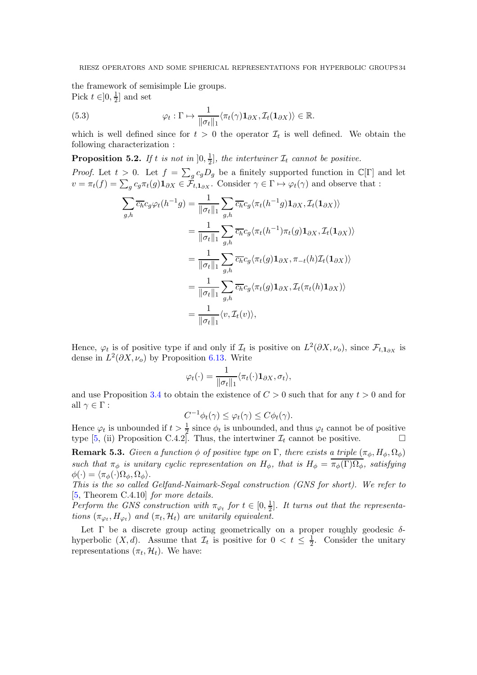the framework of semisimple Lie groups. Pick  $t \in ]0, \frac{1}{2}$  $\frac{1}{2}$  and set

(5.3) 
$$
\varphi_t : \Gamma \mapsto \frac{1}{\|\sigma_t\|_1} \langle \pi_t(\gamma) \mathbf{1}_{\partial X}, \mathcal{I}_t(\mathbf{1}_{\partial X}) \rangle \in \mathbb{R}.
$$

which is well defined since for  $t > 0$  the operator  $\mathcal{I}_t$  is well defined. We obtain the following characterization :

<span id="page-33-0"></span>**Proposition 5.2.** If t is not in  $]0, \frac{1}{2}$  $\frac{1}{2}$ , the intertwiner  $\mathcal{I}_t$  cannot be positive.

*Proof.* Let  $t > 0$ . Let  $f = \sum_{g} c_g D_g$  be a finitely supported function in  $\mathbb{C}[\Gamma]$  and let  $v = \pi_t(f) = \sum_g c_g \pi_t(g) \mathbf{1}_{\partial X} \in \tilde{\mathcal{F}}_{t,\mathbf{1}_{\partial X}}$ . Consider  $\gamma \in \Gamma \mapsto \varphi_t(\gamma)$  and observe that :

$$
\sum_{g,h} \overline{c_h} c_g \varphi_t(h^{-1}g) = \frac{1}{\|\sigma_t\|_1} \sum_{g,h} \overline{c_h} c_g \langle \pi_t(h^{-1}g) \mathbf{1}_{\partial X}, \mathcal{I}_t(\mathbf{1}_{\partial X}) \rangle
$$
  
\n
$$
= \frac{1}{\|\sigma_t\|_1} \sum_{g,h} \overline{c_h} c_g \langle \pi_t(h^{-1}) \pi_t(g) \mathbf{1}_{\partial X}, \mathcal{I}_t(\mathbf{1}_{\partial X}) \rangle
$$
  
\n
$$
= \frac{1}{\|\sigma_t\|_1} \sum_{g,h} \overline{c_h} c_g \langle \pi_t(g) \mathbf{1}_{\partial X}, \pi_{-t}(h) \mathcal{I}_t(\mathbf{1}_{\partial X}) \rangle
$$
  
\n
$$
= \frac{1}{\|\sigma_t\|_1} \sum_{g,h} \overline{c_h} c_g \langle \pi_t(g) \mathbf{1}_{\partial X}, \mathcal{I}_t(\pi_t(h) \mathbf{1}_{\partial X}) \rangle
$$
  
\n
$$
= \frac{1}{\|\sigma_t\|_1} \langle v, \mathcal{I}_t(v) \rangle,
$$

Hence,  $\varphi_t$  is of positive type if and only if  $\mathcal{I}_t$  is positive on  $L^2(\partial X, \nu_o)$ , since  $\mathcal{F}_{t,1_{\partial X}}$  is dense in  $L^2(\partial X, \nu_o)$  by Proposition [6.13.](#page-44-0) Write

$$
\varphi_t(\cdot) = \frac{1}{\|\sigma_t\|_1} \langle \pi_t(\cdot) \mathbf{1}_{\partial X}, \sigma_t \rangle,
$$

and use Proposition [3.4](#page-15-0) to obtain the existence of  $C > 0$  such that for any  $t > 0$  and for all  $\gamma \in \Gamma$ :

$$
C^{-1}\phi_t(\gamma) \leq \varphi_t(\gamma) \leq C\phi_t(\gamma).
$$

Hence  $\varphi_t$  is unbounded if  $t > \frac{1}{2}$  since  $\phi_t$  is unbounded, and thus  $\varphi_t$  cannot be of positive type [\[5,](#page-52-21) (ii) Proposition C.4.2]. Thus, the intertwiner  $\mathcal{I}_t$  cannot be positive.

**Remark 5.3.** Given a function  $\phi$  of positive type on  $\Gamma$ , there exists a triple  $(\pi_{\phi}, H_{\phi}, \Omega_{\phi})$ such that  $\pi_{\phi}$  is unitary cyclic representation on  $H_{\phi}$ , that is  $H_{\phi} = \pi_{\phi}(\Gamma) \Omega_{\phi}$ , satisfying  $\phi(\cdot) = \langle \pi_{\phi}(\cdot) \Omega_{\phi}, \Omega_{\phi} \rangle.$ 

This is the so called Gelfand-Naimark-Segal construction (GNS for short). We refer to [\[5,](#page-52-21) Theorem C.4.10] for more details.

Perform the GNS construction with  $\pi_{\varphi_t}$  for  $t \in [0, \frac{1}{2}]$  $\frac{1}{2}$ . It turns out that the representations  $(\pi_{\varphi_t}, H_{\varphi_t})$  and  $(\pi_t, \mathcal{H}_t)$  are unitarily equivalent.

Let  $\Gamma$  be a discrete group acting geometrically on a proper roughly geodesic  $\delta$ hyperbolic  $(X, d)$ . Assume that  $\mathcal{I}_t$  is positive for  $0 < t \leq \frac{1}{2}$  $\frac{1}{2}$ . Consider the unitary representations  $(\pi_t, \mathcal{H}_t)$ . We have: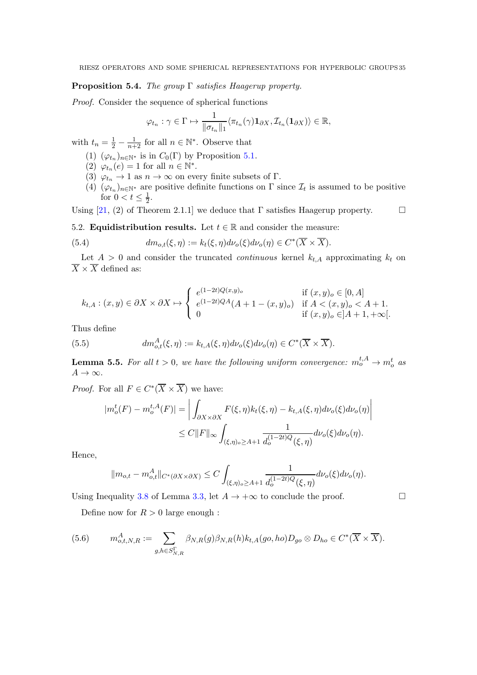# <span id="page-34-0"></span>**Proposition 5.4.** The group  $\Gamma$  satisfies Haagerup property.

Proof. Consider the sequence of spherical functions

$$
\varphi_{t_n} : \gamma \in \Gamma \mapsto \frac{1}{\|\sigma_{t_n}\|_1} \langle \pi_{t_n}(\gamma) \mathbf{1}_{\partial X}, \mathcal{I}_{t_n}(\mathbf{1}_{\partial X}) \rangle \in \mathbb{R},
$$

with  $t_n = \frac{1}{2} - \frac{1}{n+2}$  for all  $n \in \mathbb{N}^*$ . Observe that

- (1)  $(\varphi_{t_n})_{n \in \mathbb{N}^*}$  is in  $C_0(\Gamma)$  by Proposition [5.1.](#page-32-1)
- (2)  $\varphi_{t_n}(e) = 1$  for all  $n \in \mathbb{N}^*$ .
- (3)  $\varphi_{t_n} \to 1$  as  $n \to \infty$  on every finite subsets of  $\Gamma$ .
- (4)  $(\varphi_{t_n})_{n \in \mathbb{N}^*}$  are positive definite functions on  $\Gamma$  since  $\mathcal{I}_t$  is assumed to be positive for  $0 < t \leq \frac{1}{2}$  $rac{1}{2}$ .

Using [\[21,](#page-52-14) (2) of Theorem 2.1.1] we deduce that  $\Gamma$  satisfies Haagerup property.  $\Box$ 

5.2. **Equidistribution results.** Let  $t \in \mathbb{R}$  and consider the measure:

(5.4) 
$$
dm_{o,t}(\xi,\eta) := k_t(\xi,\eta)d\nu_o(\xi)d\nu_o(\eta) \in C^*(\overline{X} \times \overline{X}).
$$

Let  $A > 0$  and consider the truncated *continuous* kernel  $k_{t,A}$  approximating  $k_t$  on  $\overline{X} \times \overline{X}$  defined as:

$$
k_{t,A}: (x,y) \in \partial X \times \partial X \mapsto \begin{cases} e^{(1-2t)Q(x,y)_o} & \text{if } (x,y)_o \in [0,A] \\ e^{(1-2t)QA}(A+1-(x,y)_o) & \text{if } A < (x,y)_o < A+1. \\ 0 & \text{if } (x,y)_o \in ]A+1, +\infty[. \end{cases}
$$

Thus define

(5.5) 
$$
dm_{o,t}^A(\xi,\eta) := k_{t,A}(\xi,\eta) d\nu_o(\xi) d\nu_o(\eta) \in C^*(\overline{X} \times \overline{X}).
$$

<span id="page-34-1"></span>**Lemma 5.5.** For all  $t > 0$ , we have the following uniform convergence:  $m_o^{t,A} \rightarrow m_o^t$  as  $A \rightarrow \infty$ .

*Proof.* For all  $F \in C^*(\overline{X} \times \overline{X})$  we have:

$$
|m_o^t(F) - m_o^{t,A}(F)| = \left| \int_{\partial X \times \partial X} F(\xi, \eta) k_t(\xi, \eta) - k_{t,A}(\xi, \eta) d\nu_o(\xi) d\nu_o(\eta) \right|
$$
  

$$
\leq C \|F\|_{\infty} \int_{(\xi, \eta)_o \geq A+1} \frac{1}{d_o^{(1-2t)Q}(\xi, \eta)} d\nu_o(\xi) d\nu_o(\eta).
$$

Hence,

$$
||m_{o,t} - m_{o,t}^A||_{C^*(\partial X \times \partial X)} \leq C \int_{(\xi,\eta)_o \geq A+1} \frac{1}{d_o^{(1-2t)Q}(\xi,\eta)} d\nu_o(\xi) d\nu_o(\eta).
$$

Using Inequality [3.8](#page-14-1) of Lemma [3.3,](#page-14-0) let  $A \to +\infty$  to conclude the proof.

Define now for  $R > 0$  large enough :

(5.6) 
$$
m_{o,t,N,R}^A := \sum_{g,h \in S_{N,R}^{\Gamma}} \beta_{N,R}(g) \beta_{N,R}(h) k_{t,A}(go, ho) D_{go} \otimes D_{ho} \in C^*(\overline{X} \times \overline{X}).
$$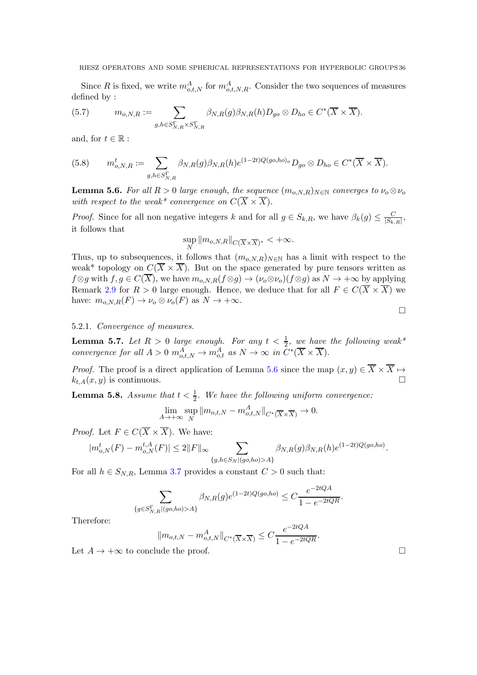Since R is fixed, we write  $m_{o,t,N}^A$  for  $m_{o,t,N,R}^A$ . Consider the two sequences of measures defined by :

(5.7) 
$$
m_{o,N,R} := \sum_{g,h \in S_{N,R}^{\Gamma} \times S_{N,R}^{\Gamma}} \beta_{N,R}(g) \beta_{N,R}(h) D_{g o} \otimes D_{ho} \in C^{*}(\overline{X} \times \overline{X}).
$$

and, for  $t \in \mathbb{R}$ :

(5.8) 
$$
m_{o,N,R}^t := \sum_{g,h \in S_{N,R}^{\Gamma}} \beta_{N,R}(g) \beta_{N,R}(h) e^{(1-2t)Q(go,ho)_o} D_{go} \otimes D_{ho} \in C^*(\overline{X} \times \overline{X}).
$$

<span id="page-35-0"></span>**Lemma 5.6.** For all  $R > 0$  large enough, the sequence  $(m_{o,N,R})_{N \in \mathbb{N}}$  converges to  $\nu_o \otimes \nu_o$ with respect to the weak\* convergence on  $C(\overline{X} \times \overline{X})$ .

*Proof.* Since for all non negative integers k and for all  $g \in S_{k,R}$ , we have  $\beta_k(g) \leq \frac{C}{|S_{k,R}|}$ , it follows that

$$
\sup_N \|m_{o,N,R}\|_{C(\overline{X}\times\overline{X})^*} < +\infty.
$$

Thus, up to subsequences, it follows that  $(m_{o,N,R})_{N\in\mathbb{N}}$  has a limit with respect to the weak\* topology on  $C(\overline{X} \times \overline{X})$ . But on the space generated by pure tensors written as  $f \otimes g$  with  $f, g \in C(\overline{X})$ , we have  $m_{o,N,R}(f \otimes g) \to (\nu_o \otimes \nu_o)(f \otimes g)$  as  $N \to +\infty$  by applying Remark [2.9](#page-11-2) for  $R > 0$  large enough. Hence, we deduce that for all  $F \in C(\overline{X} \times \overline{X})$  we have:  $m_{o,N,R}(F) \to \nu_o \otimes \nu_o(F)$  as  $N \to +\infty$ .

### 5.2.1. Convergence of measures.

<span id="page-35-1"></span>**Lemma 5.7.** Let  $R > 0$  large enough. For any  $t < \frac{1}{2}$ , we have the following weak\* convergence for all  $A > 0$   $m_{o,t,N}^A \rightarrow m_{o,t}^A$  as  $N \rightarrow \infty$  in  $C^*(\overline{X} \times \overline{X})$ .

*Proof.* The proof is a direct application of Lemma [5.6](#page-35-0) since the map  $(x, y) \in \overline{X} \times \overline{X} \mapsto$  $k_{t,A}(x, y)$  is continuous.

<span id="page-35-2"></span>**Lemma 5.8.** Assume that  $t < \frac{1}{2}$ . We have the following uniform convergence:

$$
\lim_{A \to +\infty} \sup_N \|m_{o,t,N} - m_{o,t,N}^A\|_{C^*(\overline{X} \times \overline{X})} \to 0.
$$

*Proof.* Let  $F \in C(\overline{X} \times \overline{X})$ . We have:

$$
|m_{o,N}^{t}(F) - m_{o,N}^{t,A}(F)| \le 2||F||_{\infty} \sum_{\{g,h \in S_N | (go,ho) > A\}} \beta_{N,R}(g) \beta_{N,R}(h) e^{(1-2t)Q(go,ho)}.
$$

For all  $h \in S_{N,R}$ , Lemma [3.7](#page-16-1) provides a constant  $C > 0$  such that:

$$
\sum_{\{g \in S_{N,R}^{\Gamma} | (go,ho) > A\}} \beta_{N,R}(g) e^{(1-2t)Q(go,ho)} \le C \frac{e^{-2tQA}}{1 - e^{-2tQR}}.
$$

 $\Omega$ + $\Omega$ A

Therefore:

$$
||m_{o,t,N} - m_{o,t,N}^A||_{C^*(\overline{X} \times \overline{X})} \leq C \frac{e^{-2tQA}}{1 - e^{-2tQR}}.
$$

Let  $A \to +\infty$  to conclude the proof.

 $\Box$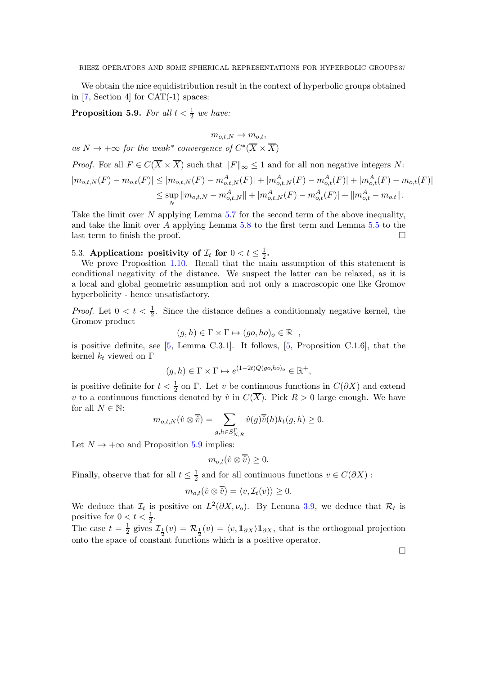We obtain the nice equidistribution result in the context of hyperbolic groups obtained in  $[7, Section 4]$  for  $CAT(-1)$  spaces:

<span id="page-36-0"></span>**Proposition 5.9.** For all  $t < \frac{1}{2}$  we have:

 $m_{o,t,N} \rightarrow m_{o,t}$ as  $N \to +\infty$  for the weak\* convergence of  $C^*(\overline{X} \times \overline{X})$ *Proof.* For all  $F \in C(\overline{X} \times \overline{X})$  such that  $||F||_{\infty} \leq 1$  and for all non negative integers N:  $|m_{o,t,N}(F) - m_{o,t}(F)| \leq |m_{o,t,N}(F) - m_{o,t,N}^A(F)| + |m_{o,t,N}^A(F) - m_{o,t}^A(F)| + |m_{o,t}^A(F) - m_{o,t}(F)|$  $\leq$ sup  $\sup_N \|m_{o,t,N} - m_{o,t,N}^A\| + |m_{o,t,N}^A(F) - m_{o,t}^A(F)| + \|m_{o,t}^A - m_{o,t}\|.$ 

Take the limit over N applying Lemma [5.7](#page-35-1) for the second term of the above inequality, and take the limit over A applying Lemma [5.8](#page-35-2) to the first term and Lemma [5.5](#page-34-1) to the last term to finish the proof.  $\Box$ 

5.3. Application: positivity of  $\mathcal{I}_t$  for  $0 < t \leq \frac{1}{2}$  $\frac{1}{2}$ .

We prove Proposition [1.10.](#page-5-0) Recall that the main assumption of this statement is conditional negativity of the distance. We suspect the latter can be relaxed, as it is a local and global geometric assumption and not only a macroscopic one like Gromov hyperbolicity - hence unsatisfactory.

*Proof.* Let  $0 < t < \frac{1}{2}$ . Since the distance defines a conditionnaly negative kernel, the Gromov product

$$
(g, h) \in \Gamma \times \Gamma \mapsto (go, ho)_o \in \mathbb{R}^+,
$$

is positive definite, see  $[5, \text{ Lemma C.3.1}]$ . It follows,  $[5, \text{ Proposition C.1.6}]$ , that the kernel  $k_t$  viewed on Γ

$$
(g,h) \in \Gamma \times \Gamma \mapsto e^{(1-2t)Q(go,ho)_o} \in \mathbb{R}^+,
$$

is positive definite for  $t < \frac{1}{2}$  on  $\Gamma$ . Let v be continuous functions in  $C(\partial X)$  and extend v to a continuous functions denoted by  $\hat{v}$  in  $C(\overline{X})$ . Pick  $R > 0$  large enough. We have for all  $N \in \mathbb{N}$ :

$$
m_{o,t,N}(\hat{v} \otimes \overline{\hat{v}}) = \sum_{g,h \in S_{N,R}^{\Gamma}} \hat{v}(g)\overline{\hat{v}}(h)k_t(g,h) \ge 0.
$$

Let  $N \to +\infty$  and Proposition [5.9](#page-36-0) implies:

$$
m_{o,t}(\hat{v}\otimes\overline{\hat{v}})\geq 0.
$$

Finally, observe that for all  $t \leq \frac{1}{2}$  $\frac{1}{2}$  and for all continuous functions  $v \in C(\partial X)$ :

$$
m_{o,t}(\hat{v} \otimes \overline{\hat{v}}) = \langle v, \mathcal{I}_t(v) \rangle \ge 0.
$$

We deduce that  $\mathcal{I}_t$  is positive on  $L^2(\partial X, \nu_o)$ . By Lemma [3.9,](#page-18-1) we deduce that  $\mathcal{R}_t$  is positive for  $0 < t < \frac{1}{2}$ .

The case  $t=\frac{1}{2}$  $\frac{1}{2}$  gives  $\mathcal{I}_{\frac{1}{2}}(v) = \mathcal{R}_{\frac{1}{2}}(v) = \langle v, 1_{\partial X} \rangle 1_{\partial X}$ , that is the orthogonal projection onto the space of constant functions which is a positive operator.

 $\Box$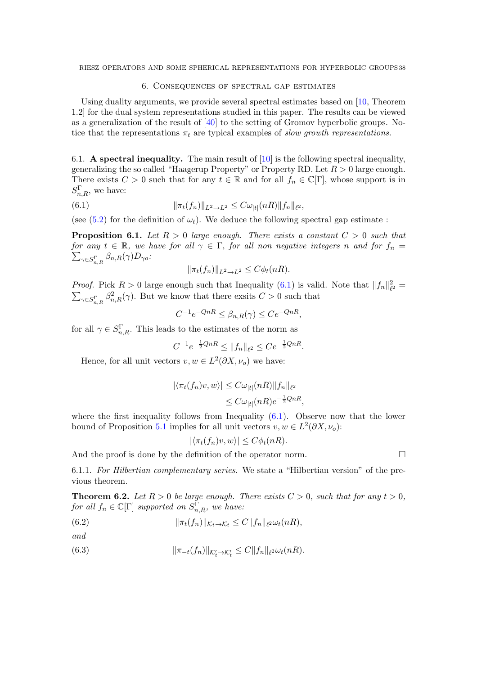### 6. Consequences of spectral gap estimates

<span id="page-37-0"></span>Using duality arguments, we provide several spectral estimates based on [\[10,](#page-52-3) Theorem 1.2] for the dual system representations studied in this paper. The results can be viewed as a generalization of the result of [\[40\]](#page-53-22) to the setting of Gromov hyperbolic groups. Notice that the representations  $\pi_t$  are typical examples of slow growth representations.

6.1. A spectral inequality. The main result of  $[10]$  is the following spectral inequality, generalizing the so called "Haagerup Property" or Property RD. Let  $R > 0$  large enough. There exists  $C > 0$  such that for any  $t \in \mathbb{R}$  and for all  $f_n \in \mathbb{C}[\Gamma]$ , whose support is in  $S_{n,R}^{\Gamma}$ , we have:

(6.1) 
$$
\|\pi_t(f_n)\|_{L^2 \to L^2} \leq C\omega_{|t|}(nR)\|f_n\|_{\ell^2},
$$

(see [\(5.2\)](#page-32-2) for the definition of  $\omega_t$ ). We deduce the following spectral gap estimate:

**Proposition 6.1.** Let  $R > 0$  large enough. There exists a constant  $C > 0$  such that for any  $t \in \mathbb{R}$ , we have for all  $\gamma \in \Gamma$ , for all non negative integers n and for  $f_n =$  $\sum_{\gamma \in S^{\Gamma}_{n,R}} \beta_{n,R}(\gamma) D_{\gamma o}$ :

<span id="page-37-1"></span>
$$
\|\pi_t(f_n)\|_{L^2\to L^2}\leq C\phi_t(nR).
$$

*Proof.* Pick  $R > 0$  large enough such that Inequality [\(6.1\)](#page-37-1) is valid. Note that  $||f_n||_{\ell^2}^2 =$  $\sum_{\gamma \in S_{n,R}^{\Gamma}} \beta_{n,R}^2(\gamma)$ . But we know that there exsits  $C > 0$  such that

$$
C^{-1}e^{-QnR} \le \beta_{n,R}(\gamma) \le Ce^{-QnR},
$$

for all  $\gamma \in S_{n,R}^{\Gamma}$ . This leads to the estimates of the norm as

$$
C^{-1}e^{-\frac{1}{2}QnR} \le ||f_n||_{\ell^2} \le Ce^{-\frac{1}{2}QnR}.
$$

Hence, for all unit vectors  $v, w \in L^2(\partial X, \nu_o)$  we have:

$$
|\langle \pi_t(f_n)v, w \rangle| \le C \omega_{|t|}(nR) \|f_n\|_{\ell^2}
$$
  

$$
\le C \omega_{|t|}(nR) e^{-\frac{1}{2}QnR},
$$

where the first inequality follows from Inequality  $(6.1)$ . Observe now that the lower bound of Proposition [5.1](#page-32-1) implies for all unit vectors  $v, w \in L^2(\partial X, \nu_o)$ :

$$
|\langle \pi_t(f_n)v, w \rangle| \le C\phi_t(nR).
$$

And the proof is done by the definition of the operator norm.  $\Box$ 

6.1.1. For Hilbertian complementary series. We state a "Hilbertian version" of the previous theorem.

<span id="page-37-2"></span>**Theorem 6.2.** Let  $R > 0$  be large enough. There exists  $C > 0$ , such that for any  $t > 0$ , for all  $f_n \in \mathbb{C}[\Gamma]$  supported on  $S_{n,R}^{\overline{\Gamma}}$ , we have:

(6.2) 
$$
\|\pi_t(f_n)\|_{\mathcal{K}_t \to \mathcal{K}_t} \leq C \|f_n\|_{\ell^2} \omega_t(nR),
$$

and

(6.3) 
$$
\|\pi_{-t}(f_n)\|_{\mathcal{K}'_t \to \mathcal{K}'_t} \leq C \|f_n\|_{\ell^2} \omega_t(nR).
$$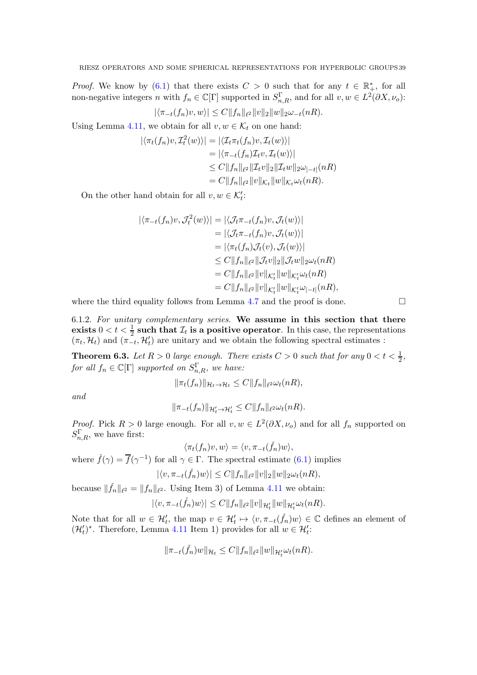*Proof.* We know by [\(6.1\)](#page-37-1) that there exists  $C > 0$  such that for any  $t \in \mathbb{R}^*_+$ , for all non-negative integers n with  $f_n \in \mathbb{C}[\Gamma]$  supported in  $S_{n,R}^{\Gamma}$ , and for all  $v, w \in L^2(\partial X, \nu_o)$ :

$$
|\langle \pi_{-t}(f_n)v, w \rangle| \le C \|f_n\|_{\ell^2} \|v\|_2 \|w\|_2 \omega_{-t}(nR).
$$

Using Lemma [4.11,](#page-31-8) we obtain for all  $v, w \in \mathcal{K}_t$  on one hand:

$$
\begin{aligned} |\langle \pi_t(f_n)v, \mathcal{I}_t^2(w) \rangle| &= |\langle \mathcal{I}_t \pi_t(f_n)v, \mathcal{I}_t(w) \rangle| \\ &= |\langle \pi_{-t}(f_n) \mathcal{I}_t v, \mathcal{I}_t(w) \rangle| \\ &\leq C \|f_n\|_{\ell^2} \|\mathcal{I}_t v\|_2 \|\mathcal{I}_t w\|_2 \omega_{|-t|}(nR) \\ &= C \|f_n\|_{\ell^2} \|v\|_{\mathcal{K}_t} \|w\|_{\mathcal{K}_t} \omega_t(nR). \end{aligned}
$$

On the other hand obtain for all  $v, w \in \mathcal{K}'_t$ :

$$
\begin{aligned} |\langle \pi_{-t}(f_n)v, \mathcal{J}_t^2(w) \rangle| &= |\langle \mathcal{J}_t \pi_{-t}(f_n)v, \mathcal{J}_t(w) \rangle| \\ &= |\langle \mathcal{J}_t \pi_{-t}(f_n)v, \mathcal{J}_t(w) \rangle| \\ &= |\langle \pi_t(f_n) \mathcal{J}_t(v), \mathcal{J}_t(w) \rangle| \\ &\leq C ||f_n||_{\ell^2} ||\mathcal{J}_t v||_2 ||\mathcal{J}_t w||_2 \omega_t(nR) \\ &= C ||f_n||_{\ell^2} ||v||_{\mathcal{K}_t'} ||w||_{\mathcal{K}_t'} \omega_{\ell^2} nR) \\ &= C ||f_n||_{\ell^2} ||v||_{\mathcal{K}_t'} ||w||_{\mathcal{K}_t'} \omega_{\ell^2} nR), \end{aligned}
$$

where the third equality follows from Lemma [4.7](#page-28-0) and the proof is done.

6.1.2. For unitary complementary series. We assume in this section that there exists  $0 < t < \frac{1}{2}$  such that  $\mathcal{I}_t$  is a positive operator. In this case, the representations  $(\pi_t, \mathcal{H}_t)$  and  $(\pi_{-t}, \mathcal{H}'_t)$  are unitary and we obtain the following spectral estimates :

<span id="page-38-0"></span>**Theorem 6.3.** Let  $R > 0$  large enough. There exists  $C > 0$  such that for any  $0 < t < \frac{1}{2}$ , for all  $f_n \in \mathbb{C}[\Gamma]$  supported on  $S^{\Gamma}_{n,R}$ , we have:

$$
\|\pi_t(f_n)\|_{\mathcal{H}_t\to\mathcal{H}_t}\leq C\|f_n\|_{\ell^2}\omega_t(nR),
$$

and

$$
\|\pi_{-t}(f_n)\|_{\mathcal{H}'_t\to\mathcal{H}'_t} \leq C \|f_n\|_{\ell^2} \omega_t(nR).
$$

*Proof.* Pick  $R > 0$  large enough. For all  $v, w \in L^2(\partial X, \nu_o)$  and for all  $f_n$  supported on  $S_{n,R}^{\Gamma}$ , we have first:

 $\langle \pi_t(f_n)v, w \rangle = \langle v, \pi_{-t}(\check{f}_n)w \rangle,$ 

where  $\check{f}(\gamma) = \overline{f}(\gamma^{-1})$  for all  $\gamma \in \Gamma$ . The spectral estimate [\(6.1\)](#page-37-1) implies

$$
|\langle v, \pi_{-t}(\check{f}_n)w\rangle| \leq C \|f_n\|_{\ell^2} \|v\|_2 \|w\|_2 \omega_t(nR),
$$

because  $\|\check{f}_n\|_{\ell^2} = \|f_n\|_{\ell^2}$ . Using Item 3) of Lemma [4.11](#page-31-8) we obtain:

$$
|\langle v, \pi_{-t}(\check{f}_n)w\rangle| \leq C \|f_n\|_{\ell^2} \|v\|_{\mathcal{H}_t'} \|w\|_{\mathcal{H}_t'} \omega_t(nR).
$$

Note that for all  $w \in \mathcal{H}'_t$ , the map  $v \in \mathcal{H}'_t \mapsto \langle v, \pi_{-t}(\check{f}_n)w \rangle \in \mathbb{C}$  defines an element of  $(\mathcal{H}'_t)^*$ . Therefore, Lemma [4.11](#page-31-8) Item 1) provides for all  $w \in \mathcal{H}'_t$ :

$$
\|\pi_{-t}(\check{f}_n)w\|_{\mathcal{H}_t} \leq C \|f_n\|_{\ell^2} \|w\|_{\mathcal{H}'_t} \omega_t(nR).
$$

$$
\sqcup
$$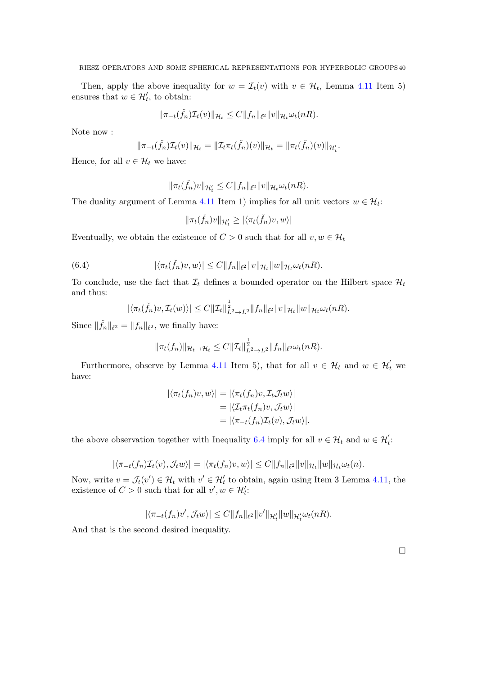Then, apply the above inequality for  $w = \mathcal{I}_t(v)$  with  $v \in \mathcal{H}_t$ , Lemma [4.11](#page-31-8) Item 5) ensures that  $w \in \mathcal{H}'_t$ , to obtain:

$$
\|\pi_{-t}(\check{f}_n)\mathcal{I}_t(v)\|_{\mathcal{H}_t} \leq C \|f_n\|_{\ell^2} \|v\|_{\mathcal{H}_t} \omega_t(nR).
$$

Note now :

$$
\|\pi_{-t}(\check{f}_n)\mathcal{I}_t(v)\|_{\mathcal{H}_t} = \|\mathcal{I}_t\pi_t(\check{f}_n)(v)\|_{\mathcal{H}_t} = \|\pi_t(\check{f}_n)(v)\|_{\mathcal{H}'_t}.
$$

Hence, for all  $v \in \mathcal{H}_t$  we have:

$$
\|\pi_t(\check{f}_n)v\|_{\mathcal{H}'_t} \leq C \|f_n\|_{\ell^2} \|v\|_{\mathcal{H}_t} \omega_t(nR).
$$

The duality argument of Lemma [4.11](#page-31-8) Item 1) implies for all unit vectors  $w \in \mathcal{H}_t$ :

$$
\|\pi_t(\check{f}_n)v\|_{\mathcal{H}'_t} \ge |\langle \pi_t(\check{f}_n)v, w\rangle|
$$

Eventually, we obtain the existence of  $C > 0$  such that for all  $v, w \in \mathcal{H}_t$ 

<span id="page-39-0"></span>(6.4) 
$$
|\langle \pi_t(\check{f}_n)v, w \rangle| \leq C \|f_n\|_{\ell^2} \|v\|_{\mathcal{H}_t} \|w\|_{\mathcal{H}_t} \omega_t(nR).
$$

To conclude, use the fact that  $\mathcal{I}_t$  defines a bounded operator on the Hilbert space  $\mathcal{H}_t$ and thus:

$$
|\langle \pi_t(\check{f}_n)v, \mathcal{I}_t(w)\rangle| \leq C ||\mathcal{I}_t||_{L^2 \to L^2}^{\frac{1}{2}} ||f_n||_{\ell^2} ||v||_{\mathcal{H}_t} ||w||_{\mathcal{H}_t} \omega_t(nR).
$$

Since  $\|\check{f}_n\|_{\ell^2} = \|f_n\|_{\ell^2}$ , we finally have:

$$
\|\pi_t(f_n)\|_{\mathcal{H}_t\to\mathcal{H}_t}\leq C\|\mathcal{I}_t\|_{L^2\to L^2}^{\frac{1}{2}}\|f_n\|_{\ell^2}\omega_t(nR).
$$

Furthermore, observe by Lemma [4.11](#page-31-8) Item 5), that for all  $v \in \mathcal{H}_t$  and  $w \in \mathcal{H}_t'$  we have:

$$
|\langle \pi_t(f_n)v, w \rangle| = |\langle \pi_t(f_n)v, \mathcal{I}_t \mathcal{J}_t w \rangle|
$$
  
=  $|\langle \mathcal{I}_t \pi_t(f_n)v, \mathcal{J}_t w \rangle|$   
=  $|\langle \pi_{-t}(f_n)\mathcal{I}_t(v), \mathcal{J}_t w \rangle|$ .

the above observation together with Inequality [6.4](#page-39-0) imply for all  $v \in \mathcal{H}_t$  and  $w \in \mathcal{H}'_t$ :

$$
|\langle \pi_{-t}(f_n)\mathcal{I}_t(v), \mathcal{J}_t w \rangle| = |\langle \pi_t(f_n)v, w \rangle| \leq C \|f_n\|_{\ell^2} \|v\|_{\mathcal{H}_t} \|w\|_{\mathcal{H}_t} \omega_t(n).
$$

Now, write  $v = \mathcal{J}_t(v') \in \mathcal{H}_t$  with  $v' \in \mathcal{H}_t'$  to obtain, again using Item 3 Lemma [4.11,](#page-31-8) the existence of  $C > 0$  such that for all  $v', w \in \mathcal{H}'_t$ :

$$
|\langle \pi_{-t}(f_n)v',\mathcal{J}_tw\rangle| \leq C \|f_n\|_{\ell^2} \|v'\|_{\mathcal{H}_t'} \|w\|_{\mathcal{H}_t'} \omega_t(nR).
$$

And that is the second desired inequality.

 $\Box$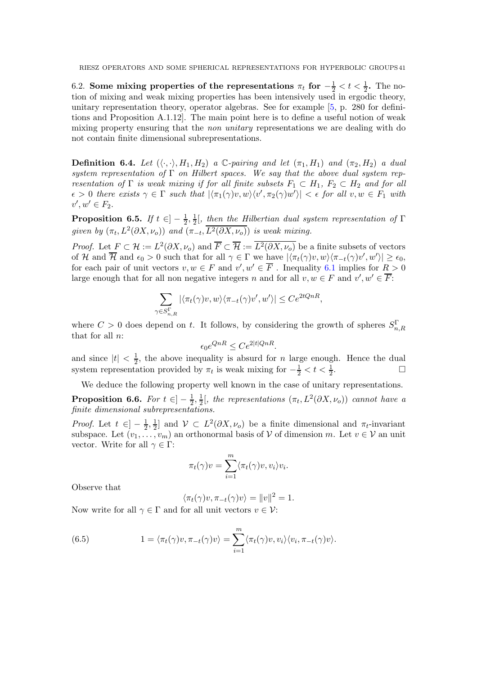6.2. Some mixing properties of the representations  $\pi_t$  for  $-\frac{1}{2} < t < \frac{1}{2}$ . The notion of mixing and weak mixing properties has been intensively used in ergodic theory, unitary representation theory, operator algebras. See for example  $[5, p. 280$  for definitions and Proposition A.1.12]. The main point here is to define a useful notion of weak mixing property ensuring that the *non unitary* representations we are dealing with do not contain finite dimensional subrepresentations.

**Definition 6.4.** Let  $(\langle \cdot, \cdot \rangle, H_1, H_2)$  a C-pairing and let  $(\pi_1, H_1)$  and  $(\pi_2, H_2)$  a dual system representation of  $\Gamma$  on Hilbert spaces. We say that the above dual system representation of  $\Gamma$  is weak mixing if for all finite subsets  $F_1 \subset H_1$ ,  $F_2 \subset H_2$  and for all  $\epsilon > 0$  there exists  $\gamma \in \Gamma$  such that  $|\langle \pi_1(\gamma)v, w \rangle \langle v', \pi_2(\gamma)w' \rangle| < \epsilon$  for all  $v, w \in F_1$  with  $v', w' \in F_2.$ 

<span id="page-40-0"></span>Proposition 6.5. If  $t \in ]-\frac{1}{2}$  $\frac{1}{2}, \frac{1}{2}$  $\frac{1}{2}$ [, then the Hilbertian dual system representation of  $\Gamma$ given by  $(\pi_t, L^2(\partial X, \nu_o))$  and  $(\pi_{-t}, \overline{L^2(\partial X, \nu_o)})$  is weak mixing.

*Proof.* Let  $F \subset \mathcal{H} := L^2(\partial X, \nu_o)$  and  $\overline{F} \subset \overline{\mathcal{H}} := \overline{L^2(\partial X, \nu_o)}$  be a finite subsets of vectors of H and  $\overline{\mathcal{H}}$  and  $\epsilon_0 > 0$  such that for all  $\gamma \in \Gamma$  we have  $|\langle \pi_t(\gamma)v, w \rangle \langle \pi_{-t}(\gamma)v', w' \rangle| \ge \epsilon_0$ , for each pair of unit vectors  $v, w \in F$  and  $v', w' \in \overline{F}$ . Inequality [6.1](#page-37-1) implies for  $R > 0$ large enough that for all non negative integers n and for all  $v, w \in F$  and  $v', w' \in \overline{F}$ :

$$
\sum_{\gamma \in S^{\Gamma}_{n,R}} |\langle \pi_t(\gamma)v, w \rangle \langle \pi_{-t}(\gamma)v', w' \rangle| \leq Ce^{2tQnR},
$$

where  $C > 0$  does depend on t. It follows, by considering the growth of spheres  $S_{n,R}^{\Gamma}$ that for all  $n$ :

$$
\epsilon_0 e^{QnR} \le Ce^{2|t|QnR}.
$$

and since  $|t| < \frac{1}{2}$  $\frac{1}{2}$ , the above inequality is absurd for *n* large enough. Hence the dual system representation provided by  $\pi_t$  is weak mixing for  $-\frac{1}{2} < t < \frac{1}{2}$ . — Профессор — Профессор — Профессор — Профессор — Профессор — Профессор — Профессор — Профессор — Профессор <br>В профессор — Профессор — Профессор — Профессор — Профессор — Профессор — Профессор — Профессор — Профессор —

We deduce the following property well known in the case of unitary representations.

**Proposition 6.6.** For  $t \in ]-\frac{1}{2}$  $\frac{1}{2}, \frac{1}{2}$  $\frac{1}{2}$ , the representations  $(\pi_t, L^2(\partial X, \nu_o))$  cannot have a finite dimensional subrepresentations.

*Proof.* Let  $t \in ]-\frac{1}{2},\frac{1}{2}$  $\frac{1}{2}$  and  $\mathcal{V} \subset L^2(\partial X, \nu_o)$  be a finite dimensional and  $\pi_t$ -invariant subspace. Let  $(v_1, \ldots, v_m)$  an orthonormal basis of V of dimension m. Let  $v \in V$  an unit vector. Write for all  $\gamma \in \Gamma$ :

$$
\pi_t(\gamma)v = \sum_{i=1}^m \langle \pi_t(\gamma)v, v_i \rangle v_i.
$$

Observe that

$$
\langle \pi_t(\gamma)v, \pi_{-t}(\gamma)v \rangle = ||v||^2 = 1.
$$

Now write for all  $\gamma \in \Gamma$  and for all unit vectors  $v \in \mathcal{V}$ :

<span id="page-40-1"></span>(6.5) 
$$
1 = \langle \pi_t(\gamma)v, \pi_{-t}(\gamma)v \rangle = \sum_{i=1}^m \langle \pi_t(\gamma)v, v_i \rangle \langle v_i, \pi_{-t}(\gamma)v \rangle.
$$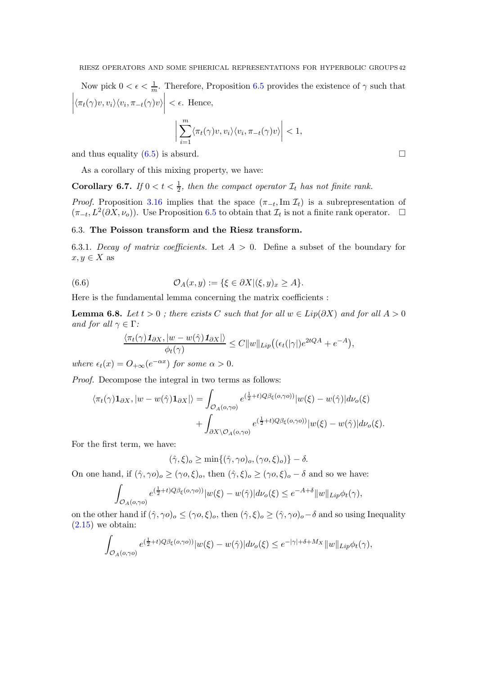Now pick  $0 < \epsilon < \frac{1}{m}$ . Therefore, Proposition [6.5](#page-40-0) provides the existence of  $\gamma$  such that  $\begin{array}{c} \begin{array}{c} \begin{array}{c} \end{array} \\ \begin{array}{c} \end{array} \end{array} \end{array}$  $\langle \pi_t(\gamma)v, v_i \rangle \langle v_i, \pi_{-t}(\gamma)v \rangle$   $< \epsilon$ . Hence,

$$
\bigg|\sum_{i=1}^m \langle \pi_t(\gamma)v, v_i \rangle \langle v_i, \pi_{-t}(\gamma)v \rangle\bigg| < 1,
$$

and thus equality  $(6.5)$  is absurd.

As a corollary of this mixing property, we have:

**Corollary 6.7.** If  $0 < t < \frac{1}{2}$ , then the compact operator  $\mathcal{I}_t$  has not finite rank.

*Proof.* Proposition [3.16](#page-25-0) implies that the space  $(\pi_{-t}, \text{Im }\mathcal{I}_t)$  is a subrepresentation of  $(\pi_{-t}, L^2(\partial X, \nu_o)).$  Use Proposition [6.5](#page-40-0) to obtain that  $\mathcal{I}_t$  is not a finite rank operator.  $\Box$ 

### 6.3. The Poisson transform and the Riesz transform.

6.3.1. Decay of matrix coefficients. Let  $A > 0$ . Define a subset of the boundary for  $x, y \in X$  as

(6.6) 
$$
\mathcal{O}_A(x,y) := \{\xi \in \partial X | (\xi,y)_x \geq A\}.
$$

Here is the fundamental lemma concerning the matrix coefficients :

<span id="page-41-0"></span>**Lemma 6.8.** Let  $t > 0$ ; there exists C such that for all  $w \in Lip(\partial X)$  and for all  $A > 0$ and for all  $\gamma \in \Gamma$ :

$$
\frac{\langle \pi_t(\gamma) \mathbf{1}_{\partial X}, |w - w(\hat{\gamma}) \mathbf{1}_{\partial X}| \rangle}{\phi_t(\gamma)} \leq C \|w\|_{Lip} \big( (\epsilon_t(|\gamma|)e^{2tQA} + e^{-A}),
$$

where  $\epsilon_t(x) = O_{+\infty}(e^{-\alpha x})$  for some  $\alpha > 0$ .

Proof. Decompose the integral in two terms as follows:

$$
\langle \pi_t(\gamma) \mathbf{1}_{\partial X}, |w - w(\hat{\gamma}) \mathbf{1}_{\partial X}|\rangle = \int_{\mathcal{O}_A(o, \gamma o)} e^{(\frac{1}{2}+t)Q\beta_{\xi}(o, \gamma o))} |w(\xi) - w(\hat{\gamma})| d\nu_o(\xi) + \int_{\partial X \setminus \mathcal{O}_A(o, \gamma o)} e^{(\frac{1}{2}+t)Q\beta_{\xi}(o, \gamma o))} |w(\xi) - w(\hat{\gamma})| d\nu_o(\xi).
$$

For the first term, we have:

$$
(\hat{\gamma}, \xi)_o \ge \min\{(\hat{\gamma}, \gamma o)_o, (\gamma o, \xi)_o)\} - \delta.
$$

On one hand, if  $(\hat{\gamma}, \gamma o)_o \geq (\gamma o, \xi)_o$ , then  $(\hat{\gamma}, \xi)_o \geq (\gamma o, \xi)_o - \delta$  and so we have:

$$
\int_{\mathcal{O}_A(o,\gamma o)} e^{(\frac{1}{2}+t)Q\beta_{\xi}(o,\gamma o))} |w(\xi) - w(\hat{\gamma})| d\nu_o(\xi) \leq e^{-A+\delta} ||w||_{Lip} \phi_t(\gamma),
$$

on the other hand if  $(\hat{\gamma}, \gamma o)_o \leq (\gamma o, \xi)_o$ , then  $(\hat{\gamma}, \xi)_o \geq (\hat{\gamma}, \gamma o)_o - \delta$  and so using Inequality  $(2.15)$  we obtain:

$$
\int_{\mathcal{O}_A(o,\gamma o)} e^{(\frac{1}{2}+t)Q\beta_{\xi}(o,\gamma o))} |w(\xi) - w(\hat{\gamma})| d\nu_o(\xi) \leq e^{-|\gamma| + \delta + M_X} ||w||_{Lip} \phi_t(\gamma),
$$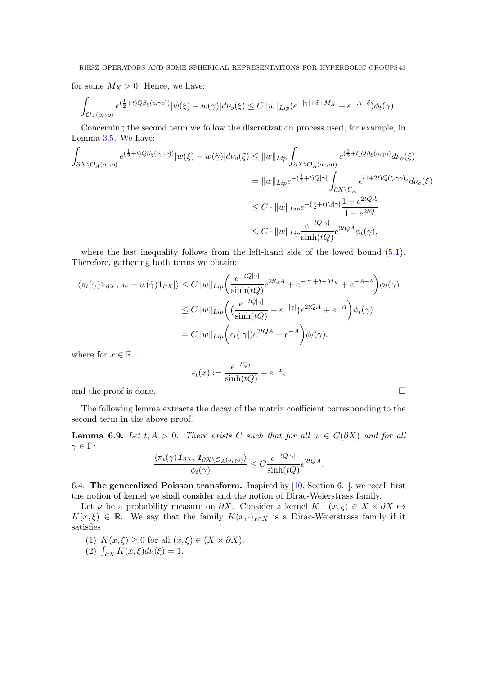for some  $M_X > 0$ . Hence, we have:

$$
\int_{\mathcal{O}_A(o,\gamma o)} e^{(\frac{1}{2}+t)Q\beta_{\xi}(o,\gamma o))} |w(\xi)-w(\hat{\gamma})| d\nu_o(\xi) \leq C \|w\|_{Lip}(e^{-|\gamma|+\delta+M_X}+e^{-A+\delta})\phi_t(\gamma).
$$

Concerning the second term we follow the discretization process used, for example, in Lemma [3.5.](#page-15-1) We have:

$$
\int_{\partial X \backslash \mathcal{O}_A(o,\gamma o)} e^{(\frac{1}{2}+t)Q\beta_{\xi}(o,\gamma o))} |w(\xi) - w(\hat{\gamma})| d\nu_o(\xi) \le ||w||_{Lip} \int_{\partial X \backslash \mathcal{O}_A(o,\gamma o)} e^{(\frac{1}{2}+t)Q\beta_{\xi}(o,\gamma o)} d\nu_o(\xi)
$$
  
\n
$$
= ||w||_{Lip} e^{-(\frac{1}{2}+t)Q|\gamma|} \int_{\partial X \backslash U_A} e^{(1+2t)Q(\xi,\gamma o)_o} d\nu_o(\xi)
$$
  
\n
$$
\le C \cdot ||w||_{Lip} e^{-(\frac{1}{2}+t)Q|\gamma|} \frac{1 - e^{2tQA}}{1 - e^{2tQA}}
$$
  
\n
$$
\le C \cdot ||w||_{Lip} \frac{e^{-tQ|\gamma|}}{\sinh(tQ)} e^{2tQA} \phi_t(\gamma),
$$

where the last inequality follows from the left-hand side of the lowed bound  $(5.1)$ . Therefore, gathering both terms we obtain:

$$
\langle \pi_t(\gamma) \mathbf{1}_{\partial X}, |w - w(\hat{\gamma}) \mathbf{1}_{\partial X} | \rangle \le C \|w\|_{Lip} \left( \frac{e^{-tQ|\gamma|}}{\sinh(tQ)} e^{2tQA} + e^{-|\gamma| + \delta + M_X} + e^{-A+\delta} \right) \phi_t(\gamma)
$$
  

$$
\le C \|w\|_{Lip} \left( \left( \frac{e^{-tQ|\gamma|}}{\sinh(tQ)} + e^{-|\gamma|} \right) e^{2tQA} + e^{-A} \right) \phi_t(\gamma)
$$
  

$$
= C \|w\|_{Lip} \left( \epsilon_t(|\gamma|) e^{2tQA} + e^{-A} \right) \phi_t(\gamma).
$$

where for  $x \in \mathbb{R}_+$ :

$$
\epsilon_t(x) := \frac{e^{-tQx}}{\sinh(tQ)} + e^{-x},
$$

and the proof is done.  $\Box$ 

The following lemma extracts the decay of the matrix coefficient corresponding to the second term in the above proof.

<span id="page-42-0"></span>**Lemma 6.9.** Let t,  $A > 0$ . There exists C such that for all  $w \in C(\partial X)$  and for all  $\gamma \in \Gamma$ :

$$
\frac{\langle \pi_t(\gamma) \mathbf{1}_{\partial X}, \mathbf{1}_{\partial X \setminus \mathcal{O}_A(o,\gamma o)} \rangle}{\phi_t(\gamma)} \leq C \frac{e^{-tQ|\gamma|}}{\sinh(tQ)} e^{2tQA}.
$$

6.4. The generalized Poisson transform. Inspired by  $[10, Section 6.1]$ , we recall first the notion of kernel we shall consider and the notion of Dirac-Weierstrass family.

Let  $\nu$  be a probability measure on  $\partial X$ . Consider a kernel  $K : (x, \xi) \in X \times \partial X \mapsto$  $K(x,\xi) \in \mathbb{R}$ . We say that the family  $K(x,\cdot)_{x\in X}$  is a Dirac-Weierstrass family if it satisfies

(1)  $K(x,\xi) \geq 0$  for all  $(x,\xi) \in (X \times \partial X)$ .

(2) 
$$
\int_{\partial X} K(x,\xi) d\nu(\xi) = 1.
$$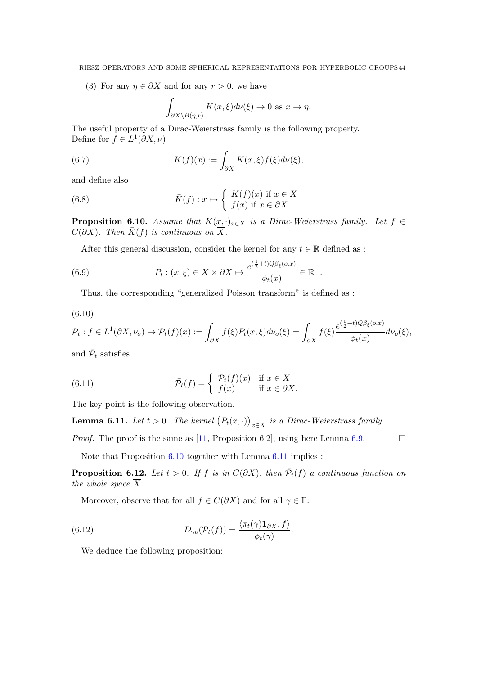(3) For any  $\eta \in \partial X$  and for any  $r > 0$ , we have

$$
\int_{\partial X \setminus B(\eta,r)} K(x,\xi) d\nu(\xi) \to 0 \text{ as } x \to \eta.
$$

The useful property of a Dirac-Weierstrass family is the following property. Define for  $f \in L^1(\partial X, \nu)$ 

(6.7) 
$$
K(f)(x) := \int_{\partial X} K(x,\xi) f(\xi) d\nu(\xi),
$$

and define also

(6.8) 
$$
\bar{K}(f) : x \mapsto \begin{cases} K(f)(x) & \text{if } x \in X \\ f(x) & \text{if } x \in \partial X \end{cases}
$$

<span id="page-43-0"></span>**Proposition 6.10.** Assume that  $K(x, \cdot)_{x \in X}$  is a Dirac-Weierstrass family. Let  $f \in$  $C(\partial X)$ . Then  $\overline{K}(f)$  is continuous on  $\overline{X}$ .

After this general discussion, consider the kernel for any  $t \in \mathbb{R}$  defined as :

(6.9) 
$$
P_t: (x,\xi) \in X \times \partial X \mapsto \frac{e^{(\frac{1}{2}+t)Q\beta_{\xi}(o,x)}}{\phi_t(x)} \in \mathbb{R}^+.
$$

Thus, the corresponding "generalized Poisson transform" is defined as :

$$
(6.10)
$$

$$
\mathcal{P}_t : f \in L^1(\partial X, \nu_o) \mapsto \mathcal{P}_t(f)(x) := \int_{\partial X} f(\xi) P_t(x, \xi) d\nu_o(\xi) = \int_{\partial X} f(\xi) \frac{e^{(\frac{1}{2} + t)\mathcal{Q}\beta_{\xi}(o, x)}}{\phi_t(x)} d\nu_o(\xi),
$$

and  $\bar{\mathcal{P}}_t$  satisfies

(6.11) 
$$
\overline{\mathcal{P}}_t(f) = \begin{cases} \mathcal{P}_t(f)(x) & \text{if } x \in X \\ f(x) & \text{if } x \in \partial X. \end{cases}
$$

The key point is the following observation.

<span id="page-43-1"></span>**Lemma 6.11.** Let  $t > 0$ . The kernel  $(P_t(x, \cdot))_{x \in X}$  is a Dirac-Weierstrass family.

*Proof.* The proof is the same as [\[11,](#page-52-20) Proposition 6.2], using here Lemma [6.9.](#page-42-0)

Note that Proposition [6.10](#page-43-0) together with Lemma [6.11](#page-43-1) implies :

<span id="page-43-2"></span>**Proposition 6.12.** Let  $t > 0$ . If f is in  $C(\partial X)$ , then  $\overline{\mathcal{P}}_t(f)$  a continuous function on the whole space  $\overline{X}$ .

.

Moreover, observe that for all  $f \in C(\partial X)$  and for all  $\gamma \in \Gamma$ :

(6.12) 
$$
D_{\gamma o}(\mathcal{P}_t(f)) = \frac{\langle \pi_t(\gamma) \mathbf{1}_{\partial X}, f \rangle}{\phi_t(\gamma)}
$$

We deduce the following proposition: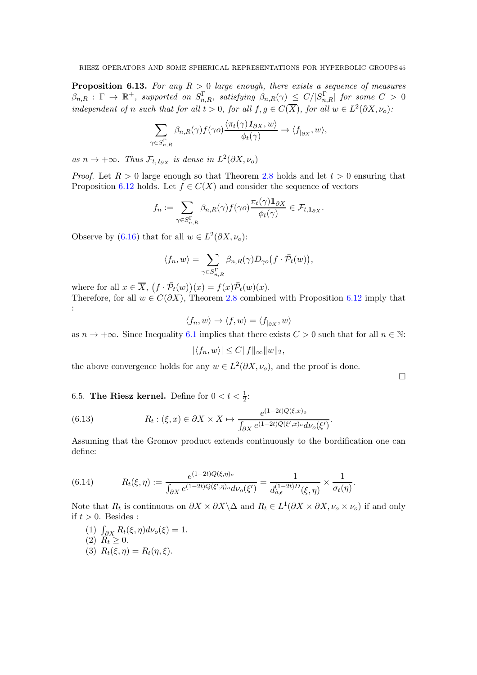<span id="page-44-0"></span>**Proposition 6.13.** For any  $R > 0$  large enough, there exists a sequence of measures  $\beta_{n,R}$  :  $\Gamma$   $\to$   $\mathbb{R}^+$ , supported on  $S^\Gamma_{n,R}$ , satisfying  $\beta_{n,R}(\gamma) \le C/|S^\Gamma_{n,R}|$  for some  $C$   $>$  0 independent of n such that for all  $t > 0$ , for all  $f, g \in C(\overline{X})$ , for all  $w \in L^2(\partial X, \nu_o)$ :

$$
\sum_{\gamma \in S^{\Gamma}_{n,R}} \beta_{n,R}(\gamma) f(\gamma o) \frac{\langle \pi_t(\gamma) \mathbf{1}_{\partial X}, w \rangle}{\phi_t(\gamma)} \to \langle f_{|_{\partial X}}, w \rangle,
$$

as  $n \to +\infty$ . Thus  $\mathcal{F}_{t,1_{\partial X}}$  is dense in  $L^2(\partial X, \nu_o)$ 

*Proof.* Let  $R > 0$  large enough so that Theorem [2.8](#page-11-0) holds and let  $t > 0$  ensuring that Proposition [6.12](#page-43-2) holds. Let  $f \in C(\overline{X})$  and consider the sequence of vectors

$$
f_n := \sum_{\gamma \in S^{\Gamma}_{n,R}} \beta_{n,R}(\gamma) f(\gamma o) \frac{\pi_t(\gamma) \mathbf{1}_{\partial X}}{\phi_t(\gamma)} \in \mathcal{F}_{t,\mathbf{1}_{\partial X}}.
$$

Observe by [\(6.16\)](#page-45-1) that for all  $w \in L^2(\partial X, \nu_o)$ :

$$
\langle f_n, w \rangle = \sum_{\gamma \in S^{\Gamma}_{n,R}} \beta_{n,R}(\gamma) D_{\gamma o} \big( f \cdot \bar{\mathcal{P}}_t(w) \big),
$$

where for all  $x \in \overline{X}$ ,  $(f \cdot \overline{P}_t(w))(x) = f(x)\overline{P}_t(w)(x)$ .

Therefore, for all  $w \in C(\partial X)$ , Theorem [2.8](#page-11-0) combined with Proposition [6.12](#page-43-2) imply that :

$$
\langle f_n, w \rangle \to \langle f, w \rangle = \langle f_{| \partial X}, w \rangle
$$

as  $n \to +\infty$ . Since Inequality [6.1](#page-37-1) implies that there exists  $C > 0$  such that for all  $n \in \mathbb{N}$ .

$$
|\langle f_n, w \rangle| \le C ||f||_{\infty} ||w||_2,
$$

the above convergence holds for any  $w \in L^2(\partial X, \nu_o)$ , and the proof is done.

 $\Box$ 

6.5. The Riesz kernel. Define for  $0 < t < \frac{1}{2}$ :

(6.13) 
$$
R_t: (\xi, x) \in \partial X \times X \mapsto \frac{e^{(1-2t)Q(\xi, x)_o}}{\int_{\partial X} e^{(1-2t)Q(\xi', x)_o} d\nu_o(\xi')}.
$$

Assuming that the Gromov product extends continuously to the bordification one can define:

(6.14) 
$$
R_t(\xi, \eta) := \frac{e^{(1-2t)Q(\xi, \eta)_o}}{\int_{\partial X} e^{(1-2t)Q(\xi', \eta)_o} d\nu_o(\xi')} = \frac{1}{d_{o,\epsilon}^{(1-2t)D}(\xi, \eta)} \times \frac{1}{\sigma_t(\eta)}.
$$

Note that  $R_t$  is continuous on  $\partial X \times \partial X \setminus \Delta$  and  $R_t \in L^1(\partial X \times \partial X, \nu_o \times \nu_o)$  if and only if  $t > 0$ . Besides :

(1)  $\int_{\partial X} R_t(\xi, \eta) d\nu_o(\xi) = 1.$ (2)  $R_t \geq 0$ . (3)  $R_t(\xi, \eta) = R_t(\eta, \xi)$ .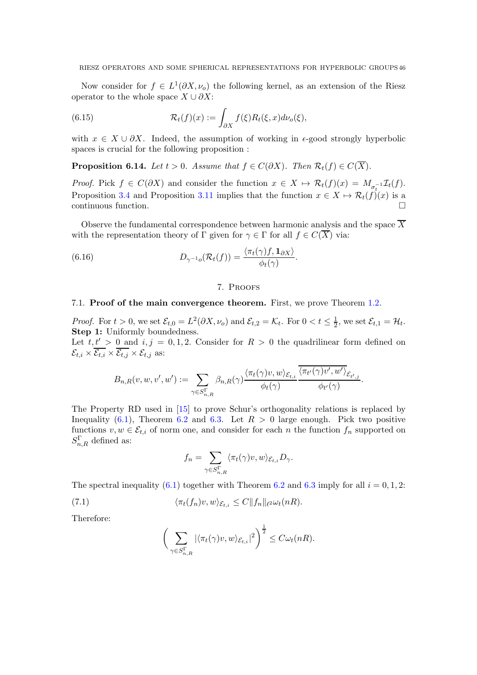Now consider for  $f \in L^1(\partial X, \nu_o)$  the following kernel, as an extension of the Riesz operator to the whole space  $X \cup \partial X$ :

(6.15) 
$$
\mathcal{R}_t(f)(x) := \int_{\partial X} f(\xi) R_t(\xi, x) d\nu_o(\xi),
$$

with  $x \in X \cup \partial X$ . Indeed, the assumption of working in  $\epsilon$ -good strongly hyperbolic spaces is crucial for the following proposition :

<span id="page-45-2"></span>**Proposition 6.14.** Let  $t > 0$ . Assume that  $f \in C(\partial X)$ . Then  $\mathcal{R}_t(f) \in C(\overline{X})$ .

*Proof.* Pick  $f \in C(\partial X)$  and consider the function  $x \in X \mapsto \mathcal{R}_t(f)(x) = M_{\sigma_t^{-1}}\mathcal{I}_t(f)$ . Proposition [3.4](#page-15-0) and Proposition [3.11](#page-19-1) implies that the function  $x \in X \mapsto \mathcal{R}_t(f)(x)$  is a continuous function.

Observe the fundamental correspondence between harmonic analysis and the space  $\overline{X}$ with the representation theory of Γ given for  $\gamma \in \Gamma$  for all  $f \in C(\overline{X})$  via:

(6.16) 
$$
D_{\gamma^{-1}o}(\mathcal{R}_t(f)) = \frac{\langle \pi_t(\gamma)f, \mathbf{1}_{\partial X} \rangle}{\phi_t(\gamma)}.
$$

#### <span id="page-45-1"></span>7. Proofs

### <span id="page-45-0"></span>7.1. Proof of the main convergence theorem. First, we prove Theorem [1.2.](#page-3-1)

*Proof.* For  $t > 0$ , we set  $\mathcal{E}_{t,0} = L^2(\partial X, \nu_o)$  and  $\mathcal{E}_{t,2} = \mathcal{K}_t$ . For  $0 < t \leq \frac{1}{2}$ , we set  $\mathcal{E}_{t,1} = \mathcal{H}_t$ . Step 1: Uniformly boundedness.

Let  $t, t' > 0$  and  $i, j = 0, 1, 2$ . Consider for  $R > 0$  the quadrilinear form defined on  $\mathcal{E}_{t,i} \times \overline{\mathcal{E}_{t,i}} \times \overline{\mathcal{E}_{t,j}} \times \mathcal{E}_{t,j}$  as:

$$
B_{n,R}(v,w,v',w') := \sum_{\gamma \in S^{\Gamma}_{n,R}} \beta_{n,R}(\gamma) \frac{\langle \pi_t(\gamma)v,w \rangle_{\mathcal{E}_{t,i}}}{\phi_t(\gamma)} \frac{\langle \pi_{t'}(\gamma)v',w' \rangle_{\mathcal{E}_{t',j}}}{\phi_{t'}(\gamma)}
$$

.

The Property RD used in [\[15\]](#page-52-8) to prove Schur's orthogonality relations is replaced by Inequality [\(6.1\)](#page-37-1), Theorem [6.2](#page-37-2) and [6.3.](#page-38-0) Let  $R > 0$  large enough. Pick two positive functions  $v, w \in \mathcal{E}_{t,i}$  of norm one, and consider for each n the function  $f_n$  supported on  $S_{n,R}^{\Gamma}$  defined as:

$$
f_n = \sum_{\gamma \in S_{n,R}^{\Gamma}} \langle \pi_t(\gamma)v, w \rangle_{\mathcal{E}_{t,i}} D_{\gamma}.
$$

The spectral inequality [\(6.1\)](#page-37-1) together with Theorem [6.2](#page-37-2) and [6.3](#page-38-0) imply for all  $i = 0, 1, 2$ :

(7.1) 
$$
\langle \pi_t(f_n)v, w \rangle_{\mathcal{E}_{t,i}} \leq C \|f_n\|_{\ell^2} \omega_t(nR).
$$

Therefore:

$$
\bigg(\sum_{\gamma \in S_{n,R}^{\Gamma}} |\langle \pi_t(\gamma)v, w \rangle_{\mathcal{E}_{t,i}}|^2\bigg)^{\frac{1}{2}} \leq C \omega_t(nR).
$$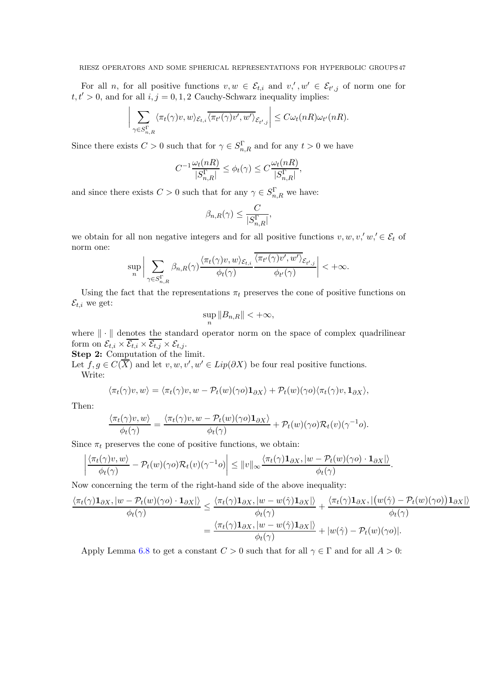For all *n*, for all positive functions  $v, w \in \mathcal{E}_{t,i}$  and  $v,' , w' \in \mathcal{E}_{t',j}$  of norm one for  $t, t' > 0$ , and for all  $i, j = 0, 1, 2$  Cauchy-Schwarz inequality implies:

$$
\sum_{\gamma \in S^{\Gamma}_{n,R}} \langle \pi_t(\gamma)v, w \rangle_{\mathcal{E}_{t,i}} \overline{\langle \pi_{t'}(\gamma)v', w' \rangle}_{\mathcal{E}_{t',j}} \leq C \omega_t(nR) \omega_{t'}(nR).
$$

Since there exists  $C > 0$  such that for  $\gamma \in S_{n,R}^{\Gamma}$  and for any  $t > 0$  we have

$$
C^{-1}\frac{\omega_t(nR)}{|S_{n,R}^\Gamma|}\leq \phi_t(\gamma)\leq C\frac{\omega_t(nR)}{|S_{n,R}^\Gamma|},
$$

and since there exists  $C > 0$  such that for any  $\gamma \in S_{n,R}^{\Gamma}$  we have:

$$
\beta_{n,R}(\gamma) \leq \frac{C}{|S_{n,R}^{\Gamma}|},
$$

we obtain for all non negative integers and for all positive functions  $v, w, v', w' \in \mathcal{E}_t$  of norm one:

$$
\sup_n \bigg| \sum_{\gamma \in S^{\Gamma}_{n,R}} \beta_{n,R}(\gamma) \frac{\langle \pi_t(\gamma)v,w\rangle_{\mathcal{E}_{t,i}} }{\phi_t(\gamma)} \frac{\langle \pi_{t'}(\gamma)v',w'\rangle_{\mathcal{E}_{t',j}}}{\phi_{t'}(\gamma)} \bigg| < +\infty.
$$

Using the fact that the representations  $\pi_t$  preserves the cone of positive functions on  $\mathcal{E}_{t,i}$  we get:

$$
\sup_n \|B_{n,R}\| < +\infty,
$$

where  $\|\cdot\|$  denotes the standard operator norm on the space of complex quadrilinear form on  $\mathcal{E}_{t,i} \times \overline{\mathcal{E}_{t,i}} \times \overline{\mathcal{E}_{t,j}} \times \mathcal{E}_{t,j}$ .

Step 2: Computation of the limit.

 $\overline{\phantom{a}}$ I  $\overline{\phantom{a}}$  $\mathsf{I}$ 

Let  $f, g \in C(\overline{X})$  and let  $v, w, v', w' \in Lip(\partial X)$  be four real positive functions. Write:

$$
\langle \pi_t(\gamma)v, w \rangle = \langle \pi_t(\gamma)v, w - \mathcal{P}_t(w)(\gamma o) \mathbf{1}_{\partial X} \rangle + \mathcal{P}_t(w)(\gamma o) \langle \pi_t(\gamma)v, \mathbf{1}_{\partial X} \rangle,
$$

Then:

$$
\frac{\langle \pi_t(\gamma)v, w \rangle}{\phi_t(\gamma)} = \frac{\langle \pi_t(\gamma)v, w - \mathcal{P}_t(w)(\gamma o) \mathbf{1}_{\partial X} \rangle}{\phi_t(\gamma)} + \mathcal{P}_t(w)(\gamma o) \mathcal{R}_t(v)(\gamma^{-1} o).
$$

Since  $\pi_t$  preserves the cone of positive functions, we obtain:

$$
\left|\frac{\langle \pi_t(\gamma)v,w\rangle}{\phi_t(\gamma)} - \mathcal{P}_t(w)(\gamma o)\mathcal{R}_t(v)(\gamma^{-1} o)\right| \leq \|v\|_{\infty} \frac{\langle \pi_t(\gamma)\mathbf{1}_{\partial X},|w-\mathcal{P}_t(w)(\gamma o)\cdot\mathbf{1}_{\partial X}|\rangle}{\phi_t(\gamma)}.
$$

Now concerning the term of the right-hand side of the above inequality:

$$
\frac{\langle \pi_t(\gamma)\mathbf{1}_{\partial X}, |w - \mathcal{P}_t(w)(\gamma o)\cdot\mathbf{1}_{\partial X}| \rangle}{\phi_t(\gamma)} \leq \frac{\langle \pi_t(\gamma)\mathbf{1}_{\partial X}, |w - w(\hat{\gamma})\mathbf{1}_{\partial X}| \rangle}{\phi_t(\gamma)} + \frac{\langle \pi_t(\gamma)\mathbf{1}_{\partial X}, |(w(\hat{\gamma}) - \mathcal{P}_t(w)(\gamma o))\mathbf{1}_{\partial X}| \rangle}{\phi_t(\gamma)}
$$

$$
= \frac{\langle \pi_t(\gamma)\mathbf{1}_{\partial X}, |w - w(\hat{\gamma})\mathbf{1}_{\partial X}| \rangle}{\phi_t(\gamma)} + |w(\hat{\gamma}) - \mathcal{P}_t(w)(\gamma o)|.
$$

Apply Lemma [6.8](#page-41-0) to get a constant  $C > 0$  such that for all  $\gamma \in \Gamma$  and for all  $A > 0$ :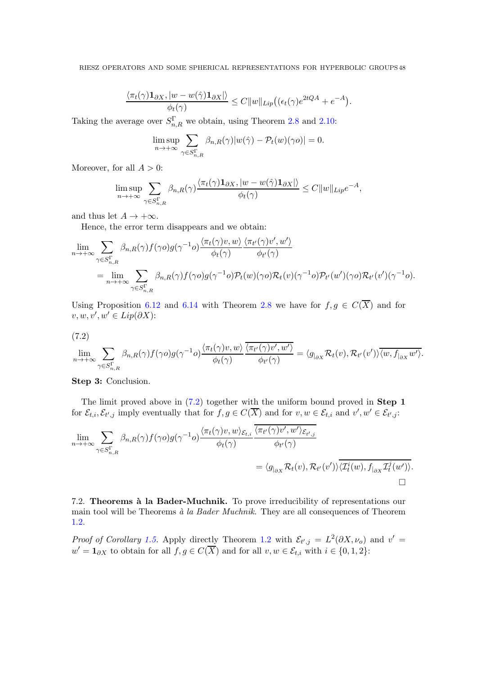$$
\frac{\langle \pi_t(\gamma) \mathbf{1}_{\partial X}, |w - w(\hat{\gamma}) \mathbf{1}_{\partial X}| \rangle}{\phi_t(\gamma)} \leq C \|w\|_{Lip} \big( (\epsilon_t(\gamma) e^{2tQA} + e^{-A}).
$$

Taking the average over  $S_{n,R}^{\Gamma}$  we obtain, using Theorem [2.8](#page-11-0) and [2.10:](#page-11-3)

$$
\limsup_{n \to +\infty} \sum_{\gamma \in S^{\Gamma}_{n,R}} \beta_{n,R}(\gamma) |w(\hat{\gamma}) - \mathcal{P}_t(w)(\gamma o)| = 0.
$$

Moreover, for all  $A > 0$ :

$$
\limsup_{n \to +\infty} \sum_{\gamma \in S^{\Gamma}_{n,R}} \beta_{n,R}(\gamma) \frac{\langle \pi_t(\gamma) \mathbf{1}_{\partial X}, |w - w(\hat{\gamma}) \mathbf{1}_{\partial X}| \rangle}{\phi_t(\gamma)} \leq C \|w\|_{Lip} e^{-A},
$$

and thus let  $A \to +\infty$ .

Hence, the error term disappears and we obtain:

$$
\lim_{n \to +\infty} \sum_{\gamma \in S^{\Gamma}_{n,R}} \beta_{n,R}(\gamma) f(\gamma o) g(\gamma^{-1} o) \frac{\langle \pi_t(\gamma)v, w \rangle}{\phi_t(\gamma)} \frac{\langle \pi_{t'}(\gamma)v', w' \rangle}{\phi_{t'}(\gamma)}
$$
\n
$$
= \lim_{n \to +\infty} \sum_{\gamma \in S^{\Gamma}_{n,R}} \beta_{n,R}(\gamma) f(\gamma o) g(\gamma^{-1} o) \mathcal{P}_t(w)(\gamma o) \mathcal{R}_t(v) (\gamma^{-1} o) \mathcal{P}_{t'}(w')(\gamma o) \mathcal{R}_{t'}(v') (\gamma^{-1} o).
$$

Using Proposition [6.12](#page-43-2) and [6.14](#page-45-2) with Theorem [2.8](#page-11-0) we have for  $f, g \in C(\overline{X})$  and for  $v, w, v', w' \in Lip(\partial X)$ :

$$
(7.2)
$$

<span id="page-47-0"></span>
$$
\lim_{n \to +\infty} \sum_{\gamma \in S^{\Gamma}_{n,R}} \beta_{n,R}(\gamma) f(\gamma o) g(\gamma^{-1} o) \frac{\langle \pi_t(\gamma)v, w \rangle}{\phi_t(\gamma)} \frac{\overline{\langle \pi_{t'}(\gamma)v', w' \rangle}}{\phi_{t'}(\gamma)} = \langle g_{|_{\partial X}} \mathcal{R}_t(v), \mathcal{R}_{t'}(v') \rangle \overline{\langle w, f_{|_{\partial X}} w' \rangle}.
$$

Step 3: Conclusion.

The limit proved above in [\(7.2\)](#page-47-0) together with the uniform bound proved in Step 1 for  $\mathcal{E}_{t,i}, \mathcal{E}_{t',j}$  imply eventually that for  $f, g \in C(\overline{X})$  and for  $v, w \in \mathcal{E}_{t,i}$  and  $v', w' \in \mathcal{E}_{t',j}$ :

$$
\lim_{n \to +\infty} \sum_{\gamma \in S_{n,R}^{\Gamma}} \beta_{n,R}(\gamma) f(\gamma o) g(\gamma^{-1} o) \frac{\langle \pi_t(\gamma)v, w \rangle_{\mathcal{E}_{t,i}} \langle \pi_{t'}(\gamma)v', w' \rangle_{\mathcal{E}_{t',j}}}{\phi_{t}(\gamma)} \n= \langle g_{|_{\partial X}} \mathcal{R}_t(v), \mathcal{R}_{t'}(v') \rangle \overline{\langle \mathcal{I}_t^i(w), f_{|_{\partial X}} \mathcal{I}_t^j(w') \rangle}.
$$

7.2. Theorems à la Bader-Muchnik. To prove irreducibility of representations our main tool will be Theorems  $\dot{a}$  la Bader Muchnik. They are all consequences of Theorem [1.2.](#page-3-1)

*Proof of Corollary [1.5.](#page-4-0)* Apply directly Theorem [1.2](#page-3-1) with  $\mathcal{E}_{t',j} = L^2(\partial X, \nu_o)$  and  $v' =$  $w' = \mathbf{1}_{\partial X}$  to obtain for all  $f, g \in C(\overline{X})$  and for all  $v, w \in \mathcal{E}_{t,i}$  with  $i \in \{0, 1, 2\}$ :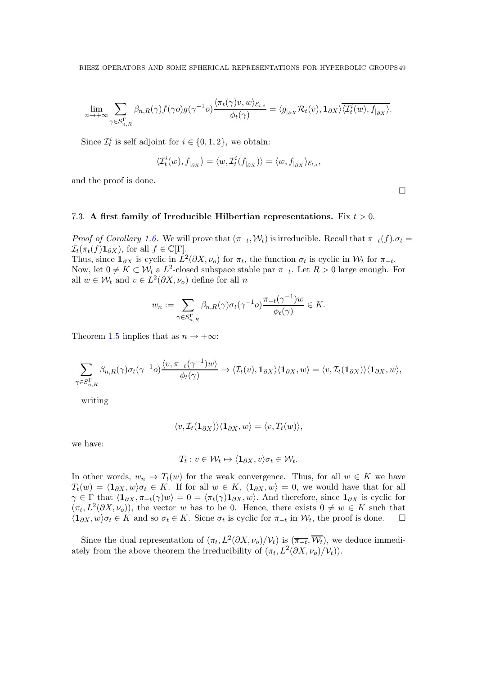$$
\lim_{n \to +\infty} \sum_{\gamma \in S^{\Gamma}_{n,R}} \beta_{n,R}(\gamma) f(\gamma o) g(\gamma^{-1} o) \frac{\langle \pi_t(\gamma)v, w \rangle_{\mathcal{E}_{t,i}}}{\phi_t(\gamma)} = \langle g_{|_{\partial X}} \mathcal{R}_t(v), \mathbf{1}_{\partial X} \rangle \overline{\langle \mathcal{I}_t^i(w), f_{|_{\partial X}} \rangle}.
$$

Since  $\mathcal{I}_t^i$  is self adjoint for  $i \in \{0, 1, 2\}$ , we obtain:

$$
\langle \mathcal{I}^i_t(w), f_{|_{\partial X}} \rangle = \langle w, \mathcal{I}^i_t(f_{|_{\partial X}}) \rangle = \langle w, f_{|_{\partial X}} \rangle_{\mathcal{E}_{t,i}},
$$

and the proof is done.

### 7.3. A first family of Irreducible Hilbertian representations. Fix  $t > 0$ .

*Proof of Corollary [1.6.](#page-4-1)* We will prove that  $(\pi_{-t}, W_t)$  is irreducible. Recall that  $\pi_{-t}(f) \cdot \sigma_t =$  $\mathcal{I}_t(\pi_t(f)\mathbf{1}_{\partial X}),$  for all  $f \in \mathbb{C}[\Gamma].$ 

Thus, since  $\mathbf{1}_{\partial X}$  is cyclic in  $L^2(\partial X, \nu_o)$  for  $\pi_t$ , the function  $\sigma_t$  is cyclic in  $\mathcal{W}_t$  for  $\pi_{-t}$ . Now, let  $0 \neq K \subset \mathcal{W}_t$  a  $L^2$ -closed subspace stable par  $\pi_{-t}$ . Let  $R > 0$  large enough. For all  $w \in \mathcal{W}_t$  and  $v \in L^2(\partial X, \nu_o)$  define for all n

$$
w_n := \sum_{\gamma \in S^{\Gamma}_{n,R}} \beta_{n,R}(\gamma) \sigma_t(\gamma^{-1} o) \frac{\pi_{-t}(\gamma^{-1}) w}{\phi_t(\gamma)} \in K.
$$

Theorem [1.5](#page-4-0) implies that as  $n \to +\infty$ :

$$
\sum_{\gamma \in S^{\Gamma}_{n,R}} \beta_{n,R}(\gamma) \sigma_t(\gamma^{-1} \sigma) \frac{\langle v, \pi_{-t}(\gamma^{-1})w \rangle}{\phi_t(\gamma)} \to \langle \mathcal{I}_t(v), \mathbf{1}_{\partial X} \rangle \langle \mathbf{1}_{\partial X}, w \rangle = \langle v, \mathcal{I}_t(\mathbf{1}_{\partial X}) \rangle \langle \mathbf{1}_{\partial X}, w \rangle,
$$

writing

$$
\langle v, \mathcal{I}_t(\mathbf{1}_{\partial X}) \rangle \langle \mathbf{1}_{\partial X}, w \rangle = \langle v, T_t(w) \rangle,
$$

we have:

$$
T_t: v \in \mathcal{W}_t \mapsto \langle \mathbf{1}_{\partial X}, v \rangle \sigma_t \in \mathcal{W}_t.
$$

In other words,  $w_n \to T_t(w)$  for the weak convergence. Thus, for all  $w \in K$  we have  $T_t(w) = \langle 1_{\partial X}, w \rangle \sigma_t \in K$ . If for all  $w \in K$ ,  $\langle 1_{\partial X}, w \rangle = 0$ , we would have that for all  $\gamma \in \Gamma$  that  $\langle \mathbf{1}_{\partial X}, \pi_{-t}(\gamma)w \rangle = 0 = \langle \pi_t(\gamma)\mathbf{1}_{\partial X}, w \rangle$ . And therefore, since  $\mathbf{1}_{\partial X}$  is cyclic for  $(\pi_t, L^2(\partial X, \nu_o))$ , the vector w has to be 0. Hence, there exists  $0 \neq w \in K$  such that  $\langle \mathbf{1}_{\partial X}, w \rangle \sigma_t \in K$  and so  $\sigma_t \in K$ . Sicne  $\sigma_t$  is cyclic for  $\pi_{-t}$  in  $\mathcal{W}_t$ , the proof is done.  $\square$ 

Since the dual representation of  $(\pi_t, L^2(\partial X, \nu_o)/\mathcal{V}_t)$  is  $(\overline{\pi_{-t}}, \overline{\mathcal{W}}_t)$ , we deduce immediately from the above theorem the irreducibility of  $(\pi_t, L^2(\partial X, \nu_o)/\mathcal{V}_t)$ .

 $\Box$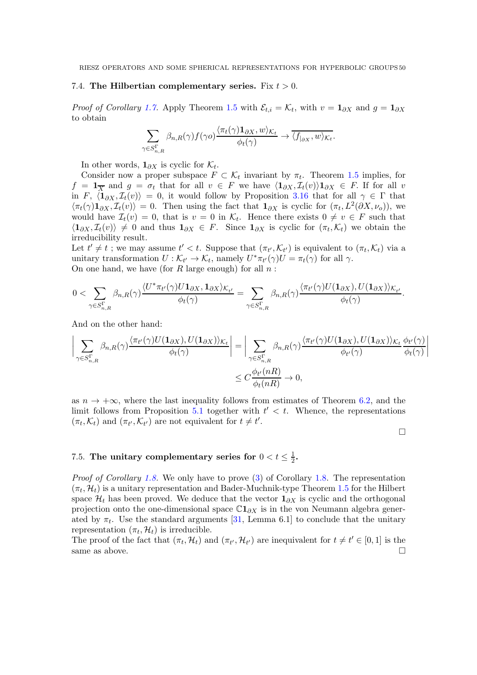#### 7.4. The Hilbertian complementary series. Fix  $t > 0$ .

*Proof of Corollary [1.7.](#page-4-2)* Apply Theorem [1.5](#page-4-0) with  $\mathcal{E}_{t,i} = \mathcal{K}_t$ , with  $v = \mathbf{1}_{\partial X}$  and  $g = \mathbf{1}_{\partial X}$ to obtain

$$
\sum_{\gamma \in S_{n,R}^{\Gamma}} \beta_{n,R}(\gamma) f(\gamma o) \frac{\langle \pi_t(\gamma) \mathbf{1}_{\partial X}, w \rangle_{\mathcal{K}_t}}{\phi_t(\gamma)} \to \overline{\langle f_{|_{\partial X}}, w \rangle_{\mathcal{K}_t}}.
$$

In other words,  $\mathbf{1}_{\partial X}$  is cyclic for  $\mathcal{K}_t$ .

Consider now a proper subspace  $F \subset \mathcal{K}_t$  invariant by  $\pi_t$ . Theorem [1.5](#page-4-0) implies, for  $f = \mathbf{1}_{\overline{X}}$  and  $g = \sigma_t$  that for all  $v \in F$  we have  $\langle \mathbf{1}_{\partial X}, \mathcal{I}_t(v) \rangle \mathbf{1}_{\partial X} \in F$ . If for all v in F,  $\langle \mathbf{1}_{\partial X}, \mathcal{I}_t(v)\rangle = 0$ , it would follow by Proposition [3.16](#page-25-0) that for all  $\gamma \in \Gamma$  that  $\langle \pi_t(\gamma) \mathbf{1}_{\partial X}, \mathcal{I}_t(v) \rangle = 0$ . Then using the fact that  $\mathbf{1}_{\partial X}$  is cyclic for  $(\pi_t, L^2(\partial X, \nu_o))$ , we would have  $\mathcal{I}_t(v) = 0$ , that is  $v = 0$  in  $\mathcal{K}_t$ . Hence there exists  $0 \neq v \in F$  such that  $\langle \mathbf{1}_{\partial X}, \mathcal{I}_t(v) \rangle \neq 0$  and thus  $\mathbf{1}_{\partial X} \in F$ . Since  $\mathbf{1}_{\partial X}$  is cyclic for  $(\pi_t, \mathcal{K}_t)$  we obtain the irreducibility result.

Let  $t' \neq t$ ; we may assume  $t' < t$ . Suppose that  $(\pi_{t'}, \mathcal{K}_{t'})$  is equivalent to  $(\pi_t, \mathcal{K}_t)$  via a unitary transformation  $U: \mathcal{K}_{t'} \to \mathcal{K}_t$ , namely  $U^* \pi_{t'}(\gamma) U = \pi_t(\gamma)$  for all  $\gamma$ . On one hand, we have (for  $R$  large enough) for all  $n$ :

$$
0<\sum_{\gamma\in S^{\Gamma}_{n,R}}\beta_{n,R}(\gamma)\frac{\langle U^*\pi_{t'}(\gamma)U\mathbf{1}_{\partial X},\mathbf{1}_{\partial X}\rangle_{\mathcal{K}_{t'}}}{\phi_t(\gamma)}=\sum_{\gamma\in S^{\Gamma}_{n,R}}\beta_{n,R}(\gamma)\frac{\langle \pi_{t'}(\gamma)U(\mathbf{1}_{\partial X}),U(\mathbf{1}_{\partial X})\rangle_{\mathcal{K}_{t'}}}{\phi_t(\gamma)}.
$$

And on the other hand:

$$
\left| \sum_{\gamma \in S_{n,R}^{\Gamma}} \beta_{n,R}(\gamma) \frac{\langle \pi_{t'}(\gamma)U(\mathbf{1}_{\partial X}), U(\mathbf{1}_{\partial X}) \rangle_{\mathcal{K}_{t}}}{\phi_{t}(\gamma)} \right| = \left| \sum_{\gamma \in S_{n,R}^{\Gamma}} \beta_{n,R}(\gamma) \frac{\langle \pi_{t'}(\gamma)U(\mathbf{1}_{\partial X}), U(\mathbf{1}_{\partial X}) \rangle_{\mathcal{K}_{t}}}{\phi_{t'}(\gamma)} \frac{\phi_{t'}(\gamma)}{\phi_{t}(\gamma)} \right|
$$
  
 
$$
\leq C \frac{\phi_{t'}(nR)}{\phi_{t}(nR)} \to 0,
$$

as  $n \to +\infty$ , where the last inequality follows from estimates of Theorem [6.2,](#page-37-2) and the limit follows from Proposition [5.1](#page-32-1) together with  $t' < t$ . Whence, the representations  $(\pi_t, \mathcal{K}_t)$  and  $(\pi_{t'}, \mathcal{K}_{t'})$  are not equivalent for  $t \neq t'$ .

 $\Box$ 

#### 7.5. The unitary complementary series for  $0 < t \leq \frac{1}{2}$  $\frac{1}{2}$ .

Proof of Corollary [1.8.](#page-4-3) We only have to prove [\(3\)](#page-4-4) of Corollary 1.8. The representation  $(\pi_t, \mathcal{H}_t)$  is a unitary representation and Bader-Muchnik-type Theorem [1.5](#page-4-0) for the Hilbert space  $\mathcal{H}_t$  has been proved. We deduce that the vector  $\mathbf{1}_{\partial X}$  is cyclic and the orthogonal projection onto the one-dimensional space  $\mathbb{C}1_{\partial X}$  is in the von Neumann algebra generated by  $\pi_t$ . Use the standard arguments [\[31,](#page-53-12) Lemma 6.1] to conclude that the unitary representation  $(\pi_t, \mathcal{H}_t)$  is irreducible.

The proof of the fact that  $(\pi_t, \mathcal{H}_t)$  and  $(\pi_{t'}, \mathcal{H}_{t'})$  are inequivalent for  $t \neq t' \in [0, 1]$  is the same as above.  $\Box$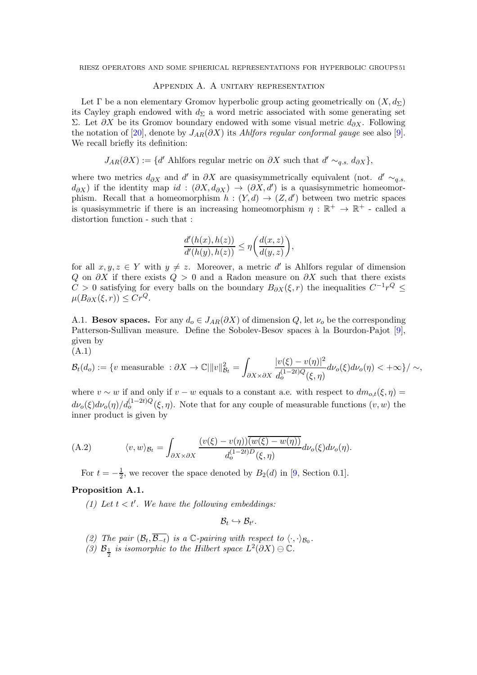### Appendix A. A unitary representation

Let  $\Gamma$  be a non elementary Gromov hyperbolic group acting geometrically on  $(X, d_{\Sigma})$ its Cayley graph endowed with  $d_{\Sigma}$  a word metric associated with some generating set Σ. Let  $\partial X$  be its Gromov boundary endowed with some visual metric  $d_{\partial X}$ . Following the notation of [\[20\]](#page-52-22), denote by  $J_{AR}(\partial X)$  its Ahlfors regular conformal gauge see also [\[9\]](#page-52-23). We recall briefly its definition:

$$
J_{AR}(\partial X) := \{d' \text{ Ahlfors regular metric on } \partial X \text{ such that } d' \sim_{q.s.} d_{\partial X}\},
$$

where two metrics  $d_{\partial X}$  and  $d'$  in  $\partial X$  are quasisymmetrically equivalent (not.  $d' \sim_{q.s.}$  $d_{\partial X}$ ) if the identity map  $id : (\partial X, d_{\partial X}) \to (\partial X, d')$  is a quasisymmetric homeomorphism. Recall that a homeomorphism  $h : (Y, d) \to (Z, d')$  between two metric spaces is quasisymmetric if there is an increasing homeomorphism  $\eta : \mathbb{R}^+ \to \mathbb{R}^+$  - called a distortion function - such that :

$$
\frac{d'(h(x),h(z))}{d'(h(y),h(z))} \leq \eta \bigg(\frac{d(x,z)}{d(y,z)}\bigg),
$$

for all  $x, y, z \in Y$  with  $y \neq z$ . Moreover, a metric d' is Ahlfors regular of dimension Q on  $\partial X$  if there exists  $Q > 0$  and a Radon measure on  $\partial X$  such that there exists  $C > 0$  satisfying for every balls on the boundary  $B_{\partial X}(\xi, r)$  the inequalities  $C^{-1}r^Q \leq$  $\mu(B_{\partial X}(\xi,r)) \leq Cr^Q.$ 

A.1. **Besov spaces.** For any  $d_0 \in J_{AR}(\partial X)$  of dimension Q, let  $\nu_0$  be the corresponding Patterson-Sullivan measure. Define the Sobolev-Besov spaces à la Bourdon-Pajot  $[9]$ , given by

(A.1)

$$
\mathcal{B}_t(d_o) := \{ v \text{ measurable } : \partial X \to \mathbb{C} \|\|v\|_{\mathcal{B}_t}^2 = \int_{\partial X \times \partial X} \frac{|v(\xi) - v(\eta)|^2}{d_o^{(1 - 2t)Q}(\xi, \eta)} d\nu_o(\xi) d\nu_o(\eta) < +\infty \}/ \sim,
$$

where  $v \sim w$  if and only if  $v - w$  equals to a constant a.e. with respect to  $dm_{o,t}(\xi, \eta) =$  $d\nu_o(\xi)d\nu_o(\eta)/d_o^{(1-2t)Q}(\xi,\eta)$ . Note that for any couple of measurable functions  $(v, w)$  the inner product is given by

(A.2) 
$$
\langle v, w \rangle_{\mathcal{B}_t} = \int_{\partial X \times \partial X} \frac{(v(\xi) - v(\eta))\overline{(w(\xi) - w(\eta))}}{d_o^{(1-2t)D}(\xi, \eta)} d\nu_o(\xi) d\nu_o(\eta).
$$

For  $t = -\frac{1}{2}$  $\frac{1}{2}$ , we recover the space denoted by  $B_2(d)$  in [\[9,](#page-52-23) Section 0.1].

# Proposition A.1.

(1) Let  $t < t'$ . We have the following embeddings:

$$
\mathcal{B}_t \hookrightarrow \mathcal{B}_{t'}.
$$

- (2) The pair  $(\mathcal{B}_t, \overline{\mathcal{B}_{-t}})$  is a  $\mathbb{C}\text{-pairing with respect to }\langle \cdot, \cdot \rangle_{\mathcal{B}_0}$ .
- (3)  $\mathcal{B}_{\frac{1}{2}}$  is isomorphic to the Hilbert space  $L^2(\partial X) \ominus \mathbb{C}$ .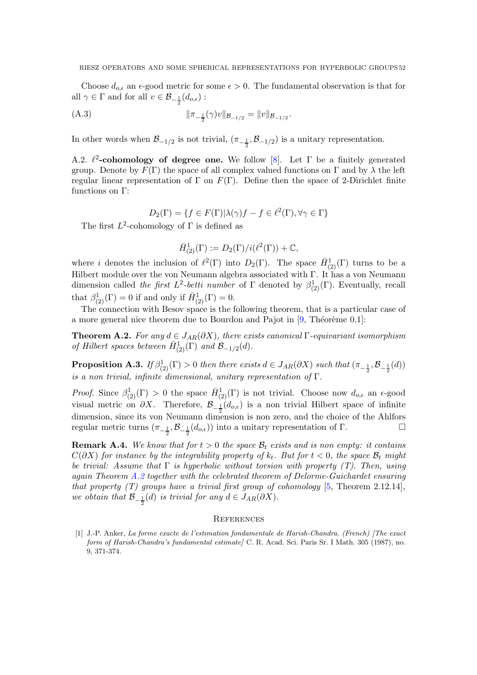Choose  $d_{o,\epsilon}$  an  $\epsilon$ -good metric for some  $\epsilon > 0$ . The fundamental observation is that for all  $\gamma \in \Gamma$  and for all  $v \in \mathcal{B}_{-\frac{1}{2}}(d_{o,\epsilon})$ :

(A.3) 
$$
\|\pi_{-\frac{1}{2}}(\gamma)v\|_{\mathcal{B}_{-1/2}} = \|v\|_{\mathcal{B}_{-1/2}}.
$$

In other words when  $\mathcal{B}_{-1/2}$  is not trivial,  $(\pi_{-\frac{1}{2}}, \mathcal{B}_{-1/2})$  is a unitary representation.

A.2.  $\ell^2$ -cohomology of degree one. We follow [\[8\]](#page-52-24). Let  $\Gamma$  be a finitely generated group. Denote by  $F(\Gamma)$  the space of all complex valued functions on  $\Gamma$  and by  $\lambda$  the left regular linear representation of  $\Gamma$  on  $F(\Gamma)$ . Define then the space of 2-Dirichlet finite functions on Γ:

$$
D_2(\Gamma) = \{ f \in F(\Gamma) | \lambda(\gamma)f - f \in \ell^2(\Gamma), \forall \gamma \in \Gamma \}
$$

The first  $L^2$ -cohomology of  $\Gamma$  is defined as

$$
\bar{H}^1_{(2)}(\Gamma) := D_2(\Gamma)/i(\ell^2(\Gamma)) + \mathbb{C},
$$

where *i* denotes the inclusion of  $\ell^2(\Gamma)$  into  $D_2(\Gamma)$ . The space  $\bar{H}^1_{(2)}(\Gamma)$  turns to be a Hilbert module over the von Neumann algebra associated with Γ. It has a von Neumann dimension called the first  $L^2$ -betti number of  $\Gamma$  denoted by  $\beta^1_{(2)}(\Gamma)$ . Eventually, recall that  $\beta^1_{(2)}(\Gamma) = 0$  if and only if  $\bar{H}^1_{(2)}(\Gamma) = 0$ .

The connection with Besov space is the following theorem, that is a particular case of a more general nice theorem due to Bourdon and Pajot in  $[9,$  Théorème 0.1]:

<span id="page-51-1"></span>**Theorem A.2.** For any  $d \in J_{AR}(\partial X)$ , there exists canonical  $\Gamma$ -equivariant isomorphism of Hilbert spaces between  $\bar{H}^1_{(2)}(\Gamma)$  and  $\mathcal{B}_{-1/2}(d)$ .

**Proposition A.3.** If  $\beta_{(2)}^1(\Gamma) > 0$  then there exists  $d \in J_{AR}(\partial X)$  such that  $(\pi_{-\frac{1}{2}}, \mathcal{B}_{-\frac{1}{2}}(d))$ is a non trivial, infinite dimensional, unitary representation of Γ.

*Proof.* Since  $\beta_{(2)}^1(\Gamma) > 0$  the space  $\bar{H}^1_{(2)}(\Gamma)$  is not trivial. Choose now  $d_{o,\epsilon}$  an  $\epsilon$ -good visual metric on  $\partial X$ . Therefore,  $\mathcal{B}_{-\frac{1}{2}}(d_{o,\epsilon})$  is a non trivial Hilbert space of infinite dimension, since its von Neumann dimension is non zero, and the choice of the Ahlfors regular metric turns  $(\pi_{-\frac{1}{2}}, \mathcal{B}_{-\frac{1}{2}}(d_{o,\epsilon}))$  into a unitary representation of  $\Gamma$ .

**Remark A.4.** We know that for  $t > 0$  the space  $\mathcal{B}_t$  exists and is non empty: it contains  $C(\partial X)$  for instance by the integrability property of  $k_t$ . But for  $t < 0$ , the space  $\mathcal{B}_t$  might be trivial: Assume that  $\Gamma$  is hyperbolic without torsion with property (T). Then, using again Theorem [A.2](#page-51-1) together with the celebrated theorem of Delorme-Guichardet ensuring that property  $(T)$  groups have a trivial first group of cohomology [\[5,](#page-52-21) Theorem 2.12.14], we obtain that  $\mathcal{B}_{-\frac{1}{2}}(d)$  is trivial for any  $d \in J_{AR}(\partial X)$ .

#### **REFERENCES**

<span id="page-51-0"></span>[1] J.-P. Anker, *La forme exacte de l'estimation fondamentale de Harish-Chandra. (French) [The exact form of Harish-Chandra's fundamental estimate]* C. R. Acad. Sci. Paris Sr. I Math. 305 (1987), no. 9, 371-374.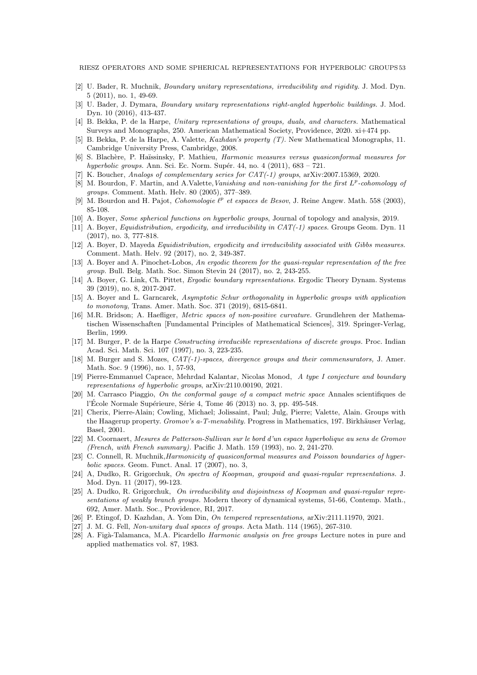- [2] U. Bader, R. Muchnik, *Boundary unitary representations, irreducibility and rigidity.* J. Mod. Dyn. 5 (2011), no. 1, 49-69.
- <span id="page-52-5"></span>[3] U. Bader, J. Dymara, *Boundary unitary representations right-angled hyperbolic buildings.* J. Mod. Dyn. 10 (2016), 413-437.
- <span id="page-52-21"></span>[4] B. Bekka, P. de la Harpe, *Unitary representations of groups, duals, and characters.* Mathematical Surveys and Monographs, 250. American Mathematical Society, Providence, 2020. xi+474 pp.
- [5] B. Bekka, P. de la Harpe, A. Valette, *Kazhdan's property (T).* New Mathematical Monographs, 11. Cambridge University Press, Cambridge, 2008.
- <span id="page-52-17"></span>[6] S. Blach`ere, P. Ha¨ıssinsky, P. Mathieu, *Harmonic measures versus quasiconformal measures for hyperbolic groups.* Ann. Sci. Ec. Norm. Sup´er. 44, no. 4 (2011), 683 – 721.
- <span id="page-52-24"></span><span id="page-52-15"></span>[7] K. Boucher, *Analogs of complementary series for CAT(-1) groups*, arXiv:2007.15369, 2020.
- [8] M. Bourdon, F. Martin, and A.Valette,*Vanishing and non-vanishing for the first* L p *-cohomology of groups.* Comment. Math. Helv. 80 (2005), 377–389.
- <span id="page-52-23"></span><span id="page-52-3"></span>[9] M. Bourdon and H. Pajot, *Cohomologie*  $\ell^p$  et espaces de Besov, J. Reine Angew. Math. 558 (2003), 85-108.
- <span id="page-52-20"></span>[10] A. Boyer, *Some spherical functions on hyperbolic groups*, Journal of topology and analysis, 2019.
- [11] A. Boyer, *Equidistribution, ergodicity, and irreducibility in CAT(-1) spaces.* Groups Geom. Dyn. 11 (2017), no. 3, 777-818.
- <span id="page-52-6"></span>[12] A. Boyer, D. Mayeda *Equidistribution, ergodicity and irreducibility associated with Gibbs measures.* Comment. Math. Helv. 92 (2017), no. 2, 349-387.
- <span id="page-52-9"></span><span id="page-52-7"></span>[13] A. Boyer and A. Pinochet-Lobos, *An ergodic theorem for the quasi-regular representation of the free group.* Bull. Belg. Math. Soc. Simon Stevin 24 (2017), no. 2, 243-255.
- [14] A. Boyer, G. Link, Ch. Pittet, *Ergodic boundary representations.* Ergodic Theory Dynam. Systems 39 (2019), no. 8, 2017-2047.
- <span id="page-52-8"></span>[15] A. Boyer and L. Garncarek, *Asymptotic Schur orthogonality in hyperbolic groups with application to monotony*, Trans. Amer. Math. Soc. 371 (2019), 6815-6841.
- <span id="page-52-16"></span>[16] M.R. Bridson; A. Haefliger, *Metric spaces of non-positive curvature.* Grundlehren der Mathematischen Wissenschaften [Fundamental Principles of Mathematical Sciences], 319. Springer-Verlag, Berlin, 1999.
- <span id="page-52-0"></span>[17] M. Burger, P. de la Harpe *Constructing irreducible representations of discrete groups.* Proc. Indian Acad. Sci. Math. Sci. 107 (1997), no. 3, 223-235.
- <span id="page-52-4"></span>[18] M. Burger and S. Mozes, *CAT(-1)-spaces, divergence groups and their commensurators,* J. Amer. Math. Soc. 9 (1996), no. 1, 57-93,
- <span id="page-52-12"></span>[19] Pierre-Emmanuel Caprace, Mehrdad Kalantar, Nicolas Monod, *A type I conjecture and boundary representations of hyperbolic groups*, arXiv:2110.00190, 2021.
- <span id="page-52-22"></span>[20] M. Carrasco Piaggio, *On the conformal gauge of a compact metric space* Annales scientifiques de l'École Normale Supérieure, Série 4, Tome 46 (2013) no. 3, pp. 495-548.
- <span id="page-52-14"></span>[21] Cherix, Pierre-Alain; Cowling, Michael; Jolissaint, Paul; Julg, Pierre; Valette, Alain. Groups with the Haagerup property. *Gromov's a-T-menability*. Progress in Mathematics, 197. Birkhäuser Verlag, Basel, 2001.
- <span id="page-52-18"></span>[22] M. Coornaert, *Mesures de Patterson-Sullivan sur le bord d'un espace hyperbolique au sens de Gromov (French, with French summary).* Pacific J. Math. 159 (1993), no. 2, 241-270.
- <span id="page-52-19"></span>[23] C. Connell, R. Muchnik,*Harmonicity of quasiconformal measures and Poisson boundaries of hyperbolic spaces.* Geom. Funct. Anal. 17 (2007), no. 3,
- <span id="page-52-10"></span>[24] A, Dudko, R. Grigorchuk, *On spectra of Koopman, groupoid and quasi-regular representations.* J. Mod. Dyn. 11 (2017), 99-123.
- <span id="page-52-11"></span>[25] A. Dudko, R. Grigorchuk, *On irreducibility and disjointness of Koopman and quasi-regular representations of weakly branch groups.* Modern theory of dynamical systems, 51-66, Contemp. Math., 692, Amer. Math. Soc., Providence, RI, 2017.
- <span id="page-52-13"></span><span id="page-52-2"></span>[26] P. Etingof, D. Kazhdan, A. Yom Din, *On tempered representations,* arXiv:2111.11970, 2021.
- <span id="page-52-1"></span>[27] J. M. G. Fell, *Non-unitary dual spaces of groups.* Acta Math. 114 (1965), 267-310.
- [28] A. Fig`a-Talamanca, M.A. Picardello *Harmonic analysis on free groups* Lecture notes in pure and applied mathematics vol. 87, 1983.